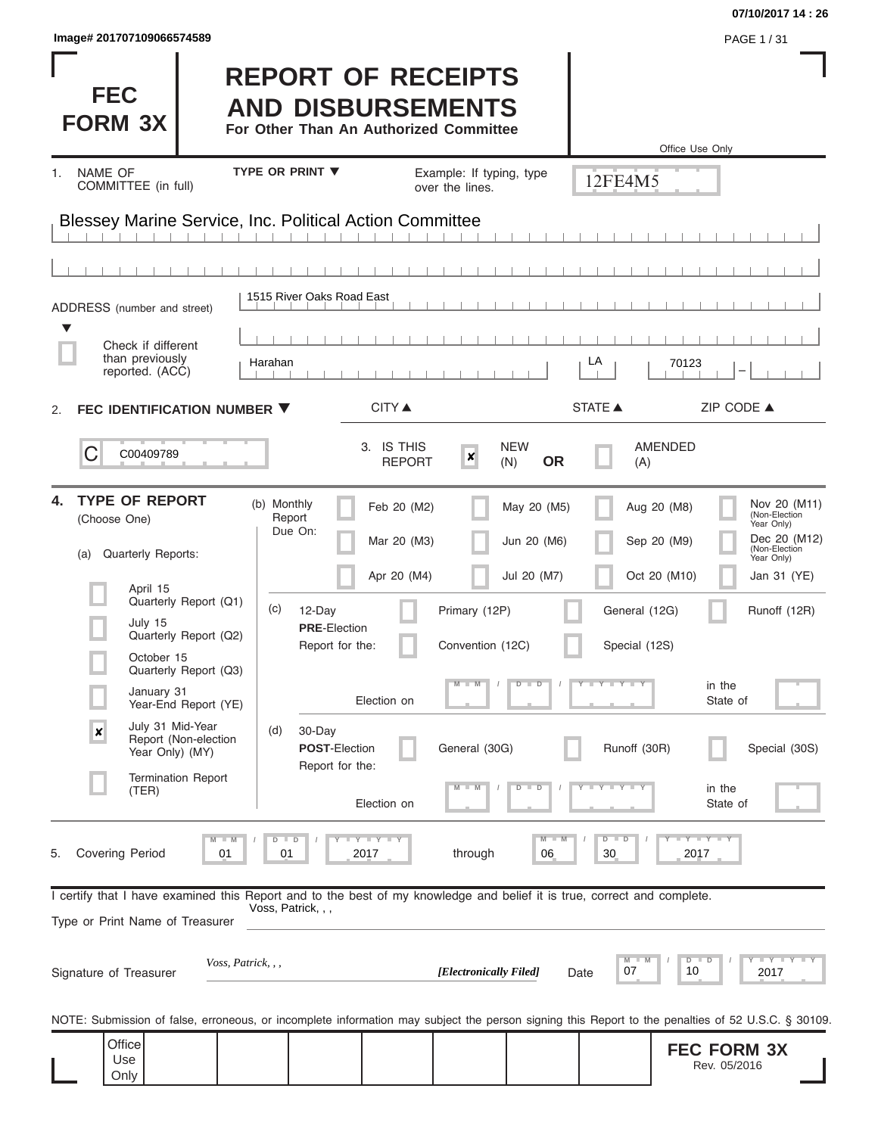| Image# 201707109066574589                                                                                                                                                                                                                                                                                                                                    |                                                                                                                                                                                       |                                                                                                                    |                                                                                      |                                                                                                                                     | PAGE 1/31                                                                                                                                                          |
|--------------------------------------------------------------------------------------------------------------------------------------------------------------------------------------------------------------------------------------------------------------------------------------------------------------------------------------------------------------|---------------------------------------------------------------------------------------------------------------------------------------------------------------------------------------|--------------------------------------------------------------------------------------------------------------------|--------------------------------------------------------------------------------------|-------------------------------------------------------------------------------------------------------------------------------------|--------------------------------------------------------------------------------------------------------------------------------------------------------------------|
| <b>FEC</b><br><b>FORM 3X</b>                                                                                                                                                                                                                                                                                                                                 | <b>REPORT OF RECEIPTS</b><br><b>AND DISBURSEMENTS</b><br>For Other Than An Authorized Committee                                                                                       |                                                                                                                    |                                                                                      | Office Use Only                                                                                                                     |                                                                                                                                                                    |
| NAME OF<br>1.<br>COMMITTEE (in full)                                                                                                                                                                                                                                                                                                                         | <b>TYPE OR PRINT ▼</b>                                                                                                                                                                | Example: If typing, type<br>over the lines.                                                                        |                                                                                      | 12FE4M5                                                                                                                             |                                                                                                                                                                    |
| <b>Blessey Marine Service, Inc. Political Action Committee</b>                                                                                                                                                                                                                                                                                               |                                                                                                                                                                                       |                                                                                                                    |                                                                                      |                                                                                                                                     |                                                                                                                                                                    |
|                                                                                                                                                                                                                                                                                                                                                              |                                                                                                                                                                                       |                                                                                                                    |                                                                                      |                                                                                                                                     |                                                                                                                                                                    |
| ADDRESS (number and street)                                                                                                                                                                                                                                                                                                                                  | 1515 River Oaks Road East                                                                                                                                                             |                                                                                                                    |                                                                                      |                                                                                                                                     |                                                                                                                                                                    |
| ▼<br>Check if different<br>than previously<br>reported. (ACC)                                                                                                                                                                                                                                                                                                | Harahan                                                                                                                                                                               |                                                                                                                    | LA                                                                                   | 70123                                                                                                                               |                                                                                                                                                                    |
| FEC IDENTIFICATION NUMBER ▼<br>2.                                                                                                                                                                                                                                                                                                                            |                                                                                                                                                                                       | <b>CITY ▲</b>                                                                                                      | <b>STATE ▲</b>                                                                       |                                                                                                                                     | ZIP CODE ▲                                                                                                                                                         |
| C<br>C00409789                                                                                                                                                                                                                                                                                                                                               |                                                                                                                                                                                       | 3. IS THIS<br>$\boldsymbol{x}$<br><b>REPORT</b>                                                                    | <b>NEW</b><br>(N)<br><b>OR</b>                                                       | <b>AMENDED</b><br>(A)                                                                                                               |                                                                                                                                                                    |
| <b>TYPE OF REPORT</b><br>4.<br>(Choose One)<br><b>Quarterly Reports:</b><br>(a)<br>April 15<br>Quarterly Report (Q1)<br>July 15<br>Quarterly Report (Q2)<br>October 15<br>Quarterly Report (Q3)<br>January 31<br>Year-End Report (YE)<br>July 31 Mid-Year<br>$\pmb{\times}$<br>Report (Non-election<br>Year Only) (MY)<br><b>Termination Report</b><br>(TER) | (b) Monthly<br>Report<br>Due On:<br>(c)<br>12-Day<br><b>PRE-Election</b><br>Report for the:<br>Election on<br>30-Day<br>(d)<br><b>POST-Election</b><br>Report for the:<br>Election on | Feb 20 (M2)<br>Mar 20 (M3)<br>Apr 20 (M4)<br>Primary (12P)<br>Convention (12C)<br>$M - M$<br>General (30G)<br>$-W$ | May 20 (M5)<br>Jun 20 (M6)<br>Jul 20 (M7)<br>$D$ $D$<br>$\overline{\mathbb{D}}$<br>D | Aug 20 (M8)<br>Sep 20 (M9)<br>Oct 20 (M10)<br>General (12G)<br>Special (12S)<br>$T - Y = T - Y$<br>in the<br>Runoff (30R)<br>in the | Nov 20 (M11)<br>(Non-Election<br>Year Only)<br>Dec 20 (M12)<br>(Non-Election<br>Year Only)<br>Jan 31 (YE)<br>Runoff (12R)<br>State of<br>Special (30S)<br>State of |
| <b>Covering Period</b><br>01<br>5.<br>I certify that I have examined this Report and to the best of my knowledge and belief it is true, correct and complete.<br>Type or Print Name of Treasurer                                                                                                                                                             | Y I Y I Y<br>$\blacksquare$<br>D<br>01<br>2017<br>Voss, Patrick, , ,                                                                                                                  | through                                                                                                            | M<br>06                                                                              | $-Y - Y - Y$<br>$D$ $D$<br>30<br>2017                                                                                               |                                                                                                                                                                    |
| Voss, Patrick, , ,<br>Signature of Treasurer                                                                                                                                                                                                                                                                                                                 |                                                                                                                                                                                       | [Electronically Filed]                                                                                             | Date                                                                                 | $D$ $D$<br>10<br>07                                                                                                                 | Y I Y I Y I<br>2017                                                                                                                                                |
| NOTE: Submission of false, erroneous, or incomplete information may subject the person signing this Report to the penalties of 52 U.S.C. § 30109.                                                                                                                                                                                                            |                                                                                                                                                                                       |                                                                                                                    |                                                                                      |                                                                                                                                     |                                                                                                                                                                    |
| Office<br>Use<br>Only                                                                                                                                                                                                                                                                                                                                        |                                                                                                                                                                                       |                                                                                                                    |                                                                                      |                                                                                                                                     | <b>FEC FORM 3X</b><br>Rev. 05/2016                                                                                                                                 |

**07/10/2017 14 : 26**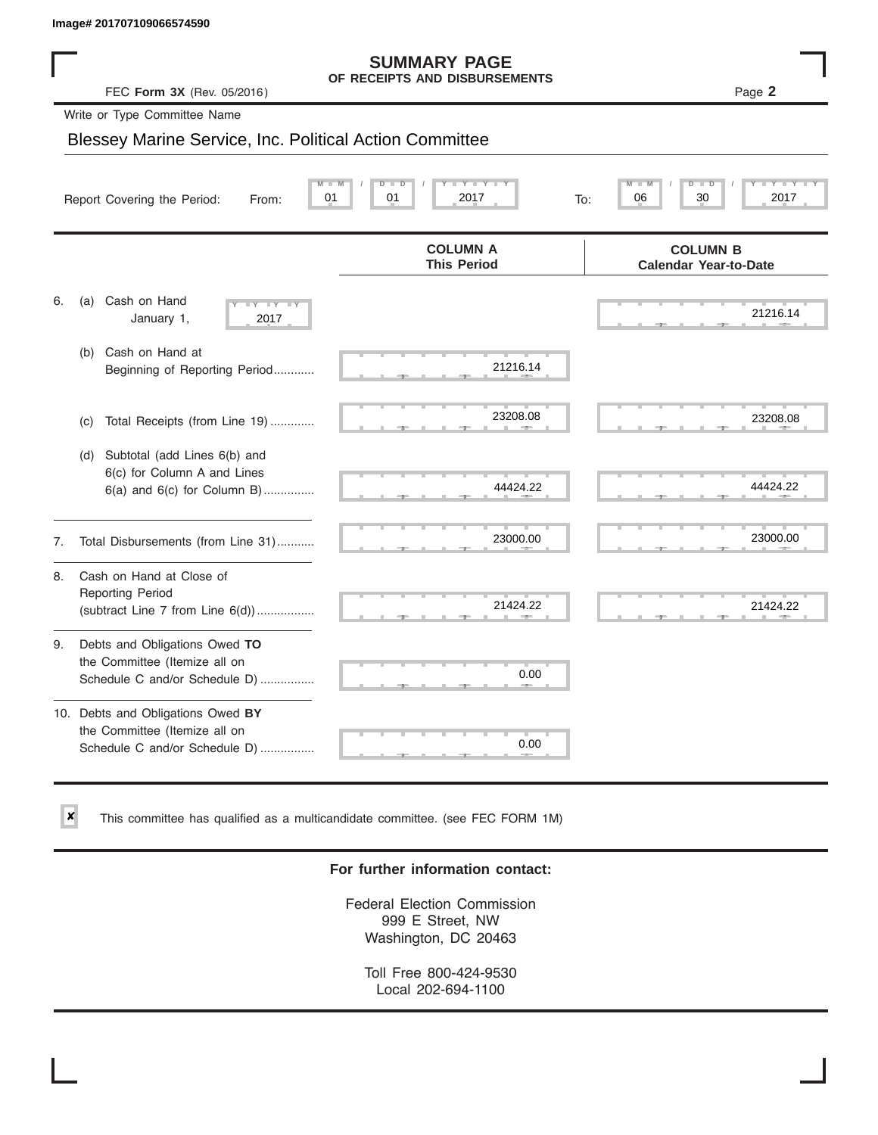✘

#### **SUMMARY PAGE OF RECEIPTS AND DISBURSEMENTS**

 ▲ ▲ ▲ , , . ▲ ▲ ▲ , , . ▲ ▲ ▲ , , . ▲ ▲ ▲ , , . ▲ ▲ ▲ , , . ▲ ▲ ▲ , , . ▲ ▲ ▲ , , . ▲ ▲ ▲ , , . ▲ ▲ ▲ , , . ▲ ▲ ▲ , , . 21216.14  $\frac{21216.14}{1}$ **M M / D D / Y Y Y Y M M / D D / Y Y Y Y Y Y Y Y COLUMN B Calendar Year-to-Date COLUMN A This Period** 6. (a) Cash on Hand January 1, (b) Cash on Hand at Beginning of Reporting Period............ (c) Total Receipts (from Line 19) ............. (d) Subtotal (add Lines 6(b) and 6(c) for Column A and Lines 6(a) and 6(c) for Column B)............... 7. Total Disbursements (from Line 31)........... 8. Cash on Hand at Close of Reporting Period (subtract Line  $7$  from Line  $6(d)$ ).................. 9. Debts and Obligations Owed **TO** the Committee (Itemize all on Schedule C and/or Schedule D) ................ 10. Debts and Obligations Owed **BY** the Committee (Itemize all on Schedule C and/or Schedule D) ................ FEC **Form 3X** (Rev. 05/2016) Page **2** Report Covering the Period: From: 01 01 01 2017 To: Write or Type Committee Name Blessey Marine Service, Inc. Political Action Committee Image# 201707109066574590<br>
FEC Form 3X (Rev. 05/2016)<br>
Write or Type Committee Name<br>
Blessey Marine Service, Inc. Political Action Committee<br>
Report Covering the Period: From: 01 01 2017<br>
To: 06 08 09 2017 <sup>2017</sup> 21216.14 23208.08 23208.08 44424.22 44424.22 23000.00 23000.00 21424.22 21424.22 0.00 0.00

This committee has qualified as a multicandidate committee. (see FEC FORM 1M)

#### **For further information contact:**

Federal Election Commission 999 E Street, NW Washington, DC 20463

Toll Free 800-424-9530 Local 202-694-1100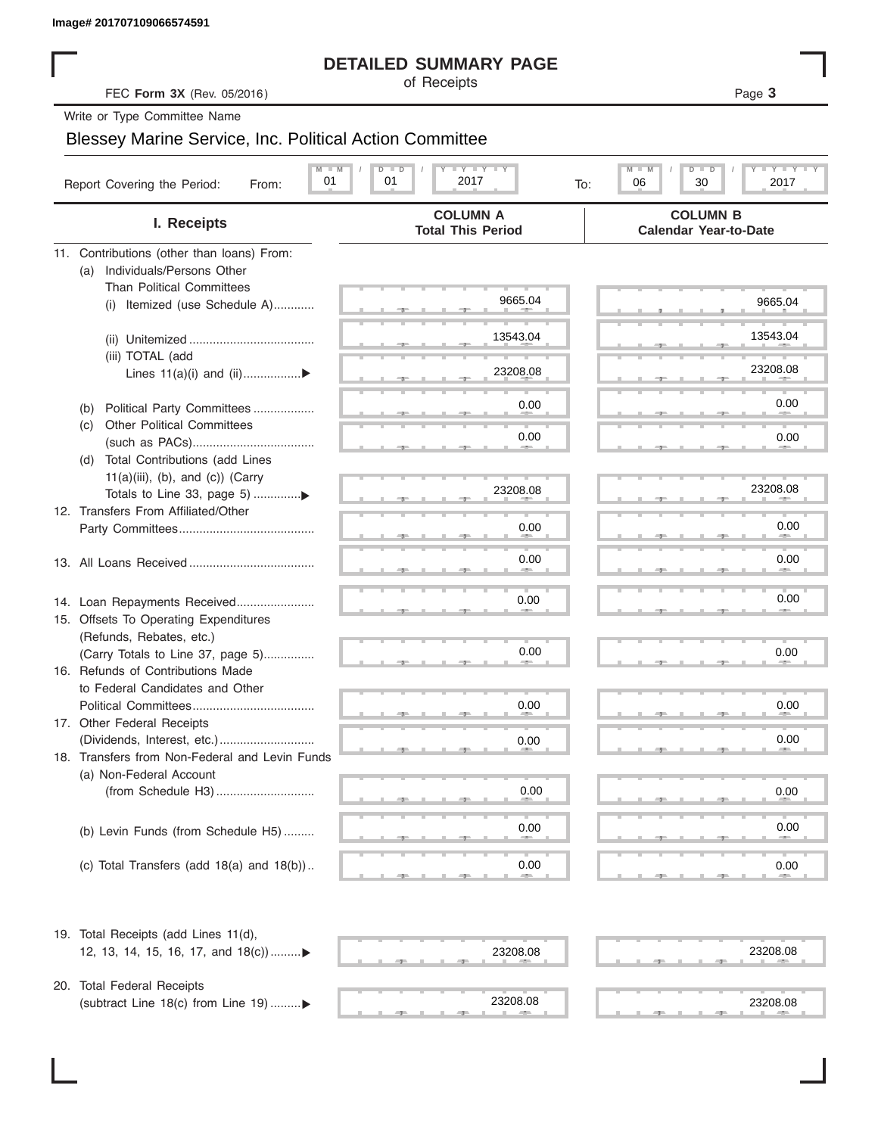#### **DETAILED SUMMARY PAGE**

#### Blessey Marine Service, Inc. Political Action Committee

| Image# 201707109066574591                                         |                                                                |                                                 |
|-------------------------------------------------------------------|----------------------------------------------------------------|-------------------------------------------------|
|                                                                   | <b>DETAILED SUMMARY PAGE</b>                                   |                                                 |
| FEC Form 3X (Rev. 05/2016)                                        | of Receipts                                                    | Page 3                                          |
| Write or Type Committee Name                                      |                                                                |                                                 |
| <b>Blessey Marine Service, Inc. Political Action Committee</b>    |                                                                |                                                 |
| $M - M$                                                           | $\Box$ $\Upsilon$ $\Box$ $\Upsilon$ $\Upsilon$ $\Upsilon$<br>D | $T - Y = T - Y$<br>M<br>D<br>ъ                  |
| 01<br>Report Covering the Period:<br>From:                        | 01<br>2017<br>To:                                              | 06<br>30<br>2017                                |
| I. Receipts                                                       | <b>COLUMN A</b><br><b>Total This Period</b>                    | <b>COLUMN B</b><br><b>Calendar Year-to-Date</b> |
| 11. Contributions (other than loans) From:                        |                                                                |                                                 |
| Individuals/Persons Other<br>(a)                                  |                                                                |                                                 |
| <b>Than Political Committees</b>                                  |                                                                |                                                 |
| Itemized (use Schedule A)<br>(i)                                  | 9665.04                                                        | 9665.04                                         |
|                                                                   |                                                                |                                                 |
|                                                                   | 13543.04                                                       | 13543.04                                        |
| (iii) TOTAL (add                                                  | 23208.08                                                       | 23208.08                                        |
| Lines $11(a)(i)$ and $(ii)$                                       |                                                                |                                                 |
| Political Party Committees<br>(b)                                 | 0.00                                                           | 0.00                                            |
| Other Political Committees<br>(C)                                 |                                                                |                                                 |
|                                                                   | 0.00                                                           | 0.00                                            |
| Total Contributions (add Lines<br>(d)                             |                                                                |                                                 |
| $11(a)(iii)$ , (b), and (c)) (Carry                               |                                                                |                                                 |
|                                                                   | 23208.08                                                       | 23208.08                                        |
| 12. Transfers From Affiliated/Other                               |                                                                |                                                 |
|                                                                   | 0.00                                                           | 0.00                                            |
|                                                                   | 0.00                                                           | 0.00                                            |
|                                                                   |                                                                |                                                 |
|                                                                   | 0.00                                                           | 0.00                                            |
| 14. Loan Repayments Received                                      |                                                                |                                                 |
| 15. Offsets To Operating Expenditures<br>(Refunds, Rebates, etc.) |                                                                |                                                 |
| (Carry Totals to Line 37, page 5)                                 | 0.00                                                           | 0.00                                            |
| 16. Refunds of Contributions Made                                 |                                                                |                                                 |
| to Federal Candidates and Other                                   |                                                                |                                                 |
| Political Committees                                              | 0.00                                                           | 0.00                                            |
| 17. Other Federal Receipts                                        |                                                                |                                                 |
|                                                                   | 0.00                                                           | 0.00                                            |
| 18. Transfers from Non-Federal and Levin Funds                    |                                                                |                                                 |
| (a) Non-Federal Account                                           |                                                                |                                                 |
|                                                                   | 0.00                                                           | 0.00                                            |
|                                                                   |                                                                |                                                 |
| (b) Levin Funds (from Schedule H5)                                | 0.00                                                           | 0.00                                            |
|                                                                   |                                                                |                                                 |
| (c) Total Transfers (add $18(a)$ and $18(b)$ )                    | 0.00                                                           | 0.00                                            |
| 19. Total Receipts (add Lines 11(d),                              |                                                                |                                                 |
| 12, 13, 14, 15, 16, 17, and 18(c))▶                               | 23208.08                                                       | 23208.08                                        |
|                                                                   |                                                                |                                                 |
| 20. Total Federal Receipts                                        |                                                                |                                                 |
| (subtract Line 18(c) from Line 19) ▶                              | 23208.08                                                       | 23208.08                                        |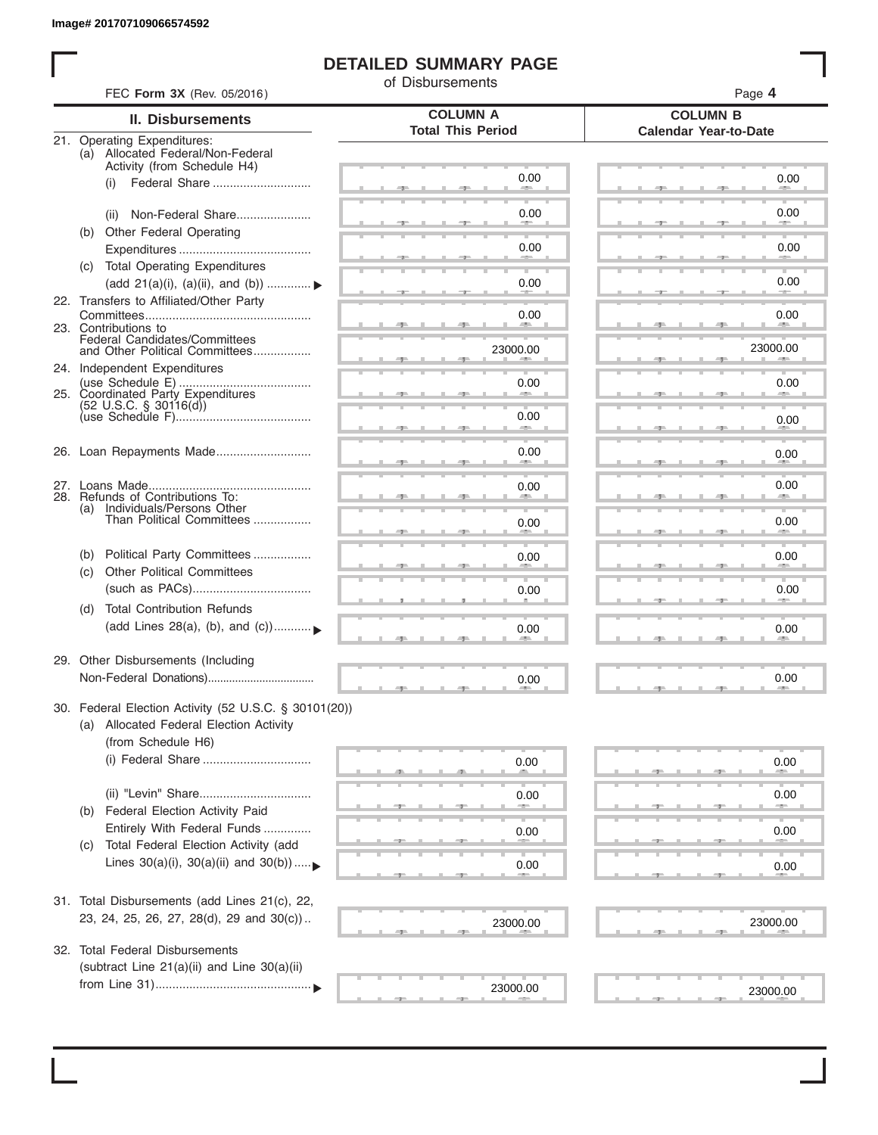I

#### **DETAILED SUMMARY PAGE**

of Disbursements

| FEC Form 3X (Rev. 05/2016)                                                                      |                                             | Page 4                                          |
|-------------------------------------------------------------------------------------------------|---------------------------------------------|-------------------------------------------------|
| <b>II. Disbursements</b>                                                                        | <b>COLUMN A</b><br><b>Total This Period</b> | <b>COLUMN B</b><br><b>Calendar Year-to-Date</b> |
| 21. Operating Expenditures:<br>(a) Allocated Federal/Non-Federal<br>Activity (from Schedule H4) |                                             |                                                 |
| Federal Share<br>(i)                                                                            | 0.00                                        | 0.00                                            |
| Non-Federal Share<br>(ii)                                                                       | 0.00                                        | 0.00                                            |
| (b) Other Federal Operating                                                                     | 0.00                                        | 0.00                                            |
| (c) Total Operating Expenditures<br>(add 21(a)(i), (a)(ii), and (b))  ▶                         | 0.00                                        | 0.00                                            |
| 22. Transfers to Affiliated/Other Party                                                         | 0.00                                        | 0.00                                            |
| 23. Contributions to<br>Federal Candidates/Committees<br>and Other Political Committees         | 23000.00                                    | 23000.00                                        |
| 24. Independent Expenditures                                                                    | 0.00                                        | 0.00                                            |
| 25. Coordinated Party Expenditures<br>$(52 \text{ U.S.C. }$ § 30116(d))                         | 0.00                                        | 0.00                                            |
| 26. Loan Repayments Made                                                                        | <b>SERVICE</b><br>0.00                      |                                                 |
|                                                                                                 |                                             | 0.00                                            |
| 28. Refunds of Contributions To:<br>(a) Individuals/Persons Other                               | 0.00                                        | 0.00                                            |
| Than Political Committees                                                                       | 0.00                                        | 0.00                                            |
| Political Party Committees<br>(b)<br><b>Other Political Committees</b><br>(c)                   | 0.00                                        | 0.00                                            |
|                                                                                                 | 0.00                                        | 0.00                                            |
| <b>Total Contribution Refunds</b><br>(d)<br>(add Lines 28(a), (b), and (c))                     | 0.00                                        | 0.00                                            |
| 29. Other Disbursements (Including                                                              | 0.00                                        | 0.00                                            |
| 30. Federal Election Activity (52 U.S.C. § 30101(20))                                           |                                             |                                                 |
| (a) Allocated Federal Election Activity<br>(from Schedule H6)                                   |                                             |                                                 |
| (i) Federal Share                                                                               | 0.00                                        | 0.00                                            |
|                                                                                                 | 0.00                                        | 0.00                                            |
| Federal Election Activity Paid<br>(b)<br>Entirely With Federal Funds                            | 0.00                                        | 0.00                                            |
| Total Federal Election Activity (add<br>(C)<br>Lines $30(a)(i)$ , $30(a)(ii)$ and $30(b))$      | 0.00                                        | 0.00                                            |
| 31. Total Disbursements (add Lines 21(c), 22,                                                   |                                             |                                                 |
| 23, 24, 25, 26, 27, 28(d), 29 and 30(c))                                                        | 23000.00                                    | 23000.00                                        |
| 32. Total Federal Disbursements<br>(subtract Line 21(a)(ii) and Line 30(a)(ii)                  |                                             |                                                 |
|                                                                                                 | 23000.00                                    | 23000.00                                        |
|                                                                                                 |                                             |                                                 |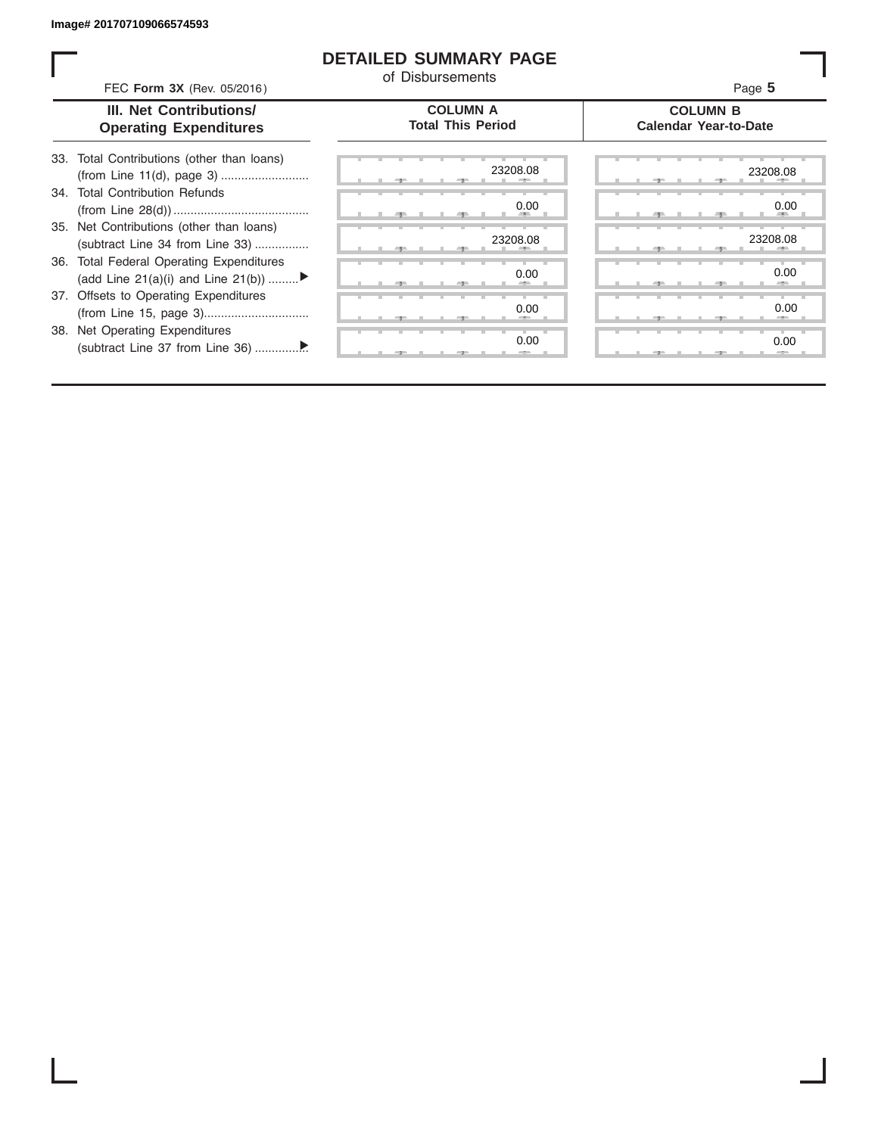#### **DETAILED SUMMARY PAGE**

of Disbursements

| FEC Form 3X (Rev. 05/2016) | Page 5 |
|----------------------------|--------|
|----------------------------|--------|

#### **III. Net Contributions/ Operating Expenditures**

| <b>COLUMN A</b> |                          |
|-----------------|--------------------------|
|                 | <b>Total This Period</b> |

ī

#### **COLUMN B Calendar Year-to-Date**

| 33. Total Contributions (other than loans) |  |
|--------------------------------------------|--|
|                                            |  |
| 34. Total Contribution Refunds             |  |
|                                            |  |
| 35. Net Contributions (other than loans)   |  |
| (subtract Line 34 from Line 33)            |  |
| 36. Total Federal Operating Expenditures   |  |
| (add Line 21(a)(i) and Line 21(b))         |  |
| 37. Offsets to Operating Expenditures      |  |
|                                            |  |
| 38. Net Operating Expenditures             |  |
|                                            |  |

|   |   | 一生    |   |   | -7- | 23208.08                 |
|---|---|-------|---|---|-----|--------------------------|
|   |   |       |   |   |     | 0.00                     |
| п | ٠ | -91   |   | ٠ | 49  | н.<br>٠                  |
| п |   |       |   |   |     | 23208.08<br>目            |
|   | л | 49    |   | л | -91 | л                        |
|   |   |       |   |   |     | 0.00                     |
|   |   | - 7 - |   |   | 一   | -                        |
|   | т | т     | ъ |   | ٠   | ъ<br>т<br>в<br>т<br>0.00 |
|   |   | 71    |   |   | ラー  | ×                        |
|   |   |       | т | т | т   | т<br>ъ<br>т<br>т<br>0.00 |
|   |   |       |   |   | э   | $-2-$                    |

| --    |  | 23208.08                     | 23208.08            |  |
|-------|--|------------------------------|---------------------|--|
|       |  |                              |                     |  |
|       |  | 0.00<br><b>All Contracts</b> | 0.00<br><b>AREA</b> |  |
|       |  |                              |                     |  |
|       |  | 23208.08                     | 23208.08<br>л       |  |
|       |  | 0.00                         | 0.00                |  |
|       |  | -                            | -                   |  |
|       |  |                              |                     |  |
|       |  | 0.00<br>--                   | 0.00<br>--          |  |
|       |  | 0.00                         | 0.00                |  |
| $-7-$ |  | $-$                          |                     |  |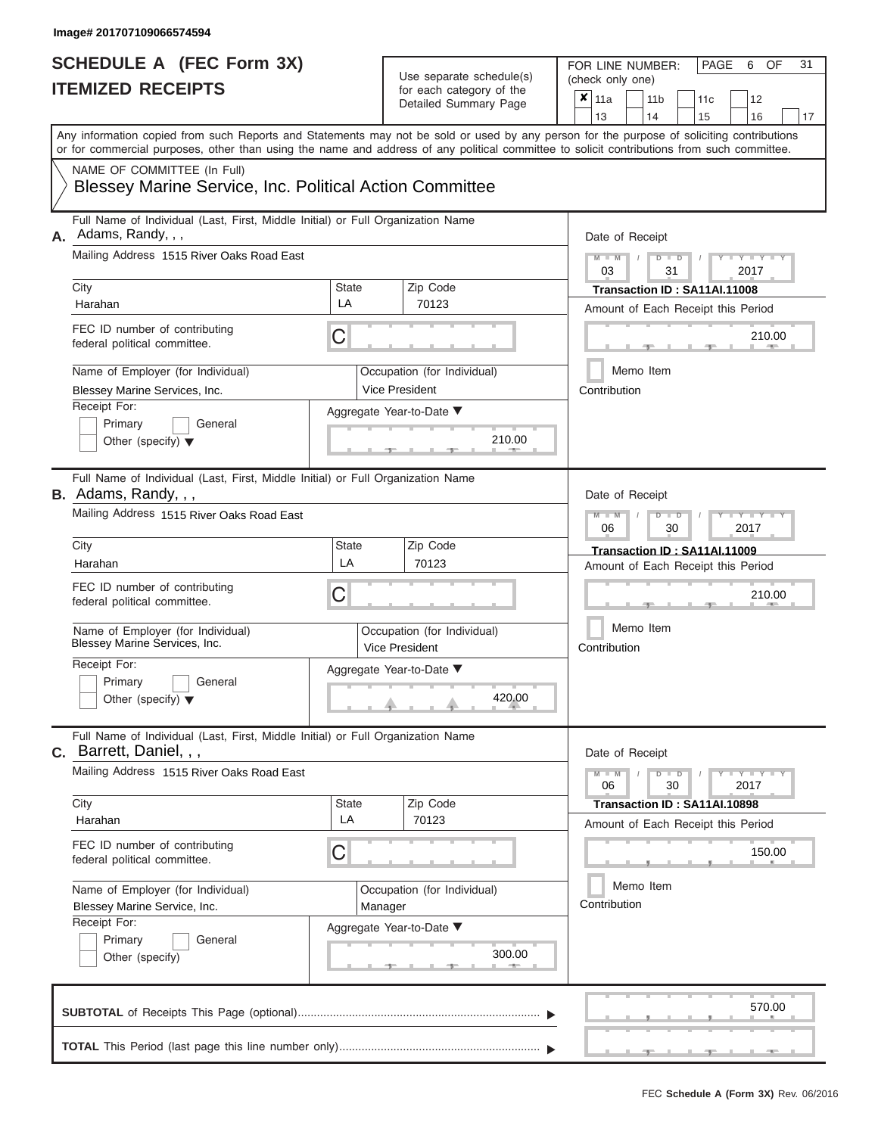| SCHEDULE A (FEC Form 3X)<br><b>ITEMIZED RECEIPTS</b>                                                                                                                                                                                                                                                                                                                                         |                         | Use separate schedule(s)<br>for each category of the<br>Detailed Summary Page                                   | 31<br>FOR LINE NUMBER:<br>PAGE<br>OF<br>6<br>(check only one)<br>$\overline{\mathbf{x}}$   11a<br>11 <sub>b</sub><br>11c<br>12<br>13<br>14<br>15<br>16<br>17                                                                                                                       |
|----------------------------------------------------------------------------------------------------------------------------------------------------------------------------------------------------------------------------------------------------------------------------------------------------------------------------------------------------------------------------------------------|-------------------------|-----------------------------------------------------------------------------------------------------------------|------------------------------------------------------------------------------------------------------------------------------------------------------------------------------------------------------------------------------------------------------------------------------------|
| Any information copied from such Reports and Statements may not be sold or used by any person for the purpose of soliciting contributions<br>or for commercial purposes, other than using the name and address of any political committee to solicit contributions from such committee.<br>NAME OF COMMITTEE (In Full)<br><b>Blessey Marine Service, Inc. Political Action Committee</b>     |                         |                                                                                                                 |                                                                                                                                                                                                                                                                                    |
| Full Name of Individual (Last, First, Middle Initial) or Full Organization Name<br>A. Adams, Randy, , ,<br>Mailing Address 1515 River Oaks Road East<br>City<br>Harahan<br>FEC ID number of contributing<br>federal political committee.<br>Name of Employer (for Individual)<br>Blessey Marine Services, Inc.<br>Receipt For:<br>Primary<br>General<br>Other (specify) $\blacktriangledown$ | <b>State</b><br>LA<br>C | Zip Code<br>70123<br>Occupation (for Individual)<br><b>Vice President</b><br>Aggregate Year-to-Date ▼<br>210.00 | Date of Receipt<br>$M - M$<br>$D$ $D$<br>Y TY T<br>$\sqrt{2}$<br>03<br>31<br>2017<br>Transaction ID: SA11AI.11008<br>Amount of Each Receipt this Period<br>210.00<br><b>AND</b><br>Memo Item<br>Contribution                                                                       |
| Full Name of Individual (Last, First, Middle Initial) or Full Organization Name<br>B. Adams, Randy, , ,<br>Mailing Address 1515 River Oaks Road East<br>City<br>Harahan<br>FEC ID number of contributing<br>federal political committee.<br>Name of Employer (for Individual)<br>Blessey Marine Services, Inc.<br>Receipt For:<br>Primary<br>General<br>Other (specify) $\blacktriangledown$ | State<br>LA<br>С        | Zip Code<br>70123<br>Occupation (for Individual)<br>Vice President<br>Aggregate Year-to-Date ▼<br>420.00        | Date of Receipt<br>$M - M$<br>$D$ $\Box$ $D$<br>$\blacksquare$ $\blacksquare$ $\blacksquare$ $\blacksquare$ $\blacksquare$ $\blacksquare$<br>06<br>2017<br>30<br>Transaction ID: SA11AI.11009<br>Amount of Each Receipt this Period<br>210.00<br>Memo Item<br>Contribution         |
| Full Name of Individual (Last, First, Middle Initial) or Full Organization Name<br>C. Barrett, Daniel, , ,<br>Mailing Address 1515 River Oaks Road East<br>City<br>Harahan<br>FEC ID number of contributing<br>federal political committee.<br>Name of Employer (for Individual)<br>Blessey Marine Service, Inc.<br>Receipt For:<br>Primary<br>General<br>Other (specify)                    | <b>State</b><br>LA<br>С | Zip Code<br>70123<br>Occupation (for Individual)<br>Manager<br>Aggregate Year-to-Date ▼<br>300.00               | Date of Receipt<br>$M - M$<br>$D$ $D$<br>$\blacksquare \blacksquare \mathsf{Y} \mathrel{\sqsubseteq} \mathsf{Y} \mathrel{\sqsubseteq} \mathsf{Y}$<br>30<br>2017<br>06<br>Transaction ID: SA11AI.10898<br>Amount of Each Receipt this Period<br>150.00<br>Memo Item<br>Contribution |
|                                                                                                                                                                                                                                                                                                                                                                                              |                         |                                                                                                                 | 570.00                                                                                                                                                                                                                                                                             |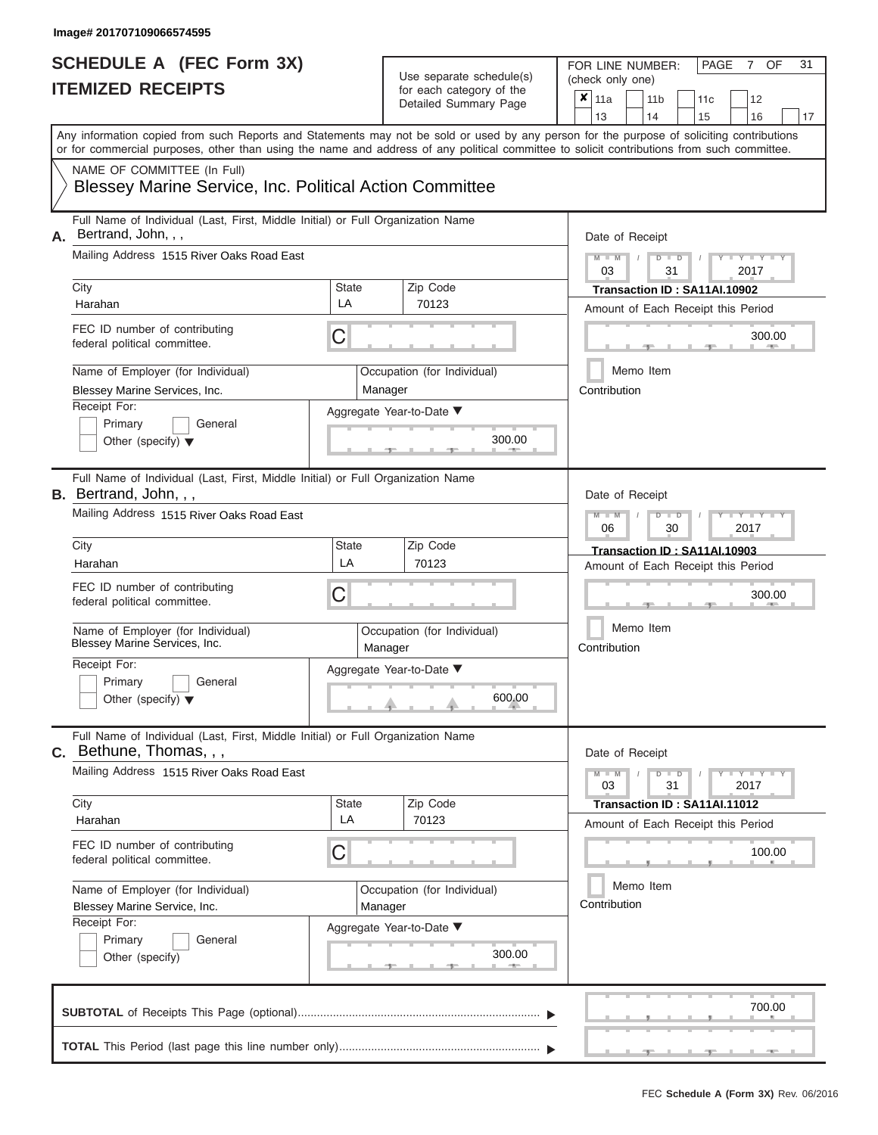| SCHEDULE A (FEC Form 3X)<br><b>ITEMIZED RECEIPTS</b>                                                                                                                                                                                                                                                                                                                                                  |                         | Use separate schedule(s)<br>for each category of the<br>Detailed Summary Page                     | 31<br>FOR LINE NUMBER:<br>PAGE<br>OF<br>7<br>(check only one)<br>$\overline{\mathbf{x}}$   11a<br>11 <sub>b</sub><br>11c<br>12<br>13<br>14<br>15<br>16<br>17                                                                                                                       |
|-------------------------------------------------------------------------------------------------------------------------------------------------------------------------------------------------------------------------------------------------------------------------------------------------------------------------------------------------------------------------------------------------------|-------------------------|---------------------------------------------------------------------------------------------------|------------------------------------------------------------------------------------------------------------------------------------------------------------------------------------------------------------------------------------------------------------------------------------|
| Any information copied from such Reports and Statements may not be sold or used by any person for the purpose of soliciting contributions<br>or for commercial purposes, other than using the name and address of any political committee to solicit contributions from such committee.<br>NAME OF COMMITTEE (In Full)<br><b>Blessey Marine Service, Inc. Political Action Committee</b>              |                         |                                                                                                   |                                                                                                                                                                                                                                                                                    |
| Full Name of Individual (Last, First, Middle Initial) or Full Organization Name<br>Bertrand, John, , ,<br>А.<br>Mailing Address 1515 River Oaks Road East<br>City<br>Harahan<br>FEC ID number of contributing<br>federal political committee.<br>Name of Employer (for Individual)<br>Blessey Marine Services, Inc.<br>Receipt For:<br>Primary<br>General<br>Other (specify) $\blacktriangledown$     | <b>State</b><br>LA<br>С | Zip Code<br>70123<br>Occupation (for Individual)<br>Manager<br>Aggregate Year-to-Date ▼<br>300.00 | Date of Receipt<br>$M - M$<br>$D$ $D$<br>Y TY T<br>$\sqrt{2}$<br>03<br>31<br>2017<br>Transaction ID: SA11AI.10902<br>Amount of Each Receipt this Period<br>300.00<br><b>CONTRACTOR</b><br>Memo Item<br>Contribution                                                                |
| Full Name of Individual (Last, First, Middle Initial) or Full Organization Name<br><b>B.</b> Bertrand, John, , ,<br>Mailing Address 1515 River Oaks Road East<br>City<br>Harahan<br>FEC ID number of contributing<br>federal political committee.<br>Name of Employer (for Individual)<br>Blessey Marine Services, Inc.<br>Receipt For:<br>Primary<br>General<br>Other (specify) $\blacktriangledown$ | State<br>LA<br>С        | Zip Code<br>70123<br>Occupation (for Individual)<br>Manager<br>Aggregate Year-to-Date ▼<br>600.00 | Date of Receipt<br>$M - M$<br>$D$ $\Box$ $D$<br>Y TYT<br>2017<br>06<br>30<br>Transaction ID: SA11AI.10903<br>Amount of Each Receipt this Period<br>300.00<br>Memo Item<br>Contribution                                                                                             |
| Full Name of Individual (Last, First, Middle Initial) or Full Organization Name<br>C. Bethune, Thomas, , ,<br>Mailing Address 1515 River Oaks Road East<br>City<br>Harahan<br>FEC ID number of contributing<br>federal political committee.<br>Name of Employer (for Individual)<br>Blessey Marine Service, Inc.<br>Receipt For:<br>Primary<br>General<br>Other (specify)                             | <b>State</b><br>LA<br>С | Zip Code<br>70123<br>Occupation (for Individual)<br>Manager<br>Aggregate Year-to-Date ▼<br>300.00 | Date of Receipt<br>$M - M$<br>$D$ $D$<br>$\blacksquare \blacksquare \mathsf{Y} \mathrel{\sqsubseteq} \mathsf{Y} \mathrel{\sqsubseteq} \mathsf{Y}$<br>31<br>03<br>2017<br>Transaction ID: SA11AI.11012<br>Amount of Each Receipt this Period<br>100.00<br>Memo Item<br>Contribution |
|                                                                                                                                                                                                                                                                                                                                                                                                       |                         |                                                                                                   | 700.00                                                                                                                                                                                                                                                                             |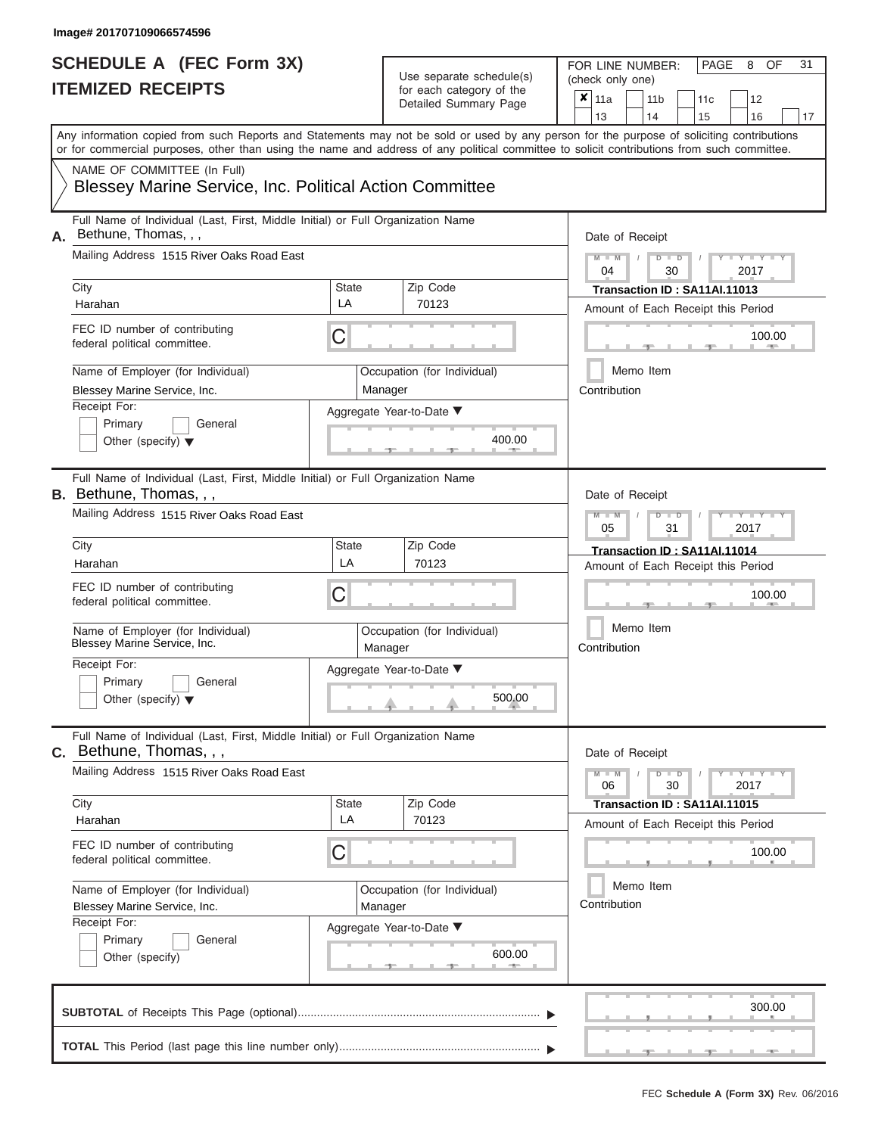| SCHEDULE A (FEC Form 3X)<br><b>ITEMIZED RECEIPTS</b>                                                                                                                                                                                                                                                                                                                                                  |                                    | Use separate schedule(s)<br>for each category of the<br>Detailed Summary Page                     | 31<br>FOR LINE NUMBER:<br>PAGE<br>OF<br>8<br>(check only one)<br>$\overline{\mathbf{x}}$   11a<br>11 <sub>b</sub><br>11c<br>12                                                                                                                                                     |
|-------------------------------------------------------------------------------------------------------------------------------------------------------------------------------------------------------------------------------------------------------------------------------------------------------------------------------------------------------------------------------------------------------|------------------------------------|---------------------------------------------------------------------------------------------------|------------------------------------------------------------------------------------------------------------------------------------------------------------------------------------------------------------------------------------------------------------------------------------|
| Any information copied from such Reports and Statements may not be sold or used by any person for the purpose of soliciting contributions<br>or for commercial purposes, other than using the name and address of any political committee to solicit contributions from such committee.<br>NAME OF COMMITTEE (In Full)<br><b>Blessey Marine Service, Inc. Political Action Committee</b>              |                                    |                                                                                                   | 13<br>14<br>15<br>16<br>17                                                                                                                                                                                                                                                         |
| Full Name of Individual (Last, First, Middle Initial) or Full Organization Name<br>Bethune, Thomas, , ,<br>А.<br>Mailing Address 1515 River Oaks Road East<br>City<br>Harahan<br>FEC ID number of contributing<br>federal political committee.<br>Name of Employer (for Individual)<br>Blessey Marine Service, Inc.<br>Receipt For:<br>Primary<br>General<br>Other (specify) $\blacktriangledown$     | <b>State</b><br>LA<br>С            | Zip Code<br>70123<br>Occupation (for Individual)<br>Manager<br>Aggregate Year-to-Date ▼<br>400.00 | Date of Receipt<br>$M - M$<br>$D$ $D$<br>Y TY T<br>$\sqrt{2}$<br>04<br>30<br>2017<br>Transaction ID: SA11AI.11013<br>Amount of Each Receipt this Period<br>100.00<br><b>STATISTICS</b><br>Memo Item<br>Contribution                                                                |
| Full Name of Individual (Last, First, Middle Initial) or Full Organization Name<br><b>B.</b> Bethune, Thomas, , ,<br>Mailing Address 1515 River Oaks Road East<br>City<br>Harahan<br>FEC ID number of contributing<br>federal political committee.<br>Name of Employer (for Individual)<br>Blessey Marine Service, Inc.<br>Receipt For:<br>Primary<br>General<br>Other (specify) $\blacktriangledown$ | State<br>LA<br>С                   | Zip Code<br>70123<br>Occupation (for Individual)<br>Manager<br>Aggregate Year-to-Date ▼<br>500.00 | Date of Receipt<br>$M - M$<br>$D$ $\Box$ $D$<br>Y TYT<br>05<br>31<br>2017<br>Transaction ID: SA11AI.11014<br>Amount of Each Receipt this Period<br>100.00<br>Memo Item<br>Contribution                                                                                             |
| Full Name of Individual (Last, First, Middle Initial) or Full Organization Name<br>C. Bethune, Thomas, , ,<br>Mailing Address 1515 River Oaks Road East<br>City<br>Harahan<br>FEC ID number of contributing<br>federal political committee.<br>Name of Employer (for Individual)<br>Blessey Marine Service, Inc.<br>Receipt For:<br>Primary<br>General<br>Other (specify)                             | <b>State</b><br>LA<br>С<br>Manager | Zip Code<br>70123<br>Occupation (for Individual)<br>Aggregate Year-to-Date ▼<br>600.00            | Date of Receipt<br>$M - M$<br>$D$ $D$<br>$\blacksquare \blacksquare \mathsf{Y} \mathrel{\sqsubseteq} \mathsf{Y} \mathrel{\sqsubseteq} \mathsf{Y}$<br>30<br>06<br>2017<br>Transaction ID: SA11AI.11015<br>Amount of Each Receipt this Period<br>100.00<br>Memo Item<br>Contribution |
|                                                                                                                                                                                                                                                                                                                                                                                                       |                                    |                                                                                                   | 300.00                                                                                                                                                                                                                                                                             |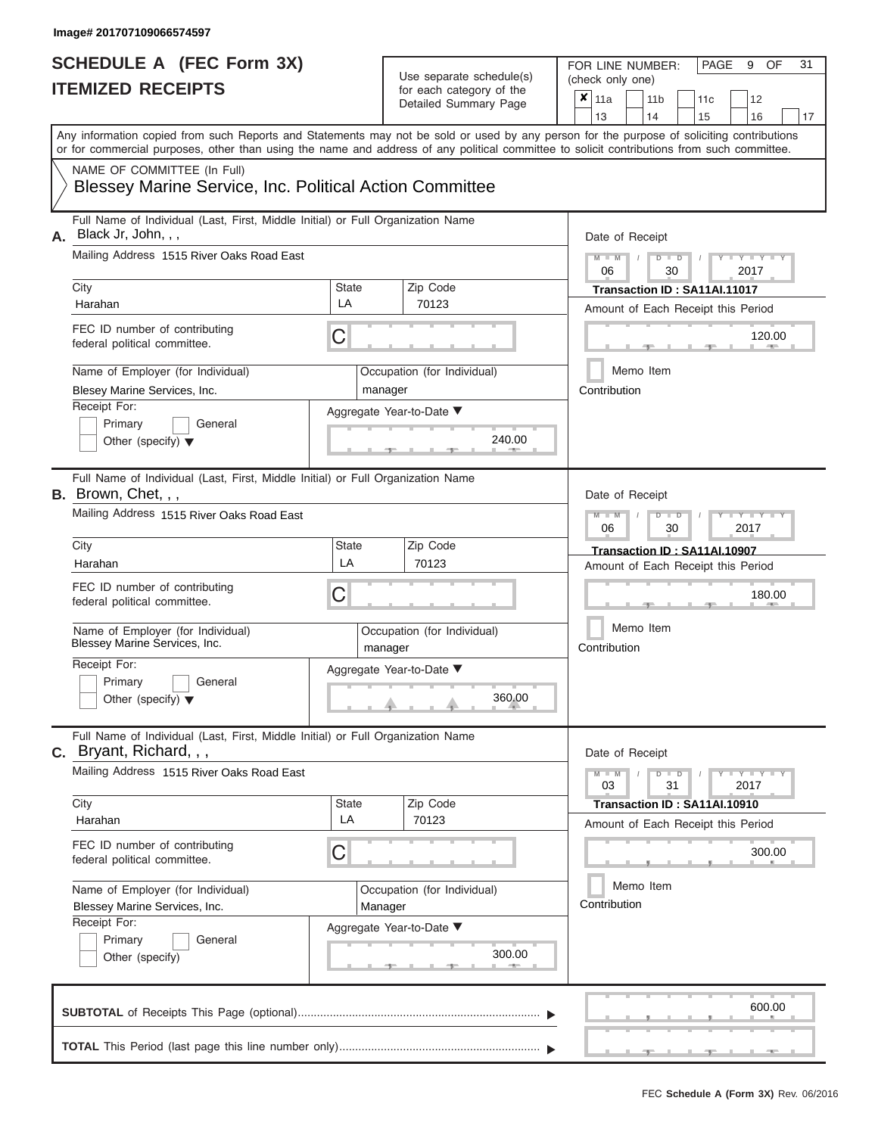| SCHEDULE A (FEC Form 3X)<br><b>ITEMIZED RECEIPTS</b>                                                                                                                                                                                                                                                                                                                                             |                                   | Use separate schedule(s)<br>for each category of the<br>Detailed Summary Page                     | 31<br>FOR LINE NUMBER:<br>PAGE<br>9<br>OF<br>(check only one)<br>$\overline{\mathbf{x}}$   11a<br>11 <sub>b</sub><br>11 <sub>c</sub><br>12                                                                                                                          |
|--------------------------------------------------------------------------------------------------------------------------------------------------------------------------------------------------------------------------------------------------------------------------------------------------------------------------------------------------------------------------------------------------|-----------------------------------|---------------------------------------------------------------------------------------------------|---------------------------------------------------------------------------------------------------------------------------------------------------------------------------------------------------------------------------------------------------------------------|
| Any information copied from such Reports and Statements may not be sold or used by any person for the purpose of soliciting contributions<br>or for commercial purposes, other than using the name and address of any political committee to solicit contributions from such committee.<br>NAME OF COMMITTEE (In Full)<br>Blessey Marine Service, Inc. Political Action Committee                |                                   |                                                                                                   | 13<br>14<br>15<br>16<br>17                                                                                                                                                                                                                                          |
| Full Name of Individual (Last, First, Middle Initial) or Full Organization Name<br>Black Jr, John, , ,<br>А.<br>Mailing Address 1515 River Oaks Road East<br>City<br>Harahan<br>FEC ID number of contributing<br>federal political committee.<br>Name of Employer (for Individual)<br>Blesey Marine Services, Inc.<br>Receipt For:<br>Primary<br>General<br>Other (specify) $\blacktriangledown$ | <b>State</b><br>LA<br>С           | Zip Code<br>70123<br>Occupation (for Individual)<br>manager<br>Aggregate Year-to-Date ▼<br>240.00 | Date of Receipt<br>$M$ – $M$ /<br>Y TY<br>$D$ $D$<br>06<br>2017<br>30<br>Transaction ID: SA11AI.11017<br>Amount of Each Receipt this Period<br>120.00<br><b>AND IN</b><br>Memo Item<br>Contribution                                                                 |
| Full Name of Individual (Last, First, Middle Initial) or Full Organization Name<br>B. Brown, Chet, , ,<br>Mailing Address 1515 River Oaks Road East<br>City<br>Harahan<br>FEC ID number of contributing<br>federal political committee.<br>Name of Employer (for Individual)<br>Blessey Marine Services, Inc.<br>Receipt For:<br>Primary<br>General<br>Other (specify) $\blacktriangledown$      | <b>State</b><br>LA<br>С           | Zip Code<br>70123<br>Occupation (for Individual)<br>manager<br>Aggregate Year-to-Date ▼<br>360.00 | Date of Receipt<br>$M - M$<br>$\blacksquare$ $\blacksquare$ $\blacksquare$ $\blacksquare$ $\blacksquare$ $\blacksquare$<br>$D$ $D$<br>06<br>30<br>2017<br>Transaction ID: SA11AI.10907<br>Amount of Each Receipt this Period<br>180.00<br>Memo Item<br>Contribution |
| Full Name of Individual (Last, First, Middle Initial) or Full Organization Name<br><b>C.</b> Bryant, Richard, , ,<br>Mailing Address 1515 River Oaks Road East<br>City<br>Harahan<br>FEC ID number of contributing<br>federal political committee.<br>Name of Employer (for Individual)<br>Blessey Marine Services, Inc.<br>Receipt For:<br>Primary<br>General<br>Other (specify)                | <b>State</b><br>LA<br>$\mathsf C$ | Zip Code<br>70123<br>Occupation (for Individual)<br>Manager<br>Aggregate Year-to-Date ▼<br>300.00 | Date of Receipt<br>$M - M$<br>$D$ $D$<br>$Y = Y = Y + Y$<br>03<br>31<br>2017<br>Transaction ID: SA11AI.10910<br>Amount of Each Receipt this Period<br>300.00<br>Memo Item<br>Contribution                                                                           |
|                                                                                                                                                                                                                                                                                                                                                                                                  |                                   |                                                                                                   | 600.00                                                                                                                                                                                                                                                              |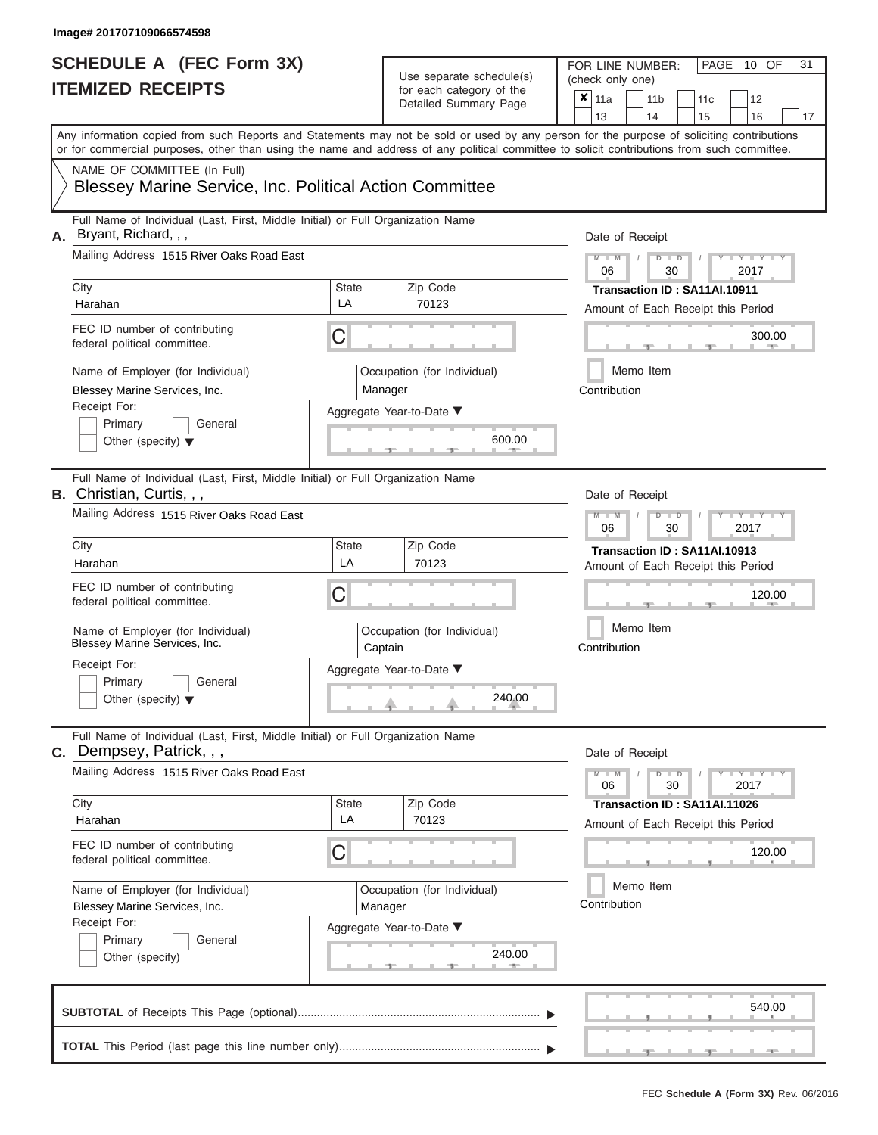| SCHEDULE A (FEC Form 3X)<br><b>ITEMIZED RECEIPTS</b>                                                                                                                                                                                                                                                                                                                                               |                         | Use separate schedule(s)<br>for each category of the<br>Detailed Summary Page                           | 31<br>FOR LINE NUMBER:<br>PAGE<br>10 OF<br>(check only one)<br>$\boldsymbol{x}$<br>11a<br>11 <sub>b</sub><br>11c<br>12<br>13<br>14<br>15<br>16<br>17                                                                     |
|----------------------------------------------------------------------------------------------------------------------------------------------------------------------------------------------------------------------------------------------------------------------------------------------------------------------------------------------------------------------------------------------------|-------------------------|---------------------------------------------------------------------------------------------------------|--------------------------------------------------------------------------------------------------------------------------------------------------------------------------------------------------------------------------|
| Any information copied from such Reports and Statements may not be sold or used by any person for the purpose of soliciting contributions<br>or for commercial purposes, other than using the name and address of any political committee to solicit contributions from such committee.<br>NAME OF COMMITTEE (In Full)<br><b>Blessey Marine Service, Inc. Political Action Committee</b>           |                         |                                                                                                         |                                                                                                                                                                                                                          |
| Full Name of Individual (Last, First, Middle Initial) or Full Organization Name<br>Bryant, Richard, , ,<br>А.<br>Mailing Address 1515 River Oaks Road East<br>City<br>Harahan<br>FEC ID number of contributing<br>federal political committee.<br>Name of Employer (for Individual)<br>Blessey Marine Services, Inc.<br>Receipt For:<br>Primary<br>General<br>Other (specify) $\blacktriangledown$ | <b>State</b><br>LA<br>С | Zip Code<br>70123<br>Occupation (for Individual)<br>Manager<br>Aggregate Year-to-Date ▼<br>600.00       | Date of Receipt<br>$M - M$<br>$D$ $D$<br>$Y - Y - I$<br>$\sqrt{ }$<br>06<br>30<br>2017<br>Transaction ID: SA11AI.10911<br>Amount of Each Receipt this Period<br>300.00<br><b>CONTRACTOR</b><br>Memo Item<br>Contribution |
| Full Name of Individual (Last, First, Middle Initial) or Full Organization Name<br>B. Christian, Curtis, , ,<br>Mailing Address 1515 River Oaks Road East<br>City<br>Harahan<br>FEC ID number of contributing<br>federal political committee.<br>Name of Employer (for Individual)<br>Blessey Marine Services, Inc.<br>Receipt For:<br>Primary<br>General<br>Other (specify) $\blacktriangledown$  | State<br>LA<br>С        | Zip Code<br>70123<br>Occupation (for Individual)<br>Captain<br>Aggregate Year-to-Date ▼<br>240.00<br>J. | Date of Receipt<br>$M - M$<br>$D$ $\Box$ $D$<br>Y TYT<br>2017<br>06<br>30<br>Transaction ID: SA11AI.10913<br>Amount of Each Receipt this Period<br>120.00<br>Memo Item<br>Contribution                                   |
| Full Name of Individual (Last, First, Middle Initial) or Full Organization Name<br>C. Dempsey, Patrick, , ,<br>Mailing Address 1515 River Oaks Road East<br>City<br>Harahan<br>FEC ID number of contributing<br>federal political committee.<br>Name of Employer (for Individual)<br>Blessey Marine Services, Inc.<br>Receipt For:<br>Primary<br>General<br>Other (specify)                        | State<br>LA<br>С        | Zip Code<br>70123<br>Occupation (for Individual)<br>Manager<br>Aggregate Year-to-Date ▼<br>240.00       | Date of Receipt<br>$M - M$<br>$D$ $D$<br>$T-T$ $T$ $T$ $T$ $T$ $T$ $T$<br>30<br>2017<br>06<br>Transaction ID: SA11AI.11026<br>Amount of Each Receipt this Period<br>120.00<br>Memo Item<br>Contribution                  |
|                                                                                                                                                                                                                                                                                                                                                                                                    |                         |                                                                                                         | 540.00                                                                                                                                                                                                                   |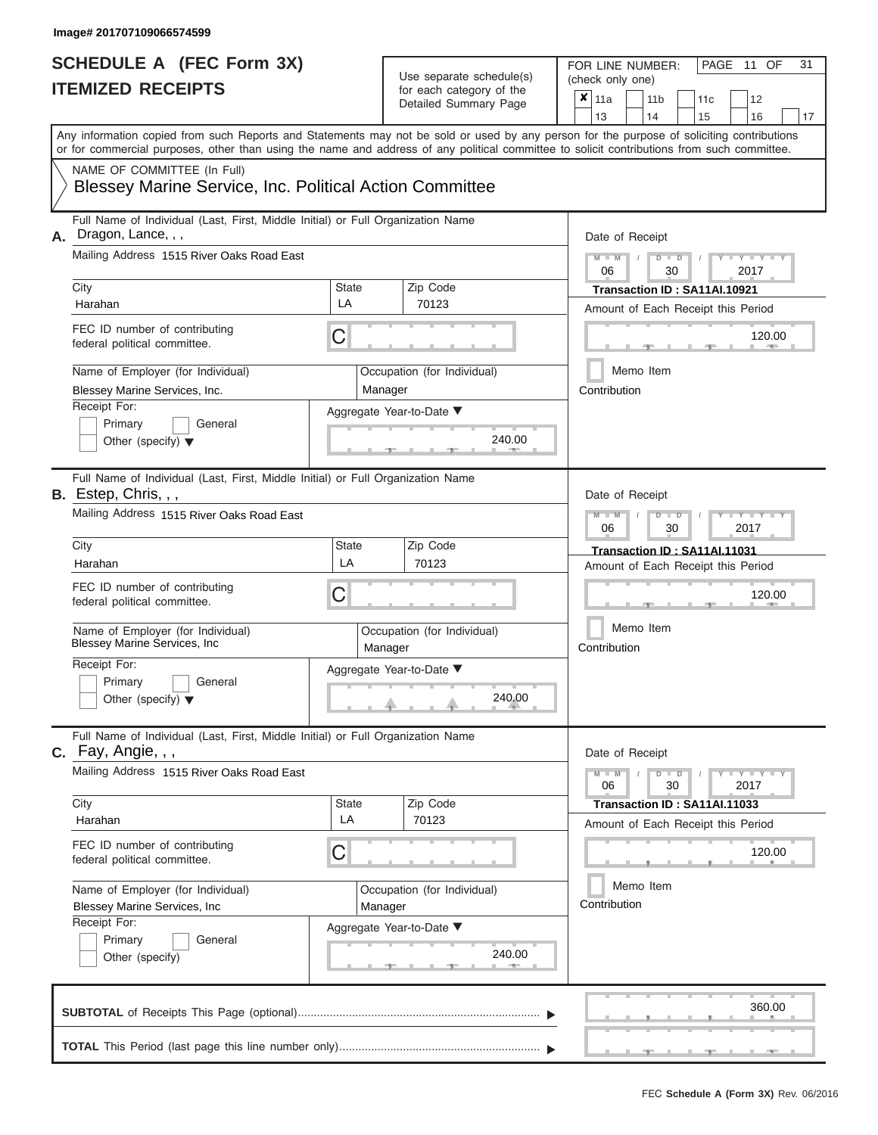# **SCHEDULE A (FEC Form 3X)**

| SCHEDULE A (FEC Form 3X)<br><b>ITEMIZED RECEIPTS</b>                                                                                                                                                                                                                                                                                                                                             |                         | Use separate schedule(s)<br>for each category of the<br>Detailed Summary Page                     | 31<br>FOR LINE NUMBER:<br>PAGE 11 OF<br>(check only one)<br>×<br>11a<br>11 <sub>b</sub><br>11 <sub>c</sub><br>12                                                                                                         |
|--------------------------------------------------------------------------------------------------------------------------------------------------------------------------------------------------------------------------------------------------------------------------------------------------------------------------------------------------------------------------------------------------|-------------------------|---------------------------------------------------------------------------------------------------|--------------------------------------------------------------------------------------------------------------------------------------------------------------------------------------------------------------------------|
| Any information copied from such Reports and Statements may not be sold or used by any person for the purpose of soliciting contributions<br>or for commercial purposes, other than using the name and address of any political committee to solicit contributions from such committee.<br>NAME OF COMMITTEE (In Full)<br><b>Blessey Marine Service, Inc. Political Action Committee</b>         |                         |                                                                                                   | 13<br>14<br>15<br>16<br>17                                                                                                                                                                                               |
| Full Name of Individual (Last, First, Middle Initial) or Full Organization Name<br>Dragon, Lance, , ,<br>А.<br>Mailing Address 1515 River Oaks Road East<br>City<br>Harahan<br>FEC ID number of contributing<br>federal political committee.<br>Name of Employer (for Individual)<br>Blessey Marine Services, Inc.<br>Receipt For:<br>Primary<br>General<br>Other (specify) $\blacktriangledown$ | State<br>LA<br>С        | Zip Code<br>70123<br>Occupation (for Individual)<br>Manager<br>Aggregate Year-to-Date ▼<br>240.00 | Date of Receipt<br>$M - M$ /<br>$D$ $D$<br>$Y - Y - I$<br>06<br>30<br>2017<br>Transaction ID: SA11AI.10921<br>Amount of Each Receipt this Period<br>120.00<br><b>AND</b><br>Memo Item<br>Contribution                    |
| Full Name of Individual (Last, First, Middle Initial) or Full Organization Name<br>B. Estep, Chris, , ,<br>Mailing Address 1515 River Oaks Road East<br>City<br>Harahan<br>FEC ID number of contributing<br>federal political committee.<br>Name of Employer (for Individual)<br>Blessey Marine Services, Inc<br>Receipt For:<br>Primary<br>General<br>Other (specify) $\blacktriangledown$      | <b>State</b><br>LA<br>С | Zip Code<br>70123<br>Occupation (for Individual)<br>Manager<br>Aggregate Year-to-Date ▼<br>240.00 | Date of Receipt<br>$M - M$<br>$D$ $D$<br>$\Box$ $\Upsilon$ $\Box$ $\Upsilon$ $\Upsilon$<br>06<br>2017<br>30<br>Transaction ID: SA11AI.11031<br>Amount of Each Receipt this Period<br>120.00<br>Memo Item<br>Contribution |
| Full Name of Individual (Last, First, Middle Initial) or Full Organization Name<br>$c.$ Fay, Angie, , ,<br>Mailing Address 1515 River Oaks Road East<br>City<br>Harahan<br>FEC ID number of contributing<br>federal political committee.<br>Name of Employer (for Individual)<br><b>Blessey Marine Services, Inc.</b><br>Receipt For:<br>Primary<br>General<br>Other (specify)                   | <b>State</b><br>LA<br>С | Zip Code<br>70123<br>Occupation (for Individual)<br>Manager<br>Aggregate Year-to-Date ▼<br>240.00 | Date of Receipt<br>$M - M$<br>$D$ $D$<br>$T - Y = Y - T Y$<br>06<br>30<br>2017<br>Transaction ID: SA11AI.11033<br>Amount of Each Receipt this Period<br>120.00<br>Memo Item<br>Contribution                              |
|                                                                                                                                                                                                                                                                                                                                                                                                  |                         |                                                                                                   | 360.00<br>$-1$<br>$-1$                                                                                                                                                                                                   |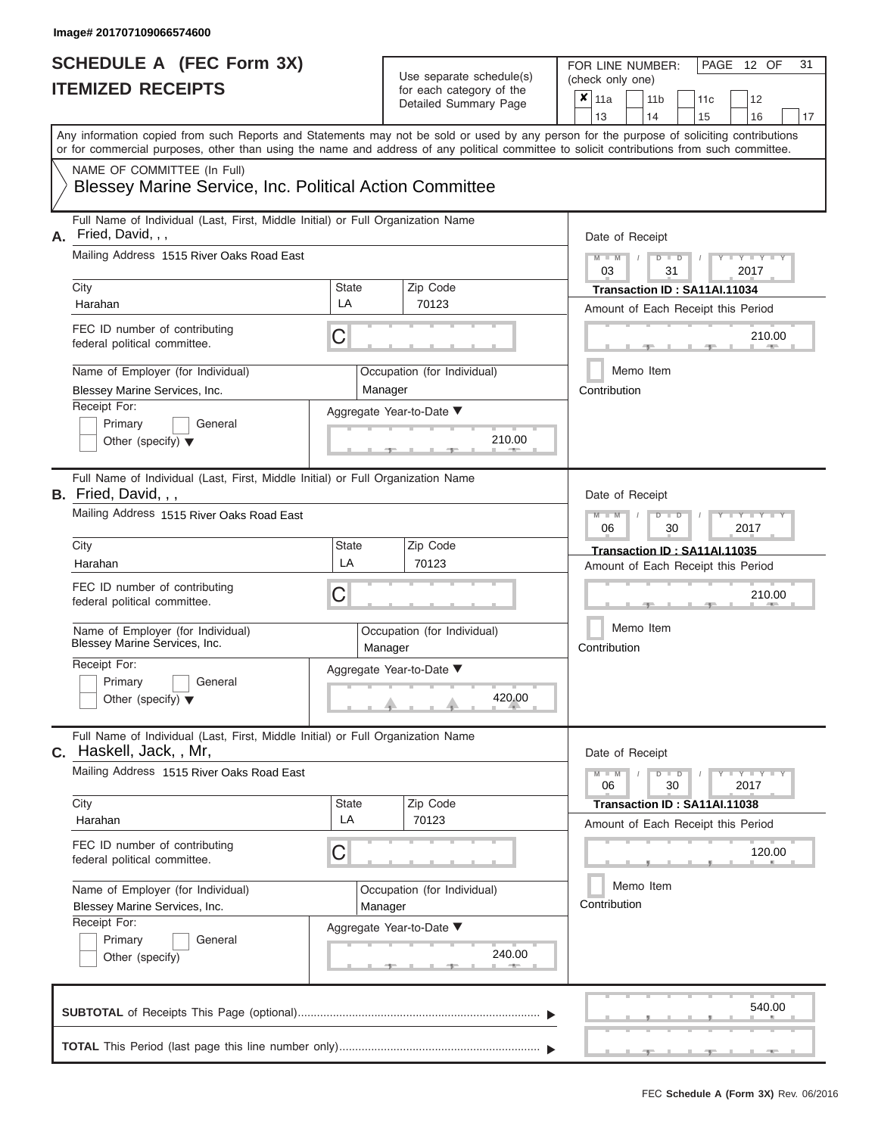| SCHEDULE A (FEC Form 3X)<br><b>ITEMIZED RECEIPTS</b>                                                                                                                                                                                                                                                                                                                                                |                         | Use separate schedule(s)<br>for each category of the<br>Detailed Summary Page                     | 31<br>FOR LINE NUMBER:<br>PAGE 12 OF<br>(check only one)<br>$\overline{\mathbf{x}}$   11a<br>11 <sub>b</sub><br>12<br>11c<br>13<br>14<br>15<br>16<br>17                                                                                                                    |
|-----------------------------------------------------------------------------------------------------------------------------------------------------------------------------------------------------------------------------------------------------------------------------------------------------------------------------------------------------------------------------------------------------|-------------------------|---------------------------------------------------------------------------------------------------|----------------------------------------------------------------------------------------------------------------------------------------------------------------------------------------------------------------------------------------------------------------------------|
| Any information copied from such Reports and Statements may not be sold or used by any person for the purpose of soliciting contributions<br>or for commercial purposes, other than using the name and address of any political committee to solicit contributions from such committee.<br>NAME OF COMMITTEE (In Full)<br>Blessey Marine Service, Inc. Political Action Committee                   |                         |                                                                                                   |                                                                                                                                                                                                                                                                            |
| Full Name of Individual (Last, First, Middle Initial) or Full Organization Name<br>A. Fried, David, , ,<br>Mailing Address 1515 River Oaks Road East<br>City<br>Harahan<br>FEC ID number of contributing<br>federal political committee.<br>Name of Employer (for Individual)<br>Blessey Marine Services, Inc.<br>Receipt For:<br>Primary<br>General<br>Other (specify) $\blacktriangledown$        | State<br>LA<br>С        | Zip Code<br>70123<br>Occupation (for Individual)<br>Manager<br>Aggregate Year-to-Date ▼<br>210.00 | Date of Receipt<br>$M - M$<br>$D$ $D$<br>Y TY T<br>$\frac{1}{2}$<br>03<br>31<br>2017<br>Transaction ID: SA11AI.11034<br>Amount of Each Receipt this Period<br>210.00<br><b>STATE</b><br>Memo Item<br>Contribution                                                          |
| Full Name of Individual (Last, First, Middle Initial) or Full Organization Name<br><b>B.</b> Fried, David, , ,<br>Mailing Address 1515 River Oaks Road East<br>City<br>Harahan<br>FEC ID number of contributing<br>federal political committee.<br>Name of Employer (for Individual)<br>Blessey Marine Services, Inc.<br>Receipt For:<br>Primary<br>General<br>Other (specify) $\blacktriangledown$ | <b>State</b><br>LA<br>С | Zip Code<br>70123<br>Occupation (for Individual)<br>Manager<br>Aggregate Year-to-Date ▼<br>420.00 | Date of Receipt<br>$M - M$<br>$D$ $\Box$ $D$<br>$\blacksquare$ $\blacksquare$ $\blacksquare$ $\blacksquare$ $\blacksquare$ $\blacksquare$<br>2017<br>06<br>30<br>Transaction ID: SA11AI.11035<br>Amount of Each Receipt this Period<br>210.00<br>Memo Item<br>Contribution |
| Full Name of Individual (Last, First, Middle Initial) or Full Organization Name<br>C. Haskell, Jack,, Mr,<br>Mailing Address 1515 River Oaks Road East<br>City<br>Harahan<br>FEC ID number of contributing<br>federal political committee.<br>Name of Employer (for Individual)<br>Blessey Marine Services, Inc.<br>Receipt For:<br>Primary<br>General<br>Other (specify)                           | <b>State</b><br>LA<br>С | Zip Code<br>70123<br>Occupation (for Individual)<br>Manager<br>Aggregate Year-to-Date ▼<br>240.00 | Date of Receipt<br>$M - M$<br>$D$ $D$<br>$\mathbf{I} = \mathbf{Y} + \mathbf{I} + \mathbf{Y} + \mathbf{I}$<br>30<br>2017<br>06<br>Transaction ID: SA11AI.11038<br>Amount of Each Receipt this Period<br>120.00<br>Memo Item<br>Contribution                                 |
|                                                                                                                                                                                                                                                                                                                                                                                                     |                         |                                                                                                   | 540.00                                                                                                                                                                                                                                                                     |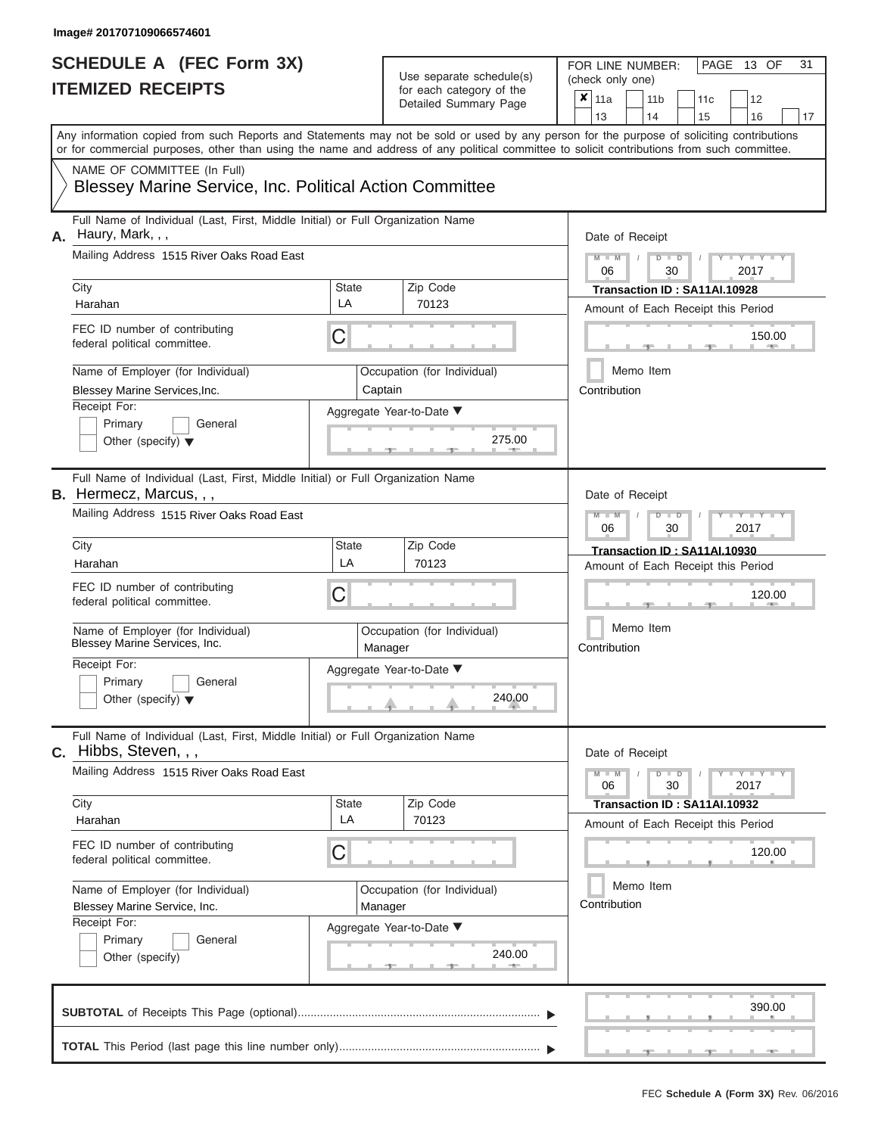| <b>SCHEDULE A (FEC Form 3X)</b><br><b>ITEMIZED RECEIPTS</b> |                                                                                                                                                                                                                                                                                         | Use separate schedule(s)<br>for each category of the | PAGE 13 OF<br>31<br>FOR LINE NUMBER:<br>(check only one)                     |                                                                                           |
|-------------------------------------------------------------|-----------------------------------------------------------------------------------------------------------------------------------------------------------------------------------------------------------------------------------------------------------------------------------------|------------------------------------------------------|------------------------------------------------------------------------------|-------------------------------------------------------------------------------------------|
|                                                             |                                                                                                                                                                                                                                                                                         |                                                      | Detailed Summary Page                                                        | $x \vert_{11a}$<br>11 <sub>b</sub><br>11 <sub>c</sub><br>12<br>13<br>14<br>15<br>16<br>17 |
|                                                             | Any information copied from such Reports and Statements may not be sold or used by any person for the purpose of soliciting contributions<br>or for commercial purposes, other than using the name and address of any political committee to solicit contributions from such committee. |                                                      |                                                                              |                                                                                           |
|                                                             | NAME OF COMMITTEE (In Full)<br>Blessey Marine Service, Inc. Political Action Committee                                                                                                                                                                                                  |                                                      |                                                                              |                                                                                           |
| А.                                                          | Full Name of Individual (Last, First, Middle Initial) or Full Organization Name<br>Haury, Mark, , ,<br>Mailing Address 1515 River Oaks Road East                                                                                                                                        |                                                      |                                                                              | Date of Receipt<br>$M - M$<br>$Y = Y$<br>$D$ $D$<br>06<br>2017<br>30                      |
|                                                             | City<br>Harahan                                                                                                                                                                                                                                                                         | State<br>LA                                          | Zip Code<br>70123                                                            | Transaction ID: SA11AI.10928                                                              |
|                                                             | FEC ID number of contributing<br>federal political committee.                                                                                                                                                                                                                           | C                                                    |                                                                              | Amount of Each Receipt this Period<br>150.00                                              |
|                                                             | Name of Employer (for Individual)<br>Blessey Marine Services, Inc.<br>Receipt For:<br>Primary<br>General<br>Other (specify) $\blacktriangledown$                                                                                                                                        |                                                      | Occupation (for Individual)<br>Captain<br>Aggregate Year-to-Date ▼<br>275.00 | Memo Item<br>Contribution                                                                 |
|                                                             | Full Name of Individual (Last, First, Middle Initial) or Full Organization Name<br><b>B.</b> Hermecz, Marcus, , ,<br>Mailing Address 1515 River Oaks Road East                                                                                                                          | Date of Receipt<br>$M - M$<br>$Y - Y - I$<br>$D$ $D$ |                                                                              |                                                                                           |
|                                                             | City<br>Harahan<br>FEC ID number of contributing                                                                                                                                                                                                                                        | State<br>LA                                          | Zip Code<br>70123                                                            | 06<br>30<br>2017<br>Transaction ID: SA11AI.10930<br>Amount of Each Receipt this Period    |
|                                                             | federal political committee.<br>Name of Employer (for Individual)<br>Blessey Marine Services, Inc.<br>Receipt For:<br>Primary<br>General                                                                                                                                                | С                                                    | Occupation (for Individual)<br>Manager<br>Aggregate Year-to-Date ▼           | 120.00<br>Memo Item<br>Contribution                                                       |
|                                                             | Other (specify) $\blacktriangledown$                                                                                                                                                                                                                                                    |                                                      | 240.00                                                                       |                                                                                           |
|                                                             | Full Name of Individual (Last, First, Middle Initial) or Full Organization Name<br>$c.$ Hibbs, Steven, , ,                                                                                                                                                                              |                                                      |                                                                              | Date of Receipt                                                                           |
|                                                             | Mailing Address 1515 River Oaks Road East                                                                                                                                                                                                                                               |                                                      |                                                                              | $M - M$<br>$D$ $D$<br>$  Y$ $  Y$ $  Y$<br>06<br>30<br>2017                               |
|                                                             | City<br>Harahan                                                                                                                                                                                                                                                                         | State<br>LA                                          | Zip Code<br>70123                                                            | Transaction ID: SA11AI.10932<br>Amount of Each Receipt this Period                        |
|                                                             | FEC ID number of contributing<br>federal political committee.                                                                                                                                                                                                                           | C                                                    |                                                                              | 120.00                                                                                    |
|                                                             | Name of Employer (for Individual)<br>Blessey Marine Service, Inc.<br>Receipt For:                                                                                                                                                                                                       |                                                      | Occupation (for Individual)<br>Manager<br>Aggregate Year-to-Date ▼           | Memo Item<br>Contribution                                                                 |
|                                                             | Primary<br>General<br>Other (specify)                                                                                                                                                                                                                                                   |                                                      | 240.00                                                                       |                                                                                           |
|                                                             |                                                                                                                                                                                                                                                                                         |                                                      |                                                                              | 390.00                                                                                    |
|                                                             |                                                                                                                                                                                                                                                                                         |                                                      |                                                                              |                                                                                           |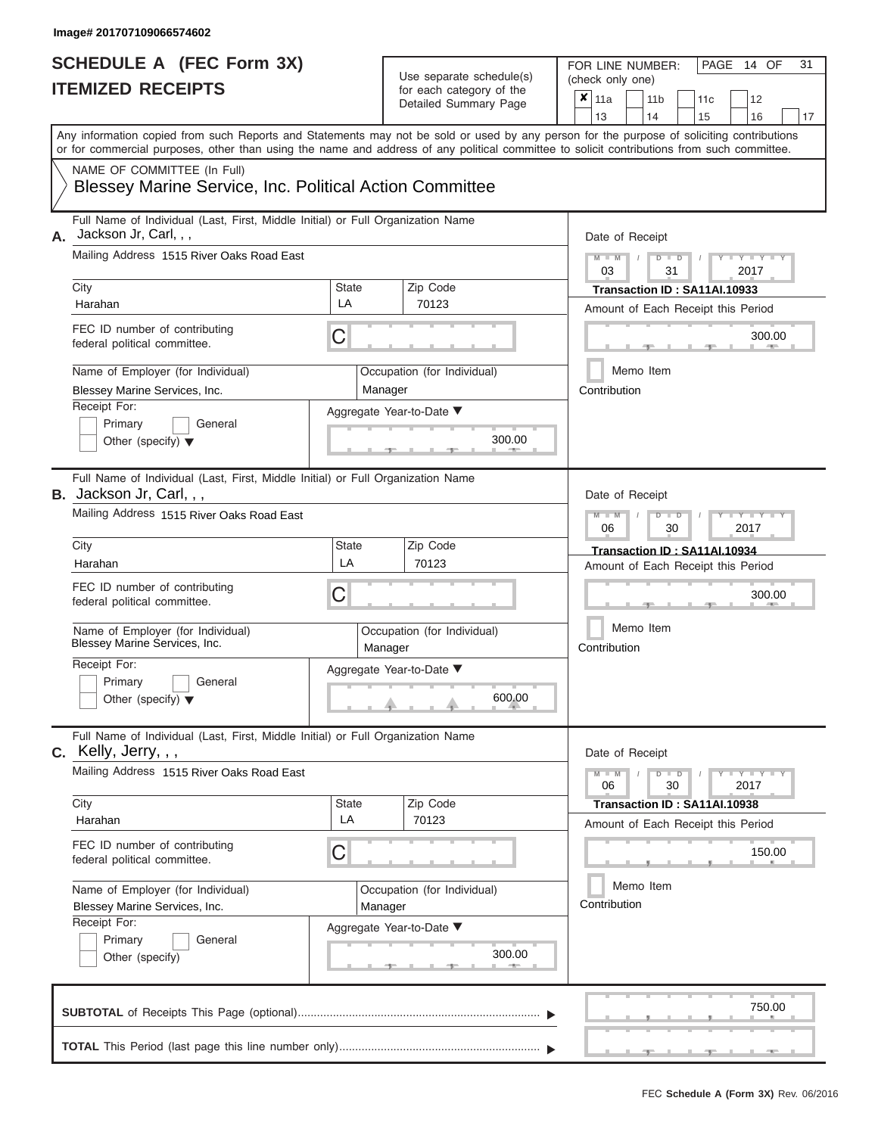| IIEMIZED RECEIPIS                                                                                                                                           | for each category of the<br>Detailed Summary Page                                                                                          | ×<br>11a<br>11 <sub>b</sub><br>12<br>11c<br>13<br>14<br>16<br>15<br>17                                                                    |
|-------------------------------------------------------------------------------------------------------------------------------------------------------------|--------------------------------------------------------------------------------------------------------------------------------------------|-------------------------------------------------------------------------------------------------------------------------------------------|
|                                                                                                                                                             | or for commercial purposes, other than using the name and address of any political committee to solicit contributions from such committee. | Any information copied from such Reports and Statements may not be sold or used by any person for the purpose of soliciting contributions |
| NAME OF COMMITTEE (In Full)<br><b>Blessey Marine Service, Inc. Political Action Committee</b>                                                               |                                                                                                                                            |                                                                                                                                           |
| Full Name of Individual (Last, First, Middle Initial) or Full Organization Name<br>Jackson Jr, Carl, , ,<br>А.<br>Mailing Address 1515 River Oaks Road East | Date of Receipt                                                                                                                            |                                                                                                                                           |
| City                                                                                                                                                        | Zip Code<br>State                                                                                                                          | $Y - Y$<br>$\Box$<br>ъ<br>2017<br>03<br>31<br>Transaction ID: SA11AI.10933                                                                |
| Harahan                                                                                                                                                     | LA<br>70123                                                                                                                                | Amount of Each Receipt this Period                                                                                                        |
| FEC ID number of contributing<br>federal political committee.                                                                                               | C                                                                                                                                          | 300.00                                                                                                                                    |
| Name of Employer (for Individual)<br>Blessey Marine Services, Inc.                                                                                          | Occupation (for Individual)<br>Manager                                                                                                     | Memo Item<br>Contribution                                                                                                                 |
| Receipt For:<br>Primary<br>General<br>Other (specify) $\blacktriangledown$                                                                                  | Aggregate Year-to-Date ▼<br>300.00                                                                                                         |                                                                                                                                           |
| Full Name of Individual (Last, First, Middle Initial) or Full Organization Name<br><b>B.</b> Jackson Jr, Carl, $,$                                          |                                                                                                                                            | Date of Receipt                                                                                                                           |
| Mailing Address 1515 River Oaks Road East                                                                                                                   |                                                                                                                                            | $\blacksquare$<br>D<br>06<br>30<br>2017                                                                                                   |
| City<br>Harahan                                                                                                                                             | Zip Code<br>State<br>LA<br>70123                                                                                                           | Transaction ID: SA11AI.10934<br>Amount of Each Receipt this Period                                                                        |
| FEC ID number of contributing<br>federal political committee.                                                                                               | C                                                                                                                                          | 300.00                                                                                                                                    |
| Name of Employer (for Individual)<br>Blessey Marine Services, Inc.                                                                                          | Occupation (for Individual)<br>Manager                                                                                                     | Memo Item<br>Contribution                                                                                                                 |
| Receipt For:<br>Primary<br>General<br>Other (specify) $\blacktriangledown$                                                                                  | Aggregate Year-to-Date ▼<br>600.00                                                                                                         |                                                                                                                                           |
| Full Name of Individual (Last, First, Middle Initial) or Full Organization Name<br>$C.$ Kelly, Jerry, , ,                                                   |                                                                                                                                            | Date of Receipt                                                                                                                           |
| Mailing Address 1515 River Oaks Road East                                                                                                                   |                                                                                                                                            | $Y = Y =$<br>$\Box$<br>$\overline{D}$<br>M<br>06<br>30<br>2017                                                                            |
| City<br>Harahan                                                                                                                                             | Zip Code<br>State<br>LA<br>70123                                                                                                           | Transaction ID: SA11AI.10938                                                                                                              |
| FEC ID number of contributing<br>federal political committee.                                                                                               | C                                                                                                                                          | Amount of Each Receipt this Period<br>150.00                                                                                              |
| Name of Employer (for Individual)<br>Blessey Marine Services, Inc.                                                                                          | Occupation (for Individual)<br>Manager                                                                                                     | Memo Item<br>Contribution                                                                                                                 |
| Receipt For:                                                                                                                                                | Aggregate Year-to-Date ▼                                                                                                                   |                                                                                                                                           |
| Primary<br>General<br>Other (specify)                                                                                                                       | 300.00                                                                                                                                     |                                                                                                                                           |
|                                                                                                                                                             |                                                                                                                                            | 750.00                                                                                                                                    |
|                                                                                                                                                             |                                                                                                                                            |                                                                                                                                           |

PAGE 14 OF 31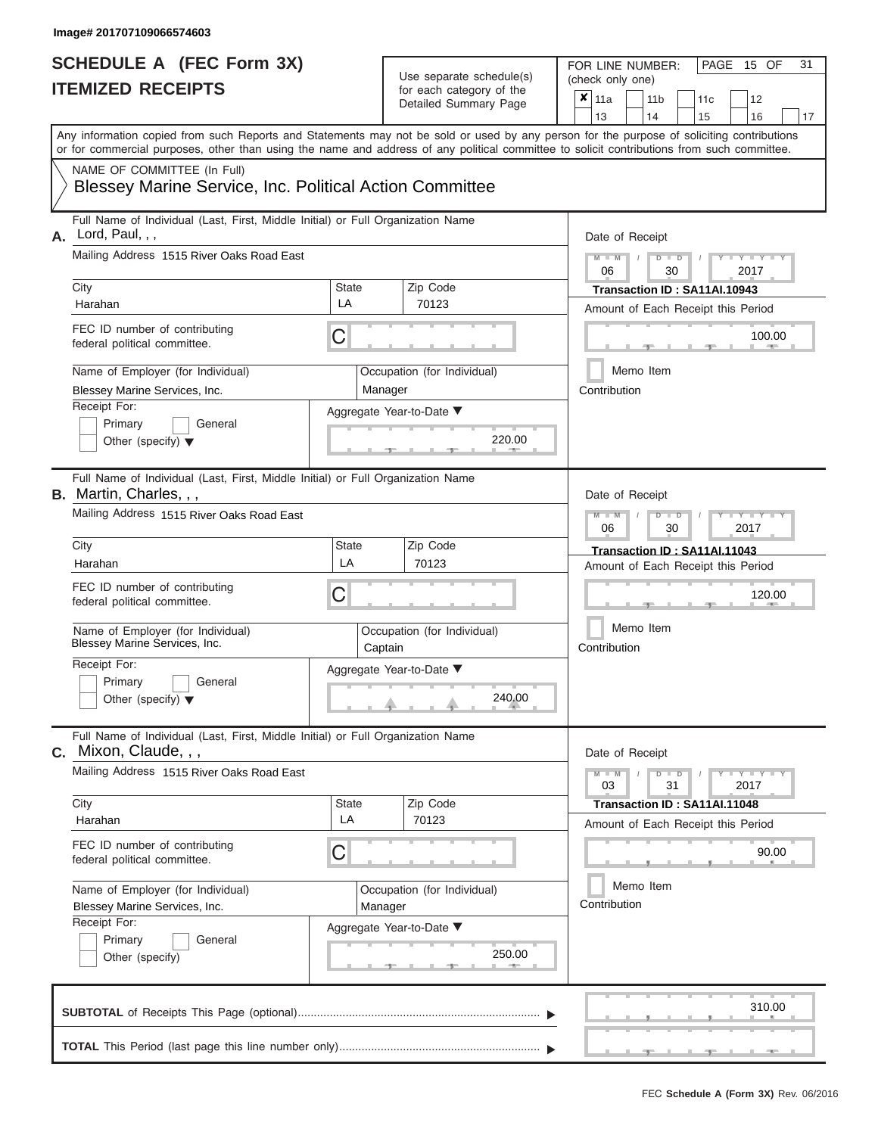| SCHEDULE A (FEC Form 3X)<br><b>ITEMIZED RECEIPTS</b>                                                                                                                                                                                                                                                                                                                                                   |                         | Use separate schedule(s)<br>for each category of the<br>Detailed Summary Page                     | 31<br>FOR LINE NUMBER:<br>PAGE<br>15 OF<br>(check only one)<br>$\overline{\mathbf{x}}$   11a<br>11 <sub>b</sub><br>12<br>11c<br>14<br>13<br>15<br>16                                                     |
|--------------------------------------------------------------------------------------------------------------------------------------------------------------------------------------------------------------------------------------------------------------------------------------------------------------------------------------------------------------------------------------------------------|-------------------------|---------------------------------------------------------------------------------------------------|----------------------------------------------------------------------------------------------------------------------------------------------------------------------------------------------------------|
| Any information copied from such Reports and Statements may not be sold or used by any person for the purpose of soliciting contributions<br>or for commercial purposes, other than using the name and address of any political committee to solicit contributions from such committee.<br>NAME OF COMMITTEE (In Full)<br><b>Blessey Marine Service, Inc. Political Action Committee</b>               |                         |                                                                                                   | 17                                                                                                                                                                                                       |
| Full Name of Individual (Last, First, Middle Initial) or Full Organization Name<br>A. Lord, Paul, , ,<br>Mailing Address 1515 River Oaks Road East<br>City<br>Harahan<br>FEC ID number of contributing<br>federal political committee.<br>Name of Employer (for Individual)<br>Blessey Marine Services, Inc.<br>Receipt For:<br>Primary<br>General<br>Other (specify) $\blacktriangledown$             | State<br>LA<br>С        | Zip Code<br>70123<br>Occupation (for Individual)<br>Manager<br>Aggregate Year-to-Date ▼<br>220.00 | Date of Receipt<br>$M - M$ /<br>$D$ $D$<br>$Y - Y - I$<br>06<br>30<br>2017<br>Transaction ID: SA11AI.10943<br>Amount of Each Receipt this Period<br>100.00<br><b>AND IN</b><br>Memo Item<br>Contribution |
| Full Name of Individual (Last, First, Middle Initial) or Full Organization Name<br><b>B.</b> Martin, Charles, , ,<br>Mailing Address 1515 River Oaks Road East<br>City<br>Harahan<br>FEC ID number of contributing<br>federal political committee.<br>Name of Employer (for Individual)<br>Blessey Marine Services, Inc.<br>Receipt For:<br>Primary<br>General<br>Other (specify) $\blacktriangledown$ | <b>State</b><br>LA<br>С | Zip Code<br>70123<br>Occupation (for Individual)<br>Captain<br>Aggregate Year-to-Date ▼<br>240.00 | Date of Receipt<br>$M$ $M$<br>$D$ $\Box$ $D$<br>Y TY<br>2017<br>06<br>30<br>Transaction ID: SA11AI.11043<br>Amount of Each Receipt this Period<br>120.00<br>Memo Item<br>Contribution                    |
| Full Name of Individual (Last, First, Middle Initial) or Full Organization Name<br>C. Mixon, Claude, , ,<br>Mailing Address 1515 River Oaks Road East<br>City<br>Harahan<br>FEC ID number of contributing<br>federal political committee.<br>Name of Employer (for Individual)<br>Blessey Marine Services, Inc.<br>Receipt For:<br>Primary<br>General<br>Other (specify)                               | <b>State</b><br>LA<br>С | Zip Code<br>70123<br>Occupation (for Individual)<br>Manager<br>Aggregate Year-to-Date ▼<br>250.00 | Date of Receipt<br>$M - M$<br>$D$ $D$<br>$T-T$ $T$ $T$ $T$ $T$ $T$ $T$<br>31<br>2017<br>03<br>Transaction ID: SA11AI.11048<br>Amount of Each Receipt this Period<br>90.00<br>Memo Item<br>Contribution   |
|                                                                                                                                                                                                                                                                                                                                                                                                        |                         |                                                                                                   | 310.00                                                                                                                                                                                                   |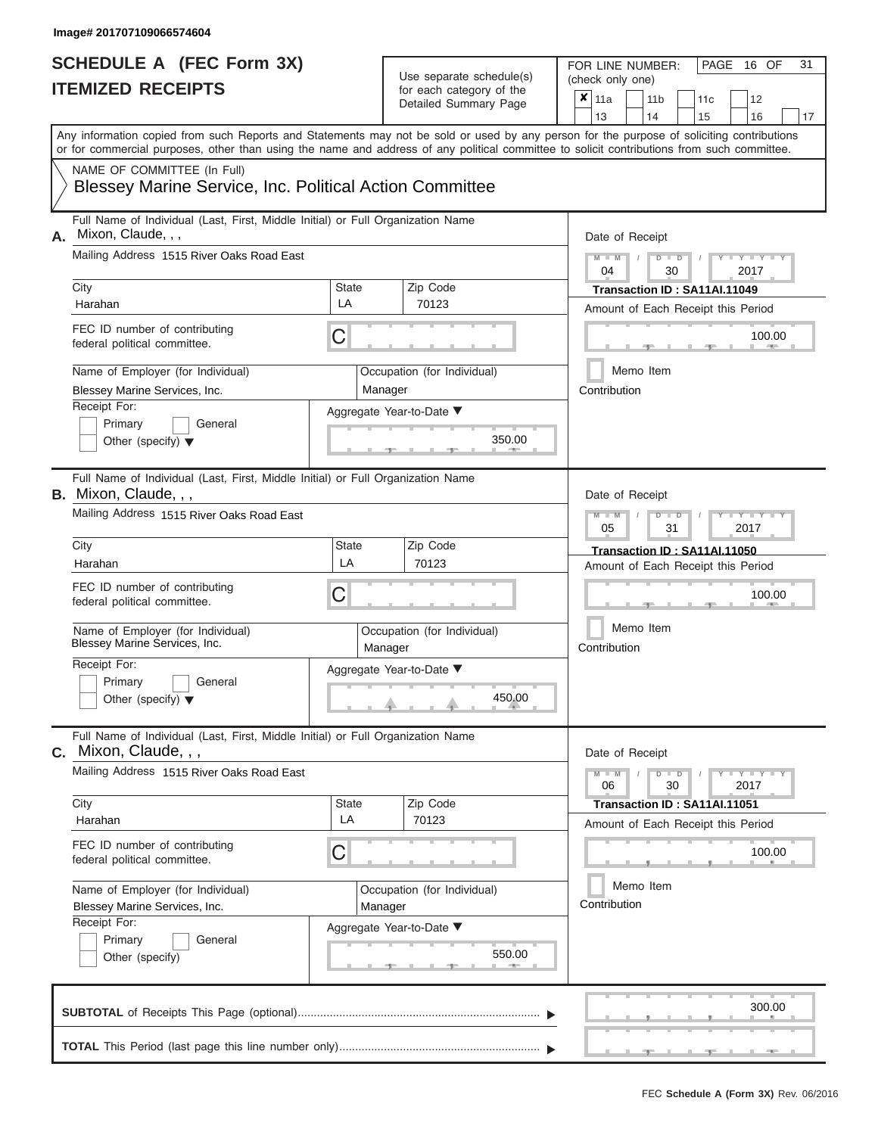| SCHEDULE A (FEC Form 3X)<br><b>ITEMIZED RECEIPTS</b>                                                                                                                                                                                                                                                                                                                                                 |                         | Use separate schedule(s)<br>for each category of the<br>Detailed Summary Page                     | 31<br>FOR LINE NUMBER:<br>PAGE 16 OF<br>(check only one)<br>$\overline{\mathbf{x}}$   11a<br>11 <sub>b</sub><br>12<br>11c<br>13<br>14<br>15<br>16<br>17                                                                                                                            |
|------------------------------------------------------------------------------------------------------------------------------------------------------------------------------------------------------------------------------------------------------------------------------------------------------------------------------------------------------------------------------------------------------|-------------------------|---------------------------------------------------------------------------------------------------|------------------------------------------------------------------------------------------------------------------------------------------------------------------------------------------------------------------------------------------------------------------------------------|
| Any information copied from such Reports and Statements may not be sold or used by any person for the purpose of soliciting contributions<br>or for commercial purposes, other than using the name and address of any political committee to solicit contributions from such committee.<br>NAME OF COMMITTEE (In Full)<br><b>Blessey Marine Service, Inc. Political Action Committee</b>             |                         |                                                                                                   |                                                                                                                                                                                                                                                                                    |
| Full Name of Individual (Last, First, Middle Initial) or Full Organization Name<br>Mixon, Claude, , ,<br>А.<br>Mailing Address 1515 River Oaks Road East<br>City<br>Harahan<br>FEC ID number of contributing<br>federal political committee.<br>Name of Employer (for Individual)<br>Blessey Marine Services, Inc.<br>Receipt For:<br>Primary<br>General<br>Other (specify) $\blacktriangledown$     | <b>State</b><br>LA<br>C | Zip Code<br>70123<br>Occupation (for Individual)<br>Manager<br>Aggregate Year-to-Date ▼<br>350.00 | Date of Receipt<br>$M - M$<br>$D$ $D$<br>$Y - Y - I$<br>$\sqrt{2}$<br>04<br>30<br>2017<br>Transaction ID: SA11AI.11049<br>Amount of Each Receipt this Period<br>100.00<br><b>COLLECTIVE</b><br>Memo Item<br>Contribution                                                           |
| Full Name of Individual (Last, First, Middle Initial) or Full Organization Name<br><b>B.</b> Mixon, Claude, , ,<br>Mailing Address 1515 River Oaks Road East<br>City<br>Harahan<br>FEC ID number of contributing<br>federal political committee.<br>Name of Employer (for Individual)<br>Blessey Marine Services, Inc.<br>Receipt For:<br>Primary<br>General<br>Other (specify) $\blacktriangledown$ | State<br>LA<br>С        | Zip Code<br>70123<br>Occupation (for Individual)<br>Manager<br>Aggregate Year-to-Date ▼<br>450.00 | Date of Receipt<br>$M - M$<br>$D$ $\Box$ $D$<br>Y TYT<br>05<br>31<br>2017<br>Transaction ID: SA11AI.11050<br>Amount of Each Receipt this Period<br>100.00<br>Memo Item<br>Contribution                                                                                             |
| Full Name of Individual (Last, First, Middle Initial) or Full Organization Name<br>$c.$ Mixon, Claude, , ,<br>Mailing Address 1515 River Oaks Road East<br>City<br>Harahan<br>FEC ID number of contributing<br>federal political committee.<br>Name of Employer (for Individual)<br>Blessey Marine Services, Inc.<br>Receipt For:<br>Primary<br>General<br>Other (specify)                           | <b>State</b><br>LA<br>С | Zip Code<br>70123<br>Occupation (for Individual)<br>Manager<br>Aggregate Year-to-Date ▼<br>550.00 | Date of Receipt<br>$M - M$<br>$D$ $D$<br>$\blacksquare \blacksquare \mathsf{Y} \mathrel{\sqsubseteq} \mathsf{Y} \mathrel{\sqsubseteq} \mathsf{Y}$<br>30<br>2017<br>06<br>Transaction ID: SA11AI.11051<br>Amount of Each Receipt this Period<br>100.00<br>Memo Item<br>Contribution |
|                                                                                                                                                                                                                                                                                                                                                                                                      |                         |                                                                                                   | 300.00                                                                                                                                                                                                                                                                             |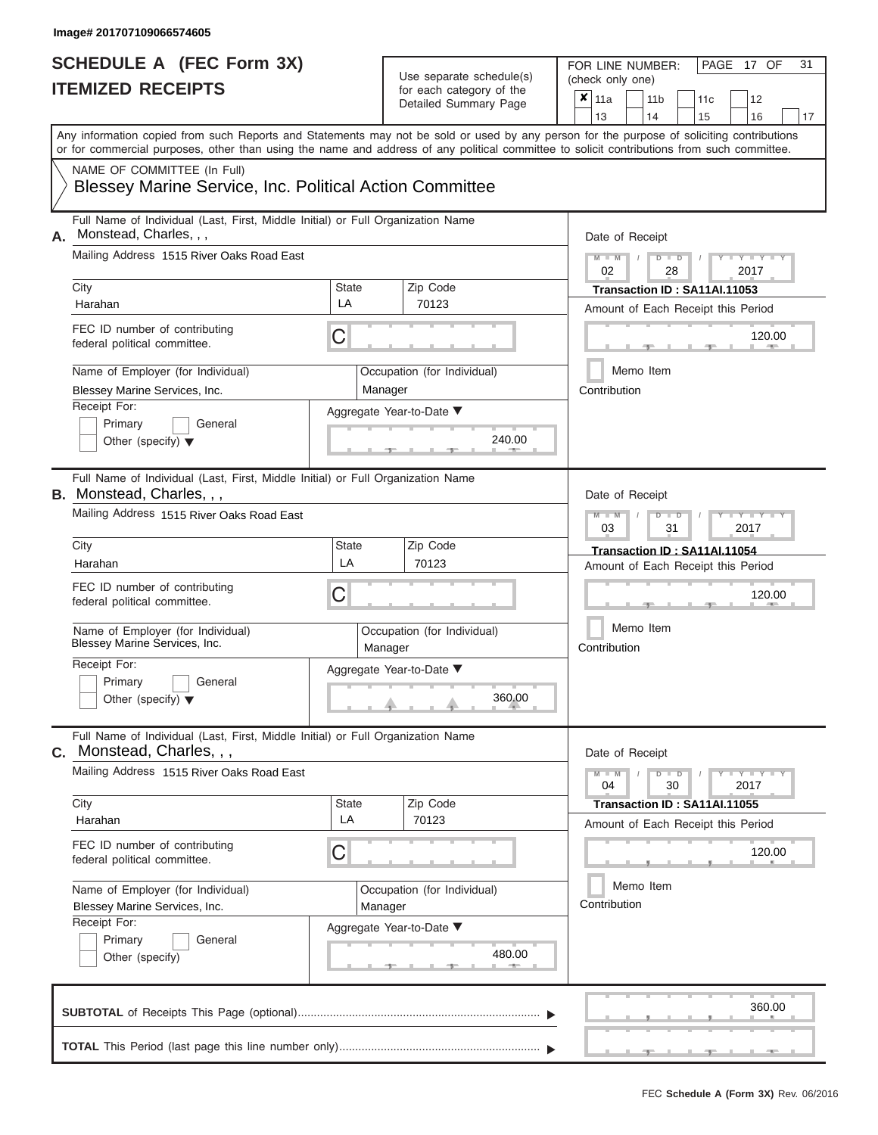| IIEMIZED RECEIPIS                                                                                                                          | $\pmb{\times}$<br>11a<br>11 <sub>b</sub><br>11c<br>12<br>13<br>14<br>15<br>16<br>17 |                                        |                                                                                                                                           |
|--------------------------------------------------------------------------------------------------------------------------------------------|-------------------------------------------------------------------------------------|----------------------------------------|-------------------------------------------------------------------------------------------------------------------------------------------|
| or for commercial purposes, other than using the name and address of any political committee to solicit contributions from such committee. |                                                                                     |                                        | Any information copied from such Reports and Statements may not be sold or used by any person for the purpose of soliciting contributions |
| NAME OF COMMITTEE (In Full)<br><b>Blessey Marine Service, Inc. Political Action Committee</b>                                              |                                                                                     |                                        |                                                                                                                                           |
| Full Name of Individual (Last, First, Middle Initial) or Full Organization Name<br>Monstead, Charles, , ,<br>А.                            | Date of Receipt                                                                     |                                        |                                                                                                                                           |
| Mailing Address 1515 River Oaks Road East                                                                                                  |                                                                                     |                                        | $M - M$<br>$Y = Y =$<br>D<br>$\blacksquare$<br>02<br>28<br>2017                                                                           |
| City<br>Harahan                                                                                                                            | State<br>LA                                                                         | Zip Code<br>70123                      | Transaction ID: SA11AI.11053                                                                                                              |
| FEC ID number of contributing<br>federal political committee.                                                                              | С                                                                                   |                                        | Amount of Each Receipt this Period<br>120.00                                                                                              |
| Name of Employer (for Individual)<br>Blessey Marine Services, Inc.                                                                         | Manager                                                                             | Occupation (for Individual)            | Memo Item<br>Contribution                                                                                                                 |
| Receipt For:<br>Primary<br>General<br>Other (specify) $\blacktriangledown$                                                                 |                                                                                     | Aggregate Year-to-Date ▼<br>240.00     |                                                                                                                                           |
| Full Name of Individual (Last, First, Middle Initial) or Full Organization Name<br><b>B.</b> Monstead, Charles, , ,                        |                                                                                     |                                        | Date of Receipt                                                                                                                           |
| Mailing Address 1515 River Oaks Road East                                                                                                  |                                                                                     |                                        | $\overline{M}$<br>$Y - Y$<br>$\Box$<br>D<br>31<br>2017<br>03                                                                              |
| City<br>Harahan                                                                                                                            | State<br>LA                                                                         | Zip Code<br>70123                      | Transaction ID: SA11AI.11054<br>Amount of Each Receipt this Period                                                                        |
| FEC ID number of contributing<br>federal political committee.                                                                              | С                                                                                   |                                        | 120.00                                                                                                                                    |
| Name of Employer (for Individual)<br>Blessey Marine Services, Inc.                                                                         |                                                                                     | Occupation (for Individual)<br>Manager | Memo Item<br>Contribution                                                                                                                 |
| Receipt For:<br>Primary<br>General<br>Other (specify) $\blacktriangledown$                                                                 |                                                                                     | Aggregate Year-to-Date ▼<br>360.00     |                                                                                                                                           |
| Full Name of Individual (Last, First, Middle Initial) or Full Organization Name<br>Monstead, Charles, , ,<br>С.                            |                                                                                     |                                        | Date of Receipt                                                                                                                           |
| Mailing Address 1515 River Oaks Road East                                                                                                  |                                                                                     |                                        | $Y - Y - Y$<br>$M - M$<br>D<br>$\blacksquare$<br>30<br>04<br>2017                                                                         |
| City<br>Harahan                                                                                                                            | State<br>LA                                                                         | Zip Code<br>70123                      | Transaction ID: SA11AI.11055                                                                                                              |
| FEC ID number of contributing<br>federal political committee.                                                                              | C                                                                                   |                                        | Amount of Each Receipt this Period<br>120.00                                                                                              |
| Name of Employer (for Individual)<br>Blessey Marine Services, Inc.                                                                         | Manager                                                                             | Occupation (for Individual)            | Memo Item<br>Contribution                                                                                                                 |
| Receipt For:                                                                                                                               |                                                                                     | Aggregate Year-to-Date ▼               |                                                                                                                                           |
| Primary<br>General<br>Other (specify)                                                                                                      |                                                                                     | 480.00                                 |                                                                                                                                           |
|                                                                                                                                            |                                                                                     |                                        | 360.00                                                                                                                                    |
|                                                                                                                                            |                                                                                     |                                        | $-1$                                                                                                                                      |

PAGE 17 OF 31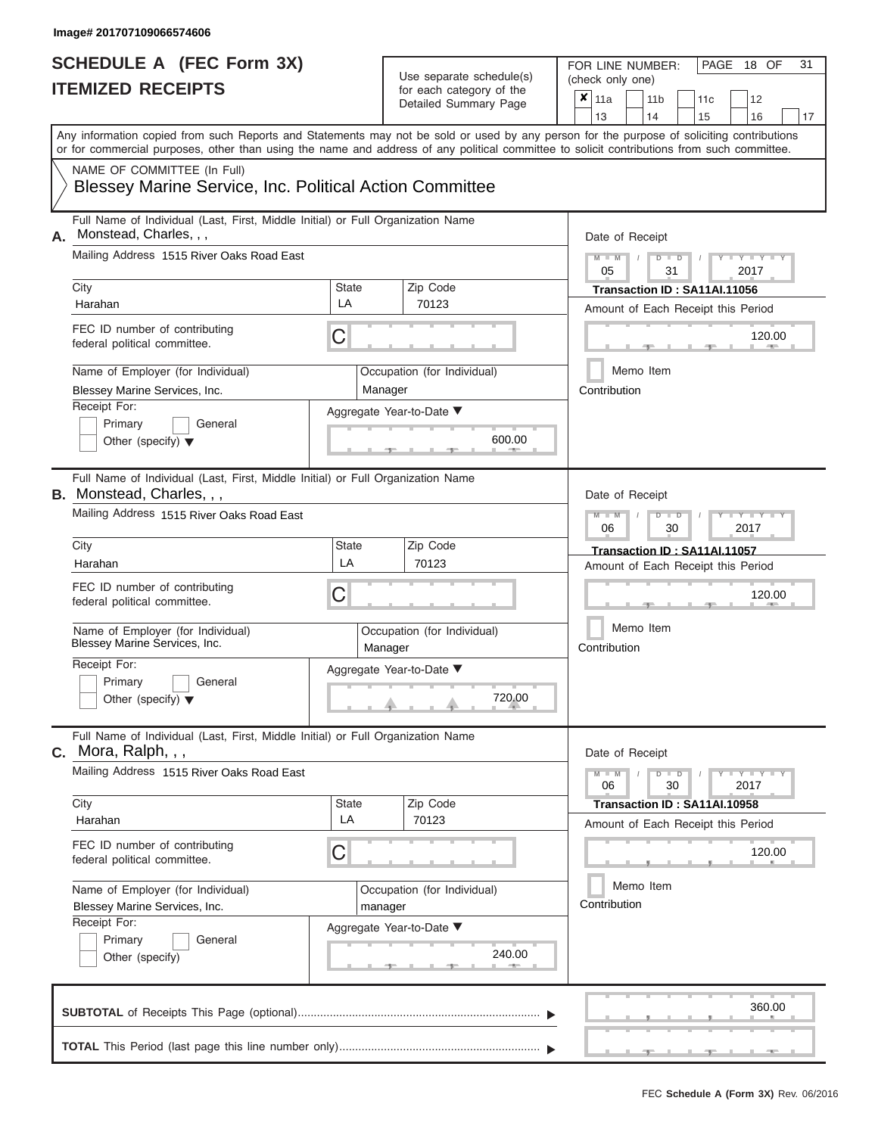| SCHEDULE A (FEC Form 3X)<br><b>ITEMIZED RECEIPTS</b>                                                                                                                                                                                                                                                                                                                                                     |                  | Use separate schedule(s)<br>for each category of the<br>Detailed Summary Page                                                          | 31<br>FOR LINE NUMBER:<br>PAGE<br>18 OF<br>(check only one)<br>$\boldsymbol{x}$<br>11a<br>11 <sub>b</sub><br>12<br>11c<br>13<br>14<br>15<br>16<br>17                                                    |
|----------------------------------------------------------------------------------------------------------------------------------------------------------------------------------------------------------------------------------------------------------------------------------------------------------------------------------------------------------------------------------------------------------|------------------|----------------------------------------------------------------------------------------------------------------------------------------|---------------------------------------------------------------------------------------------------------------------------------------------------------------------------------------------------------|
| Any information copied from such Reports and Statements may not be sold or used by any person for the purpose of soliciting contributions<br>or for commercial purposes, other than using the name and address of any political committee to solicit contributions from such committee.<br>NAME OF COMMITTEE (In Full)<br><b>Blessey Marine Service, Inc. Political Action Committee</b>                 |                  |                                                                                                                                        |                                                                                                                                                                                                         |
| Full Name of Individual (Last, First, Middle Initial) or Full Organization Name<br>Monstead, Charles, , ,<br>А.<br>Mailing Address 1515 River Oaks Road East<br>City<br>Harahan<br>FEC ID number of contributing<br>federal political committee.<br>Name of Employer (for Individual)<br>Blessey Marine Services, Inc.<br>Receipt For:<br>Primary<br>General<br>Other (specify) $\blacktriangledown$     | State<br>LA<br>С | Zip Code<br>70123<br>Occupation (for Individual)<br>Manager<br>Aggregate Year-to-Date ▼<br>600.00                                      | Date of Receipt<br>$M - M$<br>$D$ $D$<br>$Y - Y - I$<br>05<br>31<br>2017<br>Transaction ID: SA11AI.11056<br>Amount of Each Receipt this Period<br>120.00<br><b>AND IN</b><br>Memo Item<br>Contribution  |
| Full Name of Individual (Last, First, Middle Initial) or Full Organization Name<br><b>B.</b> Monstead, Charles, , ,<br>Mailing Address 1515 River Oaks Road East<br>City<br>Harahan<br>FEC ID number of contributing<br>federal political committee.<br>Name of Employer (for Individual)<br>Blessey Marine Services, Inc.<br>Receipt For:<br>Primary<br>General<br>Other (specify) $\blacktriangledown$ | State<br>LA<br>С | Zip Code<br>70123<br>Occupation (for Individual)<br>Manager<br>Aggregate Year-to-Date ▼<br>$\begin{array}{c}\n 720.00 \\  \end{array}$ | Date of Receipt<br>$M - M$<br>$D$ $\Box$ $D$<br>Y TYT<br>2017<br>06<br>30<br>Transaction ID: SA11AI.11057<br>Amount of Each Receipt this Period<br>120.00<br>Memo Item<br>Contribution                  |
| Full Name of Individual (Last, First, Middle Initial) or Full Organization Name<br><b>C.</b> Mora, Ralph, , ,<br>Mailing Address 1515 River Oaks Road East<br>City<br>Harahan<br>FEC ID number of contributing<br>federal political committee.<br>Name of Employer (for Individual)<br>Blessey Marine Services, Inc.<br>Receipt For:<br>Primary<br>General<br>Other (specify)                            | State<br>LA<br>С | Zip Code<br>70123<br>Occupation (for Individual)<br>manager<br>Aggregate Year-to-Date ▼<br>240.00                                      | Date of Receipt<br>$M - M$<br>$D$ $D$<br>$T-T$ $T$ $T$ $T$ $T$ $T$ $T$<br>30<br>2017<br>06<br>Transaction ID: SA11AI.10958<br>Amount of Each Receipt this Period<br>120.00<br>Memo Item<br>Contribution |
|                                                                                                                                                                                                                                                                                                                                                                                                          |                  |                                                                                                                                        | 360.00                                                                                                                                                                                                  |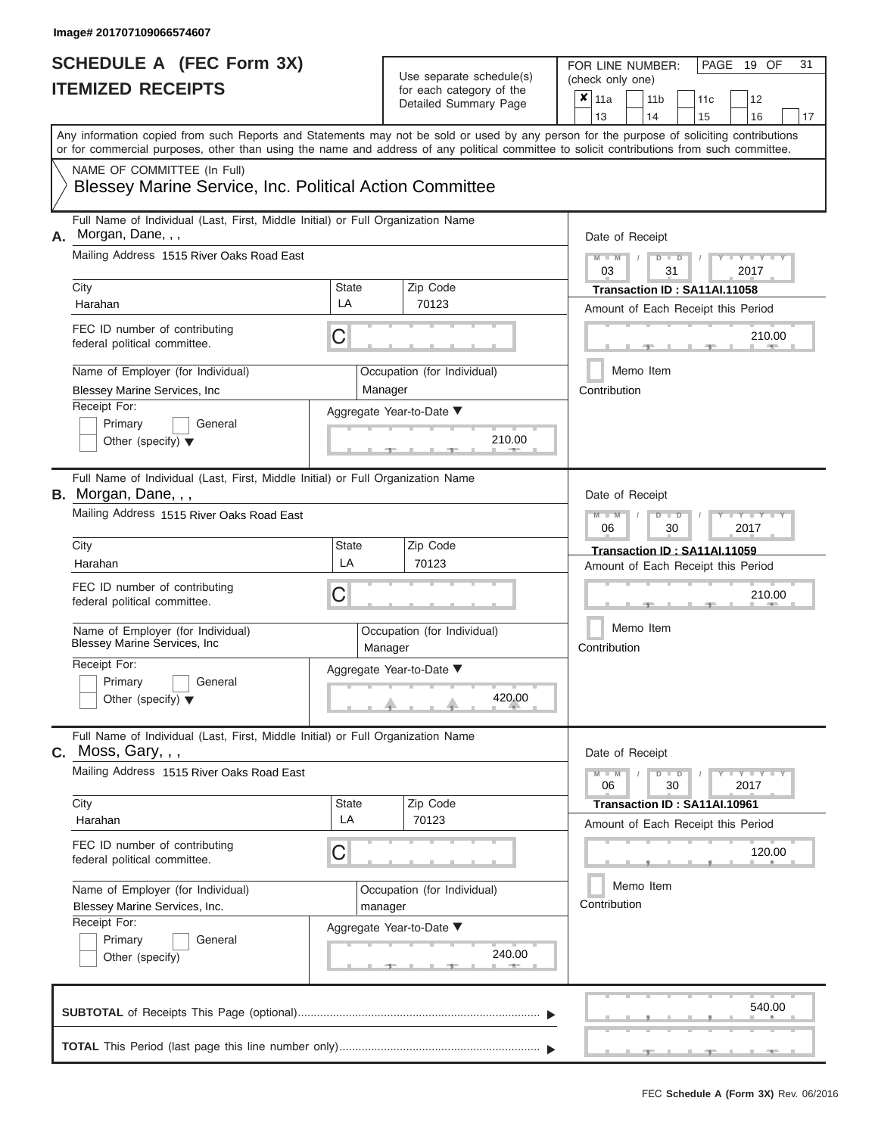| SCHEDULE A (FEC Form 3X)<br><b>ITEMIZED RECEIPTS</b>                                                                                                                                                                                                                                                                                                                                        |                         | Use separate schedule(s)<br>for each category of the<br>Detailed Summary Page                     | 31<br>FOR LINE NUMBER:<br>PAGE<br>19 OF<br>(check only one)<br>$\overline{x} _{11a}$<br>11 <sub>b</sub><br>12<br>11c<br>14<br>13<br>15<br>16<br>17                                                                   |
|---------------------------------------------------------------------------------------------------------------------------------------------------------------------------------------------------------------------------------------------------------------------------------------------------------------------------------------------------------------------------------------------|-------------------------|---------------------------------------------------------------------------------------------------|----------------------------------------------------------------------------------------------------------------------------------------------------------------------------------------------------------------------|
| Any information copied from such Reports and Statements may not be sold or used by any person for the purpose of soliciting contributions<br>or for commercial purposes, other than using the name and address of any political committee to solicit contributions from such committee.<br>NAME OF COMMITTEE (In Full)<br><b>Blessey Marine Service, Inc. Political Action Committee</b>    |                         |                                                                                                   |                                                                                                                                                                                                                      |
| Full Name of Individual (Last, First, Middle Initial) or Full Organization Name<br>A. Morgan, Dane, , ,<br>Mailing Address 1515 River Oaks Road East<br>City<br>Harahan<br>FEC ID number of contributing<br>federal political committee.<br>Name of Employer (for Individual)<br>Blessey Marine Services, Inc<br>Receipt For:<br>Primary<br>General<br>Other (specify) $\blacktriangledown$ | State<br>LA<br>С        | Zip Code<br>70123<br>Occupation (for Individual)<br>Manager<br>Aggregate Year-to-Date ▼<br>210.00 | Date of Receipt<br>$M - M$<br>$D$ $D$<br>$Y - Y - I$<br>$\sqrt{ }$<br>03<br>31<br>2017<br>Transaction ID: SA11AI.11058<br>Amount of Each Receipt this Period<br>210.00<br><b>AND IN</b><br>Memo Item<br>Contribution |
| Full Name of Individual (Last, First, Middle Initial) or Full Organization Name<br>B. Morgan, Dane, , ,<br>Mailing Address 1515 River Oaks Road East<br>City<br>Harahan<br>FEC ID number of contributing<br>federal political committee.<br>Name of Employer (for Individual)<br>Blessey Marine Services, Inc<br>Receipt For:<br>Primary<br>General<br>Other (specify) $\blacktriangledown$ | <b>State</b><br>LA<br>С | Zip Code<br>70123<br>Occupation (for Individual)<br>Manager<br>Aggregate Year-to-Date ▼<br>420.00 | Date of Receipt<br>$M$ $M$<br>$D$ $\Box$ $D$<br>Y Y<br>2017<br>06<br>30<br>Transaction ID: SA11AI.11059<br>Amount of Each Receipt this Period<br>210.00<br>Memo Item<br>Contribution                                 |
| Full Name of Individual (Last, First, Middle Initial) or Full Organization Name<br>$c.$ Moss, Gary, $,$ ,<br>Mailing Address 1515 River Oaks Road East<br>City<br>Harahan<br>FEC ID number of contributing<br>federal political committee.<br>Name of Employer (for Individual)<br>Blessey Marine Services, Inc.<br>Receipt For:<br>Primary<br>General<br>Other (specify)                   | State<br>LA<br>С        | Zip Code<br>70123<br>Occupation (for Individual)<br>manager<br>Aggregate Year-to-Date ▼<br>240.00 | Date of Receipt<br>$M - M$<br>$D$ $D$<br>$T-T$ $T$ $T$ $T$ $T$ $T$ $T$<br>30<br>2017<br>06<br>Transaction ID: SA11AI.10961<br>Amount of Each Receipt this Period<br>120.00<br>Memo Item<br>Contribution              |
|                                                                                                                                                                                                                                                                                                                                                                                             |                         |                                                                                                   | 540.00                                                                                                                                                                                                               |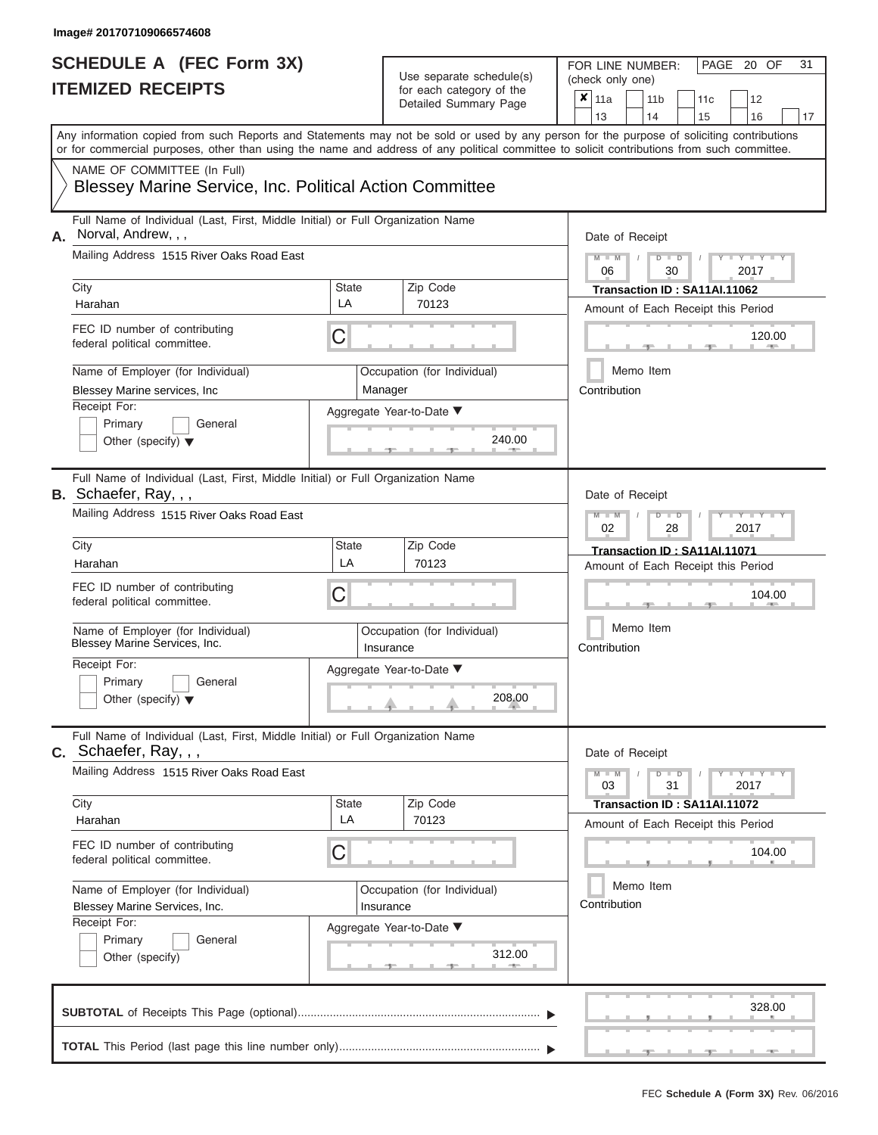# **SCHEDULE A (FEC Form 3X)**

| SCHEDULE A (FEC Form 3X)<br><b>ITEMIZED RECEIPTS</b>                                                                                                                                                                                                                                                                                                                                             |                  | Use separate schedule(s)<br>for each category of the<br>Detailed Summary Page                       | 31<br>FOR LINE NUMBER:<br>PAGE 20 OF<br>(check only one)<br>$\overline{\mathbf{x}}$   11a<br>11 <sub>b</sub><br>12<br>11c<br>13<br>14                                                                                                                                              |
|--------------------------------------------------------------------------------------------------------------------------------------------------------------------------------------------------------------------------------------------------------------------------------------------------------------------------------------------------------------------------------------------------|------------------|-----------------------------------------------------------------------------------------------------|------------------------------------------------------------------------------------------------------------------------------------------------------------------------------------------------------------------------------------------------------------------------------------|
| Any information copied from such Reports and Statements may not be sold or used by any person for the purpose of soliciting contributions<br>or for commercial purposes, other than using the name and address of any political committee to solicit contributions from such committee.<br>NAME OF COMMITTEE (In Full)<br><b>Blessey Marine Service, Inc. Political Action Committee</b>         |                  |                                                                                                     | 15<br>16<br>17                                                                                                                                                                                                                                                                     |
| Full Name of Individual (Last, First, Middle Initial) or Full Organization Name<br>Norval, Andrew, , ,<br>А.<br>Mailing Address 1515 River Oaks Road East<br>City<br>Harahan<br>FEC ID number of contributing<br>federal political committee.<br>Name of Employer (for Individual)<br>Blessey Marine services, Inc<br>Receipt For:<br>Primary<br>General<br>Other (specify) $\blacktriangledown$ | State<br>LA<br>С | Zip Code<br>70123<br>Occupation (for Individual)<br>Manager<br>Aggregate Year-to-Date ▼<br>240.00   | Date of Receipt<br>$M - M$ /<br>$D$ $D$<br>Y TY T<br>06<br>30<br>2017<br>Transaction ID: SA11AI.11062<br>Amount of Each Receipt this Period<br>120.00<br><b>AND IN</b><br>Memo Item<br>Contribution                                                                                |
| Full Name of Individual (Last, First, Middle Initial) or Full Organization Name<br>B. Schaefer, Ray, , ,<br>Mailing Address 1515 River Oaks Road East<br>City<br>Harahan<br>FEC ID number of contributing<br>federal political committee.<br>Name of Employer (for Individual)<br>Blessey Marine Services, Inc.<br>Receipt For:<br>Primary<br>General<br>Other (specify) $\blacktriangledown$    | State<br>LA<br>С | Zip Code<br>70123<br>Occupation (for Individual)<br>Insurance<br>Aggregate Year-to-Date ▼<br>208.00 | Date of Receipt<br>$M - M$<br>$D$ $\Box$ $D$<br>$\Box$ $\Upsilon$ $\Box$ $\Upsilon$ $\Upsilon$<br>2017<br>02<br>28<br>Transaction ID: SA11AI.11071<br>Amount of Each Receipt this Period<br>104.00<br>Memo Item<br>Contribution                                                    |
| Full Name of Individual (Last, First, Middle Initial) or Full Organization Name<br>$c.$ Schaefer, Ray, , ,<br>Mailing Address 1515 River Oaks Road East<br>City<br>Harahan<br>FEC ID number of contributing<br>federal political committee.<br>Name of Employer (for Individual)<br>Blessey Marine Services, Inc.<br>Receipt For:<br>Primary<br>General<br>Other (specify)                       | State<br>LA<br>С | Zip Code<br>70123<br>Occupation (for Individual)<br>Insurance<br>Aggregate Year-to-Date ▼<br>312.00 | Date of Receipt<br>$M - M$<br>$D$ $D$<br>$\blacksquare \blacksquare \mathsf{Y} \mathrel{\sqsubseteq} \mathsf{Y} \mathrel{\sqsubseteq} \mathsf{Y}$<br>31<br>03<br>2017<br>Transaction ID: SA11AI.11072<br>Amount of Each Receipt this Period<br>104.00<br>Memo Item<br>Contribution |
|                                                                                                                                                                                                                                                                                                                                                                                                  |                  |                                                                                                     | 328.00                                                                                                                                                                                                                                                                             |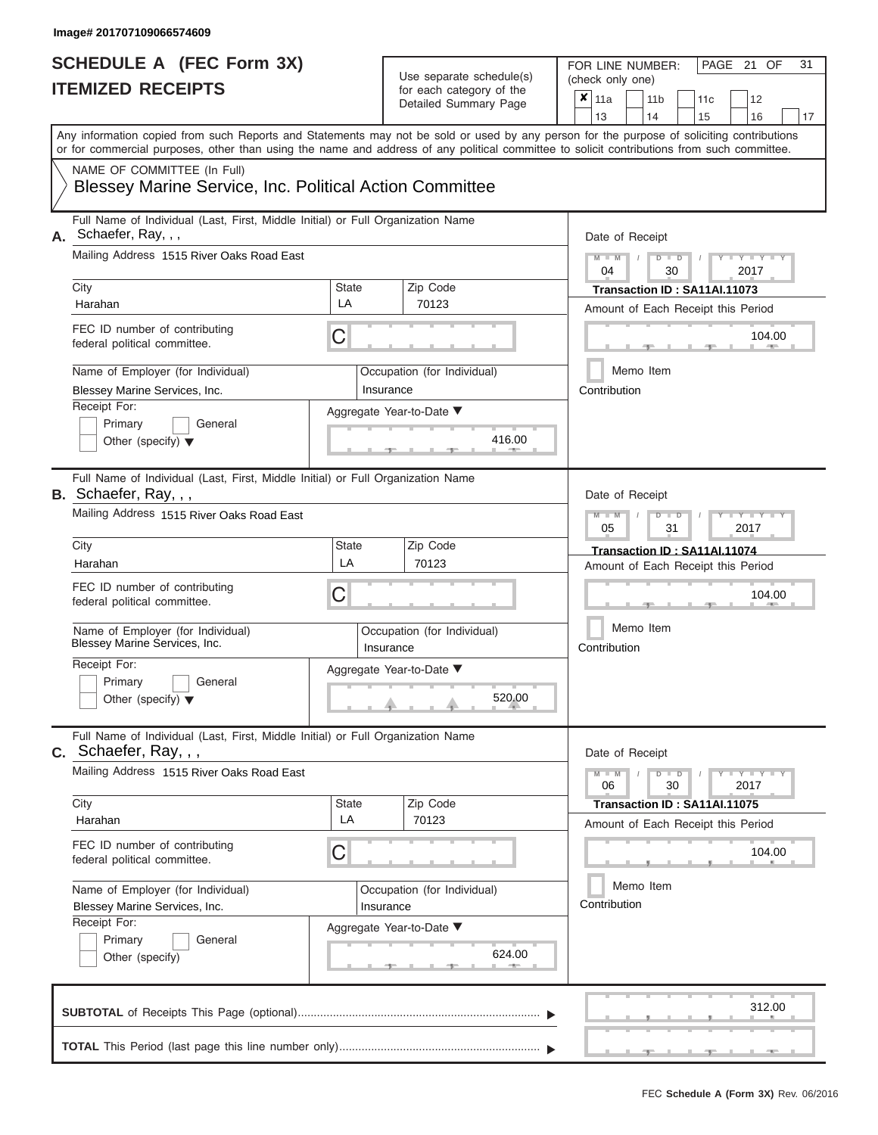# **SCHEDULE A (FEC Form 3X)**

| SCHEDULE A (FEC Form 3X)<br><b>ITEMIZED RECEIPTS</b>                                                                                                                                                                                                                                                                                                                                          |                  | Use separate schedule(s)<br>for each category of the<br>Detailed Summary Page                       | 31<br>FOR LINE NUMBER:<br>PAGE 21 OF<br>(check only one)<br>$\overline{\mathbf{x}}$   11a<br>11 <sub>b</sub><br>11c<br>12                                                                                                                                                          |
|-----------------------------------------------------------------------------------------------------------------------------------------------------------------------------------------------------------------------------------------------------------------------------------------------------------------------------------------------------------------------------------------------|------------------|-----------------------------------------------------------------------------------------------------|------------------------------------------------------------------------------------------------------------------------------------------------------------------------------------------------------------------------------------------------------------------------------------|
| Any information copied from such Reports and Statements may not be sold or used by any person for the purpose of soliciting contributions<br>or for commercial purposes, other than using the name and address of any political committee to solicit contributions from such committee.<br>NAME OF COMMITTEE (In Full)<br><b>Blessey Marine Service, Inc. Political Action Committee</b>      |                  |                                                                                                     | 13<br>14<br>15<br>16<br>17                                                                                                                                                                                                                                                         |
| Full Name of Individual (Last, First, Middle Initial) or Full Organization Name<br>A. Schaefer, Ray, , ,<br>Mailing Address 1515 River Oaks Road East<br>City<br>Harahan<br>FEC ID number of contributing<br>federal political committee.<br>Name of Employer (for Individual)<br>Blessey Marine Services, Inc.<br>Receipt For:<br>Primary<br>General<br>Other (specify) $\blacktriangledown$ | State<br>LA<br>C | Zip Code<br>70123<br>Occupation (for Individual)<br>Insurance<br>Aggregate Year-to-Date ▼<br>416.00 | Date of Receipt<br>$M - M$ /<br>$D$ $D$<br>Y TY T<br>04<br>30<br>2017<br>Transaction ID: SA11AI.11073<br>Amount of Each Receipt this Period<br>104.00<br><b>COLLECTIVE</b><br>Memo Item<br>Contribution                                                                            |
| Full Name of Individual (Last, First, Middle Initial) or Full Organization Name<br>B. Schaefer, Ray, , ,<br>Mailing Address 1515 River Oaks Road East<br>City<br>Harahan<br>FEC ID number of contributing<br>federal political committee.<br>Name of Employer (for Individual)<br>Blessey Marine Services, Inc.<br>Receipt For:<br>Primary<br>General<br>Other (specify) $\blacktriangledown$ | State<br>LA<br>С | Zip Code<br>70123<br>Occupation (for Individual)<br>Insurance<br>Aggregate Year-to-Date ▼<br>520.00 | Date of Receipt<br>$M - M$<br>$D$ $\Box$ $D$<br>$\blacksquare$ $\blacksquare$ $\blacksquare$ $\blacksquare$ $\blacksquare$ $\blacksquare$<br>05<br>31<br>2017<br>Transaction ID: SA11AI.11074<br>Amount of Each Receipt this Period<br>104.00<br>Memo Item<br>Contribution         |
| Full Name of Individual (Last, First, Middle Initial) or Full Organization Name<br>$c.$ Schaefer, Ray, , ,<br>Mailing Address 1515 River Oaks Road East<br>City<br>Harahan<br>FEC ID number of contributing<br>federal political committee.<br>Name of Employer (for Individual)<br>Blessey Marine Services, Inc.<br>Receipt For:<br>Primary<br>General<br>Other (specify)                    | State<br>LA<br>С | Zip Code<br>70123<br>Occupation (for Individual)<br>Insurance<br>Aggregate Year-to-Date ▼<br>624.00 | Date of Receipt<br>$M - M$<br>$D$ $D$<br>$\blacksquare \blacksquare \mathsf{Y} \mathrel{\sqsubseteq} \mathsf{Y} \mathrel{\sqsubseteq} \mathsf{Y}$<br>30<br>06<br>2017<br>Transaction ID: SA11AI.11075<br>Amount of Each Receipt this Period<br>104.00<br>Memo Item<br>Contribution |
|                                                                                                                                                                                                                                                                                                                                                                                               |                  |                                                                                                     | 312.00                                                                                                                                                                                                                                                                             |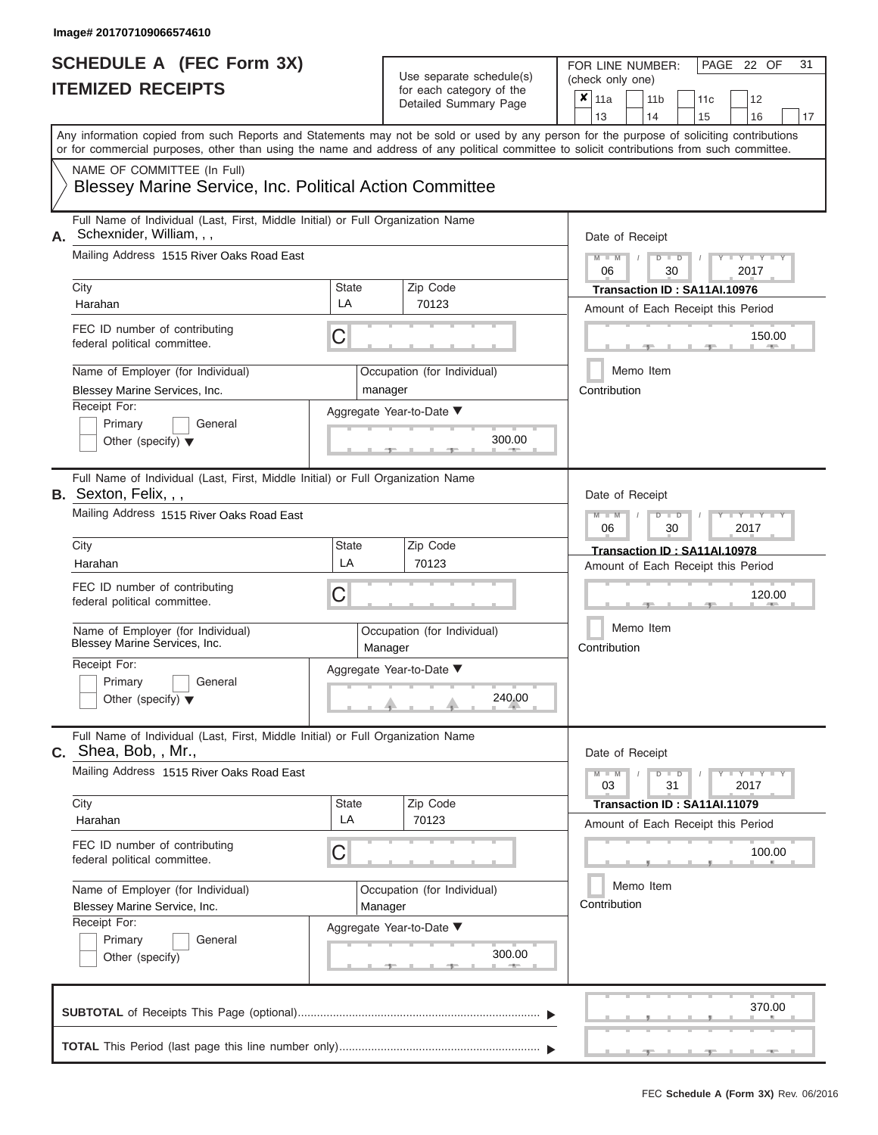ı

#### **SCHEDULE A (FEC Form 3X) ITEMIZED RECEIPTS**

| IIEMIZED RECEIPIS                                                          | ×<br>11 <sub>b</sub><br>11a<br>11c<br>12<br>13<br>14<br>16<br>15<br>17                                                                                                                                                                                                                  |                                                                    |  |  |  |  |  |  |  |  |  |  |
|----------------------------------------------------------------------------|-----------------------------------------------------------------------------------------------------------------------------------------------------------------------------------------------------------------------------------------------------------------------------------------|--------------------------------------------------------------------|--|--|--|--|--|--|--|--|--|--|
|                                                                            | Any information copied from such Reports and Statements may not be sold or used by any person for the purpose of soliciting contributions<br>or for commercial purposes, other than using the name and address of any political committee to solicit contributions from such committee. |                                                                    |  |  |  |  |  |  |  |  |  |  |
| NAME OF COMMITTEE (In Full)                                                | <b>Blessey Marine Service, Inc. Political Action Committee</b>                                                                                                                                                                                                                          |                                                                    |  |  |  |  |  |  |  |  |  |  |
| Schexnider, William, , ,<br>А.                                             | Full Name of Individual (Last, First, Middle Initial) or Full Organization Name                                                                                                                                                                                                         | Date of Receipt                                                    |  |  |  |  |  |  |  |  |  |  |
| Mailing Address 1515 River Oaks Road East                                  |                                                                                                                                                                                                                                                                                         | $M - M$<br>$\Box$<br>$Y - Y$<br>ъ<br>2017<br>06<br>30              |  |  |  |  |  |  |  |  |  |  |
| City<br>Harahan                                                            | Zip Code<br><b>State</b><br>LA<br>70123                                                                                                                                                                                                                                                 | Transaction ID: SA11AI.10976<br>Amount of Each Receipt this Period |  |  |  |  |  |  |  |  |  |  |
| FEC ID number of contributing<br>federal political committee.              | C                                                                                                                                                                                                                                                                                       | 150.00                                                             |  |  |  |  |  |  |  |  |  |  |
| Name of Employer (for Individual)<br>Blessey Marine Services, Inc.         | Occupation (for Individual)<br>manager                                                                                                                                                                                                                                                  | Memo Item<br>Contribution                                          |  |  |  |  |  |  |  |  |  |  |
| Receipt For:<br>Primary<br>General<br>Other (specify) $\blacktriangledown$ | Aggregate Year-to-Date ▼<br>300.00                                                                                                                                                                                                                                                      |                                                                    |  |  |  |  |  |  |  |  |  |  |
| <b>B.</b> Sexton, Felix, , ,                                               | Full Name of Individual (Last, First, Middle Initial) or Full Organization Name                                                                                                                                                                                                         | Date of Receipt                                                    |  |  |  |  |  |  |  |  |  |  |
| Mailing Address 1515 River Oaks Road East                                  |                                                                                                                                                                                                                                                                                         | Y L<br>$\blacksquare$<br>D<br>2017<br>06<br>30                     |  |  |  |  |  |  |  |  |  |  |
| City<br>Harahan                                                            | Zip Code<br><b>State</b><br>LA<br>70123                                                                                                                                                                                                                                                 | Transaction ID: SA11AI.10978<br>Amount of Each Receipt this Period |  |  |  |  |  |  |  |  |  |  |
| FEC ID number of contributing<br>federal political committee.              | C                                                                                                                                                                                                                                                                                       | 120.00                                                             |  |  |  |  |  |  |  |  |  |  |
| Name of Employer (for Individual)<br>Blessey Marine Services, Inc.         | Occupation (for Individual)<br>Manager                                                                                                                                                                                                                                                  | Memo Item<br>Contribution                                          |  |  |  |  |  |  |  |  |  |  |
| Receipt For:<br>Primary<br>General<br>Other (specify) $\blacktriangledown$ | Aggregate Year-to-Date ▼<br>240.00                                                                                                                                                                                                                                                      |                                                                    |  |  |  |  |  |  |  |  |  |  |
| $C.$ Shea, Bob, , Mr.,                                                     | Full Name of Individual (Last, First, Middle Initial) or Full Organization Name                                                                                                                                                                                                         | Date of Receipt                                                    |  |  |  |  |  |  |  |  |  |  |
| Mailing Address 1515 River Oaks Road East                                  |                                                                                                                                                                                                                                                                                         | $Y = Y$<br>$M - M$<br>$\overline{D}$<br>$\Box$<br>03<br>31<br>2017 |  |  |  |  |  |  |  |  |  |  |
| City<br>Harahan                                                            | <b>State</b><br>Zip Code<br>LA<br>70123                                                                                                                                                                                                                                                 | Transaction ID: SA11AI.11079<br>Amount of Each Receipt this Period |  |  |  |  |  |  |  |  |  |  |
| FEC ID number of contributing<br>federal political committee.              | С                                                                                                                                                                                                                                                                                       | 100.00                                                             |  |  |  |  |  |  |  |  |  |  |
| Name of Employer (for Individual)<br>Blessey Marine Service, Inc.          | Occupation (for Individual)<br>Manager                                                                                                                                                                                                                                                  | Memo Item<br>Contribution                                          |  |  |  |  |  |  |  |  |  |  |
| Receipt For:<br>Primary<br>General<br>Other (specify)                      | Aggregate Year-to-Date ▼<br>300.00                                                                                                                                                                                                                                                      |                                                                    |  |  |  |  |  |  |  |  |  |  |
|                                                                            |                                                                                                                                                                                                                                                                                         | 370.00                                                             |  |  |  |  |  |  |  |  |  |  |
|                                                                            |                                                                                                                                                                                                                                                                                         |                                                                    |  |  |  |  |  |  |  |  |  |  |

PAGE 22 OF 31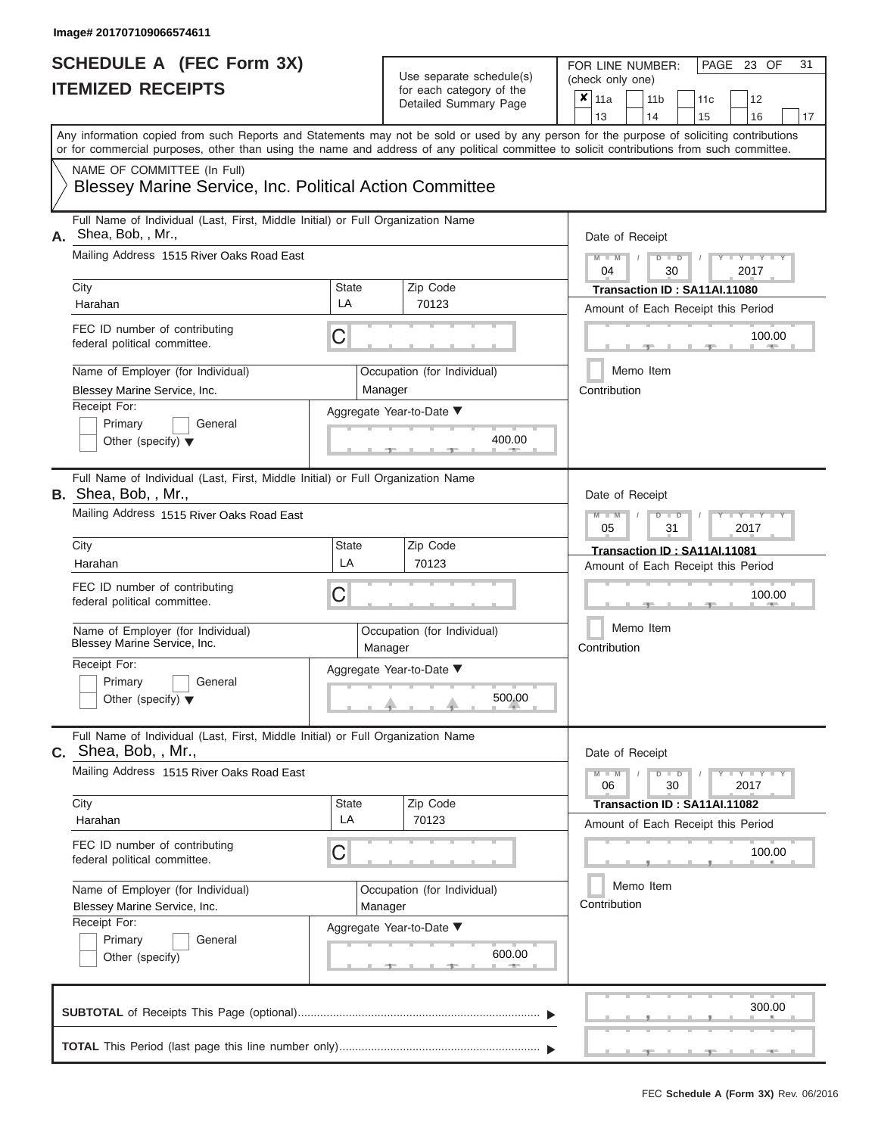ı

## **SCHEDULE A (FEC Form 3X) ITEMIZED RECEIPTS**

## FOR LINE NUMBER:<br>(check only one) Use separate schedule(s)

| <b>IIEMIZED RECEIPIS</b>                                                                                       | for each category of the<br>Detailed Summary Page       | ×<br>12<br>11a<br>11 <sub>b</sub><br>11c<br>13<br>14<br>15<br>16<br>17                                                                                                                                                                                                                  |
|----------------------------------------------------------------------------------------------------------------|---------------------------------------------------------|-----------------------------------------------------------------------------------------------------------------------------------------------------------------------------------------------------------------------------------------------------------------------------------------|
|                                                                                                                |                                                         | Any information copied from such Reports and Statements may not be sold or used by any person for the purpose of soliciting contributions<br>or for commercial purposes, other than using the name and address of any political committee to solicit contributions from such committee. |
| NAME OF COMMITTEE (In Full)                                                                                    | Blessey Marine Service, Inc. Political Action Committee |                                                                                                                                                                                                                                                                                         |
| Full Name of Individual (Last, First, Middle Initial) or Full Organization Name<br>A. Shea, Bob, , Mr.,        |                                                         | Date of Receipt                                                                                                                                                                                                                                                                         |
| Mailing Address 1515 River Oaks Road East<br>City                                                              | <b>State</b><br>Zip Code                                | $Y = Y$<br>ъ<br>$\overline{D}$<br>2017<br>04<br>30<br>Transaction ID: SA11AI.11080                                                                                                                                                                                                      |
| Harahan                                                                                                        | LA<br>70123                                             | Amount of Each Receipt this Period                                                                                                                                                                                                                                                      |
| FEC ID number of contributing<br>federal political committee.                                                  | C                                                       | 100.00                                                                                                                                                                                                                                                                                  |
| Name of Employer (for Individual)<br>Blessey Marine Service, Inc.                                              | Occupation (for Individual)<br>Manager                  | Memo Item<br>Contribution                                                                                                                                                                                                                                                               |
| Receipt For:<br>Primary<br>General<br>Other (specify) $\blacktriangledown$                                     | Aggregate Year-to-Date ▼                                | 400.00                                                                                                                                                                                                                                                                                  |
| Full Name of Individual (Last, First, Middle Initial) or Full Organization Name<br><b>B.</b> Shea, Bob, , Mr., |                                                         | Date of Receipt                                                                                                                                                                                                                                                                         |
| Mailing Address 1515 River Oaks Road East                                                                      |                                                         | Y L<br>$\overline{\mathsf{M}}$<br>D<br>2017<br>05<br>31                                                                                                                                                                                                                                 |
| City<br>Harahan                                                                                                | <b>State</b><br>Zip Code<br>LA<br>70123                 | Transaction ID: SA11AI.11081<br>Amount of Each Receipt this Period                                                                                                                                                                                                                      |
| FEC ID number of contributing<br>federal political committee.                                                  | С                                                       | 100.00                                                                                                                                                                                                                                                                                  |
| Name of Employer (for Individual)<br>Blessey Marine Service, Inc.                                              | Occupation (for Individual)<br>Manager                  | Memo Item<br>Contribution                                                                                                                                                                                                                                                               |
| Receipt For:<br>Primary<br>General<br>Other (specify) $\blacktriangledown$                                     | Aggregate Year-to-Date ▼                                | 500.00                                                                                                                                                                                                                                                                                  |
| Full Name of Individual (Last, First, Middle Initial) or Full Organization Name<br>$C.$ Shea, Bob, , Mr.,      |                                                         | Date of Receipt                                                                                                                                                                                                                                                                         |
| Mailing Address 1515 River Oaks Road East                                                                      |                                                         | $Y = Y + Y$<br>$M - M$<br>$\overline{D}$<br>$\overline{D}$<br>30<br>2017<br>06                                                                                                                                                                                                          |
| City<br>Harahan                                                                                                | State<br>Zip Code<br>LA<br>70123                        | Transaction ID: SA11AI.11082<br>Amount of Each Receipt this Period                                                                                                                                                                                                                      |
| FEC ID number of contributing<br>federal political committee.                                                  | 100.00                                                  |                                                                                                                                                                                                                                                                                         |
| Name of Employer (for Individual)<br>Blessey Marine Service, Inc.                                              | Occupation (for Individual)<br>Manager                  | Memo Item<br>Contribution                                                                                                                                                                                                                                                               |
| Receipt For:<br>Primary<br>General<br>Other (specify)                                                          | Aggregate Year-to-Date ▼                                | 600.00                                                                                                                                                                                                                                                                                  |
|                                                                                                                |                                                         | 300.00                                                                                                                                                                                                                                                                                  |
|                                                                                                                |                                                         |                                                                                                                                                                                                                                                                                         |

PAGE 23 OF 31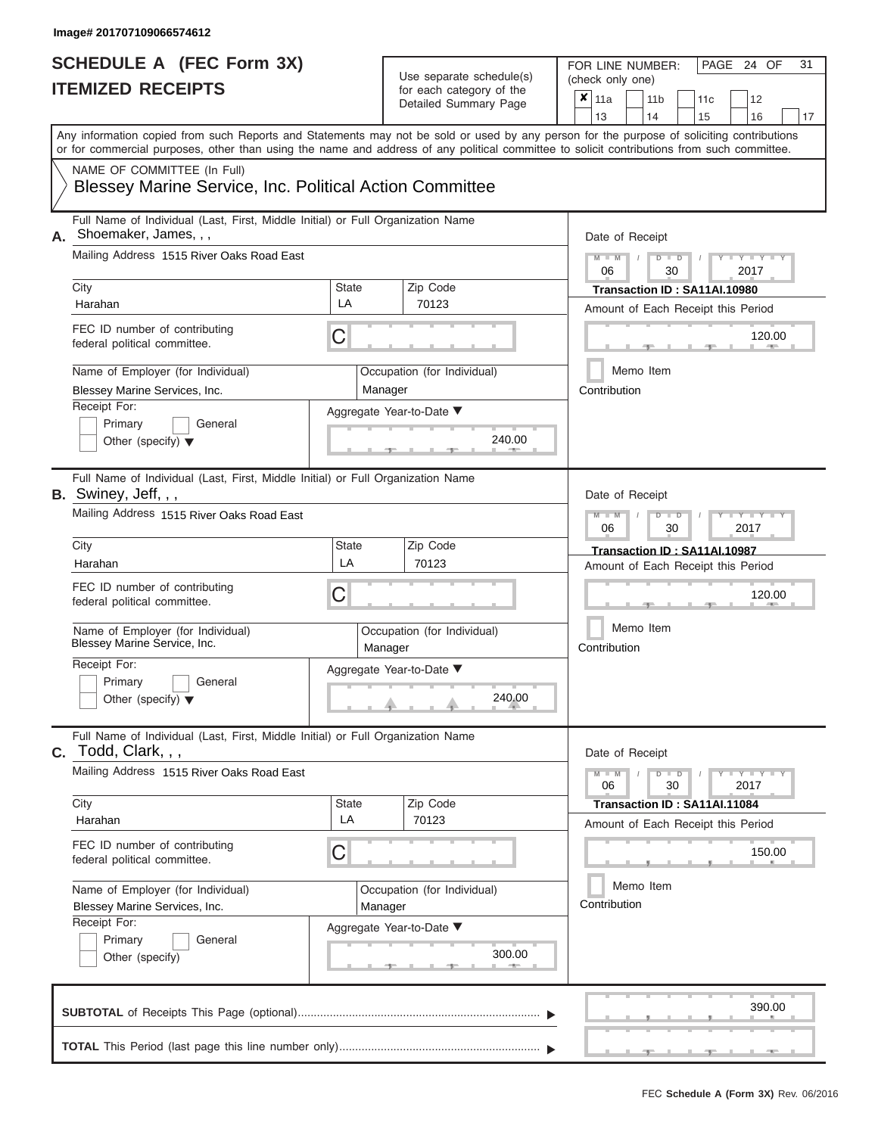| SCHEDULE A (FEC Form 3X)<br><b>ITEMIZED RECEIPTS</b>                                                                                                                                                                                                                                                                                                                                                |                  | Use separate schedule(s)<br>for each category of the<br>Detailed Summary Page                     | 31<br>FOR LINE NUMBER:<br>PAGE 24 OF<br>(check only one)<br>$x \mid$<br>11a<br>11 <sub>b</sub><br>12<br>11c<br>13<br>14<br>15<br>16<br>17                                                                            |
|-----------------------------------------------------------------------------------------------------------------------------------------------------------------------------------------------------------------------------------------------------------------------------------------------------------------------------------------------------------------------------------------------------|------------------|---------------------------------------------------------------------------------------------------|----------------------------------------------------------------------------------------------------------------------------------------------------------------------------------------------------------------------|
| Any information copied from such Reports and Statements may not be sold or used by any person for the purpose of soliciting contributions<br>or for commercial purposes, other than using the name and address of any political committee to solicit contributions from such committee.<br>NAME OF COMMITTEE (In Full)<br><b>Blessey Marine Service, Inc. Political Action Committee</b>            |                  |                                                                                                   |                                                                                                                                                                                                                      |
| Full Name of Individual (Last, First, Middle Initial) or Full Organization Name<br>Shoemaker, James, , ,<br>А.<br>Mailing Address 1515 River Oaks Road East<br>City<br>Harahan<br>FEC ID number of contributing<br>federal political committee.<br>Name of Employer (for Individual)<br>Blessey Marine Services, Inc.<br>Receipt For:<br>Primary<br>General<br>Other (specify) $\blacktriangledown$ | State<br>LA<br>С | Zip Code<br>70123<br>Occupation (for Individual)<br>Manager<br>Aggregate Year-to-Date ▼<br>240.00 | Date of Receipt<br>$M - M$<br>$D$ $D$<br>$Y - Y - I$<br>$\sqrt{ }$<br>06<br>30<br>2017<br>Transaction ID: SA11AI.10980<br>Amount of Each Receipt this Period<br>120.00<br><b>AND IN</b><br>Memo Item<br>Contribution |
| Full Name of Individual (Last, First, Middle Initial) or Full Organization Name<br>B. Swiney, Jeff, , ,<br>Mailing Address 1515 River Oaks Road East<br>City<br>Harahan<br>FEC ID number of contributing<br>federal political committee.<br>Name of Employer (for Individual)<br>Blessey Marine Service, Inc.<br>Receipt For:<br>Primary<br>General<br>Other (specify) $\blacktriangledown$         | State<br>LA<br>С | Zip Code<br>70123<br>Occupation (for Individual)<br>Manager<br>Aggregate Year-to-Date ▼<br>240.00 | Date of Receipt<br>$M - M$<br>$D$ $\Box$ $D$<br>Y TYT<br>2017<br>06<br>30<br>Transaction ID: SA11AI.10987<br>Amount of Each Receipt this Period<br>120.00<br>Memo Item<br>Contribution                               |
| Full Name of Individual (Last, First, Middle Initial) or Full Organization Name<br>Todd, Clark, , ,<br>С.<br>Mailing Address 1515 River Oaks Road East<br>City<br>Harahan<br>FEC ID number of contributing<br>federal political committee.<br>Name of Employer (for Individual)<br>Blessey Marine Services, Inc.<br>Receipt For:<br>Primary<br>General<br>Other (specify)                           | State<br>LA<br>С | Zip Code<br>70123<br>Occupation (for Individual)<br>Manager<br>Aggregate Year-to-Date ▼<br>300.00 | Date of Receipt<br>$M - M$<br>$D$ $D$<br>$T-T$ $T$ $T$ $T$ $T$ $T$ $T$<br>30<br>2017<br>06<br>Transaction ID: SA11AI.11084<br>Amount of Each Receipt this Period<br>150.00<br>Memo Item<br>Contribution              |
|                                                                                                                                                                                                                                                                                                                                                                                                     |                  |                                                                                                   | 390.00                                                                                                                                                                                                               |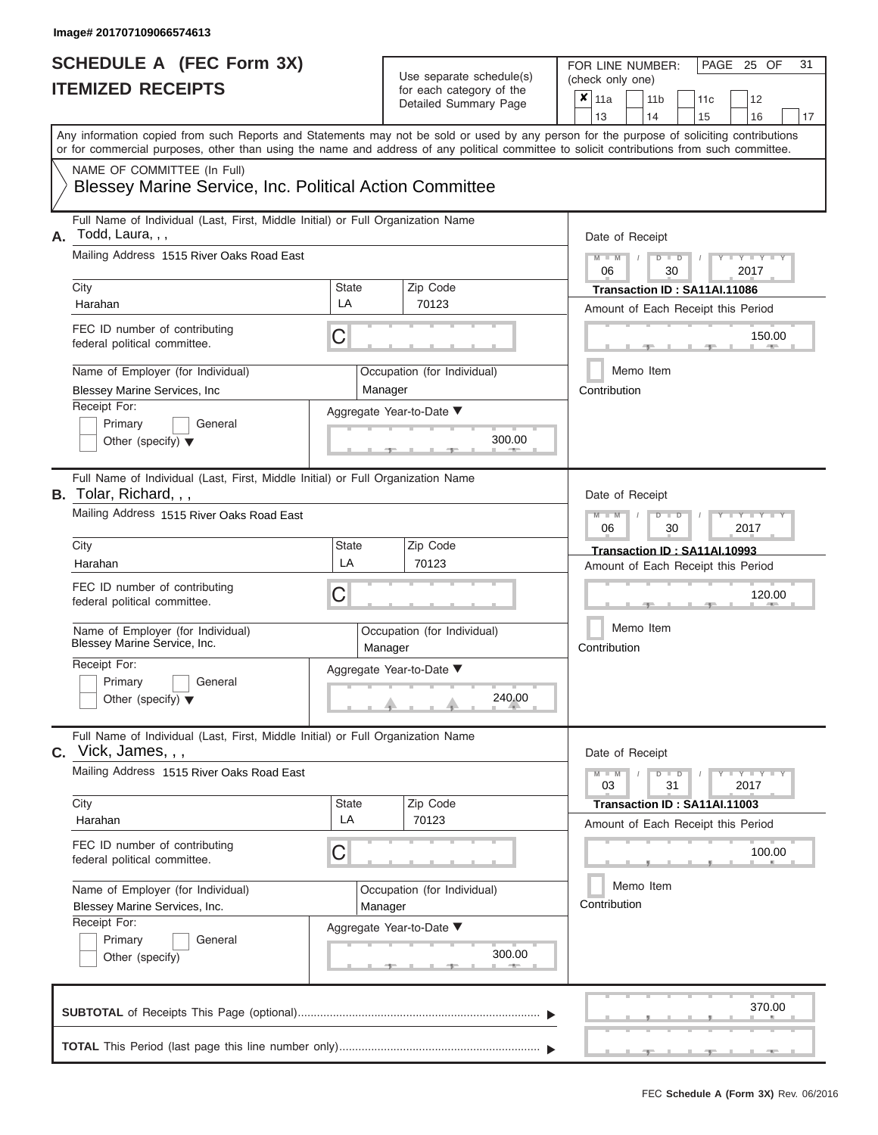| SCHEDULE A (FEC Form 3X)<br><b>ITEMIZED RECEIPTS</b>                                                                                                                                                                                                                                                                                                                                                 |                  | Use separate schedule(s)<br>for each category of the<br>Detailed Summary Page                     | 31<br>FOR LINE NUMBER:<br>PAGE 25 OF<br>(check only one)<br>$\overline{\mathbf{x}}$   11a<br>11 <sub>b</sub><br>12<br>11c<br>13<br>14<br>15<br>16<br>17                                                                                                                            |
|------------------------------------------------------------------------------------------------------------------------------------------------------------------------------------------------------------------------------------------------------------------------------------------------------------------------------------------------------------------------------------------------------|------------------|---------------------------------------------------------------------------------------------------|------------------------------------------------------------------------------------------------------------------------------------------------------------------------------------------------------------------------------------------------------------------------------------|
| Any information copied from such Reports and Statements may not be sold or used by any person for the purpose of soliciting contributions<br>or for commercial purposes, other than using the name and address of any political committee to solicit contributions from such committee.<br>NAME OF COMMITTEE (In Full)<br><b>Blessey Marine Service, Inc. Political Action Committee</b>             |                  |                                                                                                   |                                                                                                                                                                                                                                                                                    |
| Full Name of Individual (Last, First, Middle Initial) or Full Organization Name<br>Todd, Laura, , ,<br>А.<br>Mailing Address 1515 River Oaks Road East<br>City<br>Harahan<br>FEC ID number of contributing<br>federal political committee.<br>Name of Employer (for Individual)<br>Blessey Marine Services, Inc<br>Receipt For:<br>Primary<br>General<br>Other (specify) $\blacktriangledown$        | State<br>LA<br>С | Zip Code<br>70123<br>Occupation (for Individual)<br>Manager<br>Aggregate Year-to-Date ▼<br>300.00 | Date of Receipt<br>$M - M$ /<br>$D$ $D$<br>$Y - Y - I$<br>06<br>30<br>2017<br>Transaction ID: SA11AI.11086<br>Amount of Each Receipt this Period<br>150.00<br><b>CONTRACTOR</b><br>Memo Item<br>Contribution                                                                       |
| Full Name of Individual (Last, First, Middle Initial) or Full Organization Name<br><b>B.</b> Tolar, Richard, , ,<br>Mailing Address 1515 River Oaks Road East<br>City<br>Harahan<br>FEC ID number of contributing<br>federal political committee.<br>Name of Employer (for Individual)<br>Blessey Marine Service, Inc.<br>Receipt For:<br>Primary<br>General<br>Other (specify) $\blacktriangledown$ | State<br>LA<br>С | Zip Code<br>70123<br>Occupation (for Individual)<br>Manager<br>Aggregate Year-to-Date ▼<br>240.00 | Date of Receipt<br>$M - M$<br>$D$ $\Box$ $D$<br>$\blacksquare$ $\blacksquare$ $\blacksquare$ $\blacksquare$ $\blacksquare$ $\blacksquare$<br>2017<br>06<br>30<br>Transaction ID: SA11AI.10993<br>Amount of Each Receipt this Period<br>120.00<br>Memo Item<br>Contribution         |
| Full Name of Individual (Last, First, Middle Initial) or Full Organization Name<br>$c.$ Vick, James, , ,<br>Mailing Address 1515 River Oaks Road East<br>City<br>Harahan<br>FEC ID number of contributing<br>federal political committee.<br>Name of Employer (for Individual)<br>Blessey Marine Services, Inc.<br>Receipt For:<br>Primary<br>General<br>Other (specify)                             | State<br>LA<br>С | Zip Code<br>70123<br>Occupation (for Individual)<br>Manager<br>Aggregate Year-to-Date ▼<br>300.00 | Date of Receipt<br>$M - M$<br>$D$ $D$<br>$\blacksquare \blacksquare \mathsf{Y} \mathrel{\sqsubseteq} \mathsf{Y} \mathrel{\sqsubseteq} \mathsf{Y}$<br>31<br>03<br>2017<br>Transaction ID: SA11AI.11003<br>Amount of Each Receipt this Period<br>100.00<br>Memo Item<br>Contribution |
|                                                                                                                                                                                                                                                                                                                                                                                                      |                  |                                                                                                   | 370.00                                                                                                                                                                                                                                                                             |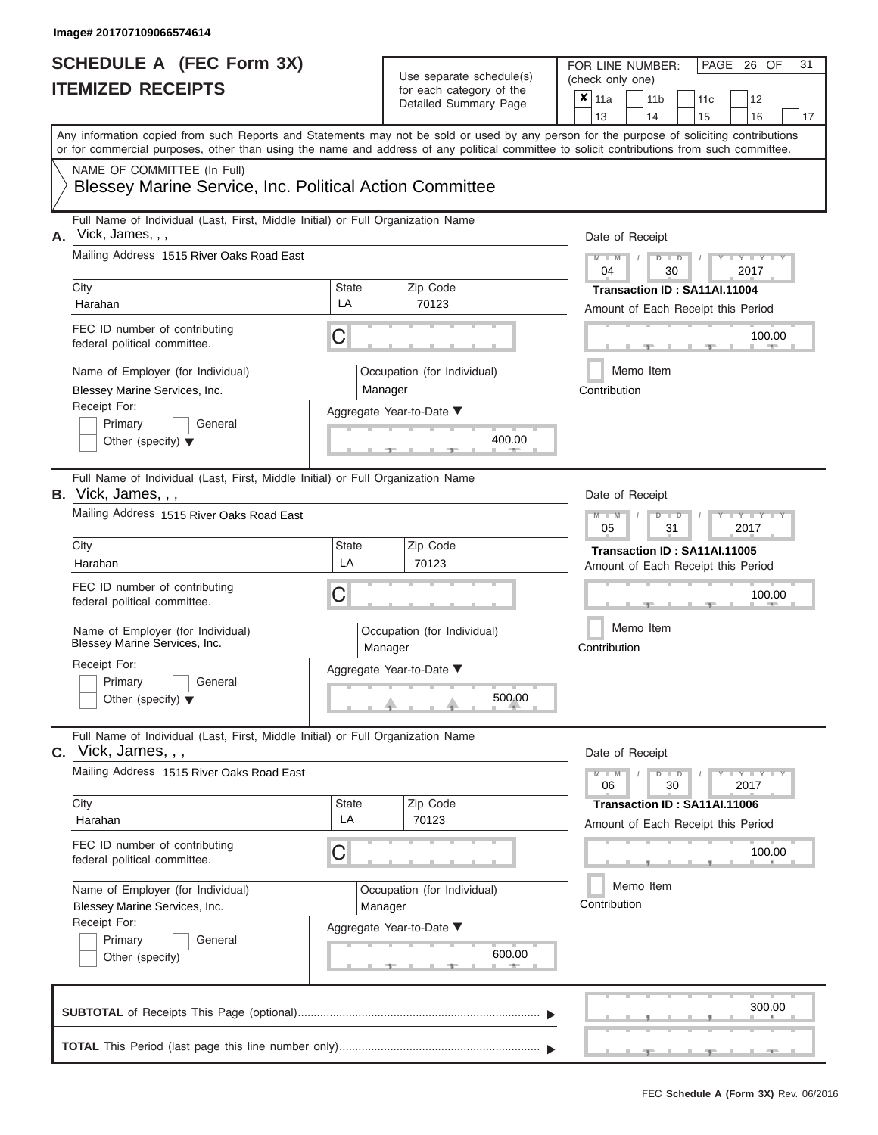| SCHEDULE A (FEC Form 3X)<br><b>ITEMIZED RECEIPTS</b>                                                                                                                                                                                                                                                                                                                                           |                             | Use separate schedule(s)<br>for each category of the<br>Detailed Summary Page                     | 31<br>FOR LINE NUMBER:<br>PAGE 26 OF<br>(check only one)<br>$\overline{\mathbf{x}}$   11a<br>11 <sub>b</sub><br>12<br>11c<br>13<br>14<br>15<br>16<br>17                                                                                                                            |
|------------------------------------------------------------------------------------------------------------------------------------------------------------------------------------------------------------------------------------------------------------------------------------------------------------------------------------------------------------------------------------------------|-----------------------------|---------------------------------------------------------------------------------------------------|------------------------------------------------------------------------------------------------------------------------------------------------------------------------------------------------------------------------------------------------------------------------------------|
| Any information copied from such Reports and Statements may not be sold or used by any person for the purpose of soliciting contributions<br>or for commercial purposes, other than using the name and address of any political committee to solicit contributions from such committee.<br>NAME OF COMMITTEE (In Full)<br><b>Blessey Marine Service, Inc. Political Action Committee</b>       |                             |                                                                                                   |                                                                                                                                                                                                                                                                                    |
| Full Name of Individual (Last, First, Middle Initial) or Full Organization Name<br>Vick, James, , ,<br>А.<br>Mailing Address 1515 River Oaks Road East<br>City<br>Harahan<br>FEC ID number of contributing<br>federal political committee.<br>Name of Employer (for Individual)<br>Blessey Marine Services, Inc.<br>Receipt For:<br>Primary<br>General<br>Other (specify) $\blacktriangledown$ | State<br>LA<br>С            | Zip Code<br>70123<br>Occupation (for Individual)<br>Manager<br>Aggregate Year-to-Date ▼<br>400.00 | Date of Receipt<br>$M - M$<br>$D$ $D$<br>$Y - Y - I$<br>$\sqrt{ }$<br>04<br>30<br>2017<br>Transaction ID: SA11AI.11004<br>Amount of Each Receipt this Period<br>100.00<br><b>Common</b><br>Memo Item<br>Contribution                                                               |
| Full Name of Individual (Last, First, Middle Initial) or Full Organization Name<br>B. Vick, James, , ,<br>Mailing Address 1515 River Oaks Road East<br>City<br>Harahan<br>FEC ID number of contributing<br>federal political committee.<br>Name of Employer (for Individual)<br>Blessey Marine Services, Inc.<br>Receipt For:<br>Primary<br>General<br>Other (specify) $\blacktriangledown$    | State<br>LA<br>С            | Zip Code<br>70123<br>Occupation (for Individual)<br>Manager<br>Aggregate Year-to-Date ▼<br>500.00 | Date of Receipt<br>$M - M$<br>$D$ $\Box$ $D$<br>$\blacksquare$ $\blacksquare$ $\blacksquare$ $\blacksquare$ $\blacksquare$ $\blacksquare$<br>05<br>31<br>2017<br>Transaction ID: SA11AI.11005<br>Amount of Each Receipt this Period<br>100.00<br>Memo Item<br>Contribution         |
| Full Name of Individual (Last, First, Middle Initial) or Full Organization Name<br>$c.$ Vick, James, , ,<br>Mailing Address 1515 River Oaks Road East<br>City<br>Harahan<br>FEC ID number of contributing<br>federal political committee.<br>Name of Employer (for Individual)<br>Blessey Marine Services, Inc.<br>Receipt For:<br>Primary<br>General<br>Other (specify)                       | State<br>LA<br>С<br>Manager | Zip Code<br>70123<br>Occupation (for Individual)<br>Aggregate Year-to-Date ▼<br>600.00            | Date of Receipt<br>$M - M$<br>$D$ $D$<br>$\blacksquare \blacksquare \mathsf{Y} \mathrel{\sqsubseteq} \mathsf{Y} \mathrel{\sqsubseteq} \mathsf{Y}$<br>30<br>06<br>2017<br>Transaction ID: SA11AI.11006<br>Amount of Each Receipt this Period<br>100.00<br>Memo Item<br>Contribution |
|                                                                                                                                                                                                                                                                                                                                                                                                |                             |                                                                                                   | 300.00                                                                                                                                                                                                                                                                             |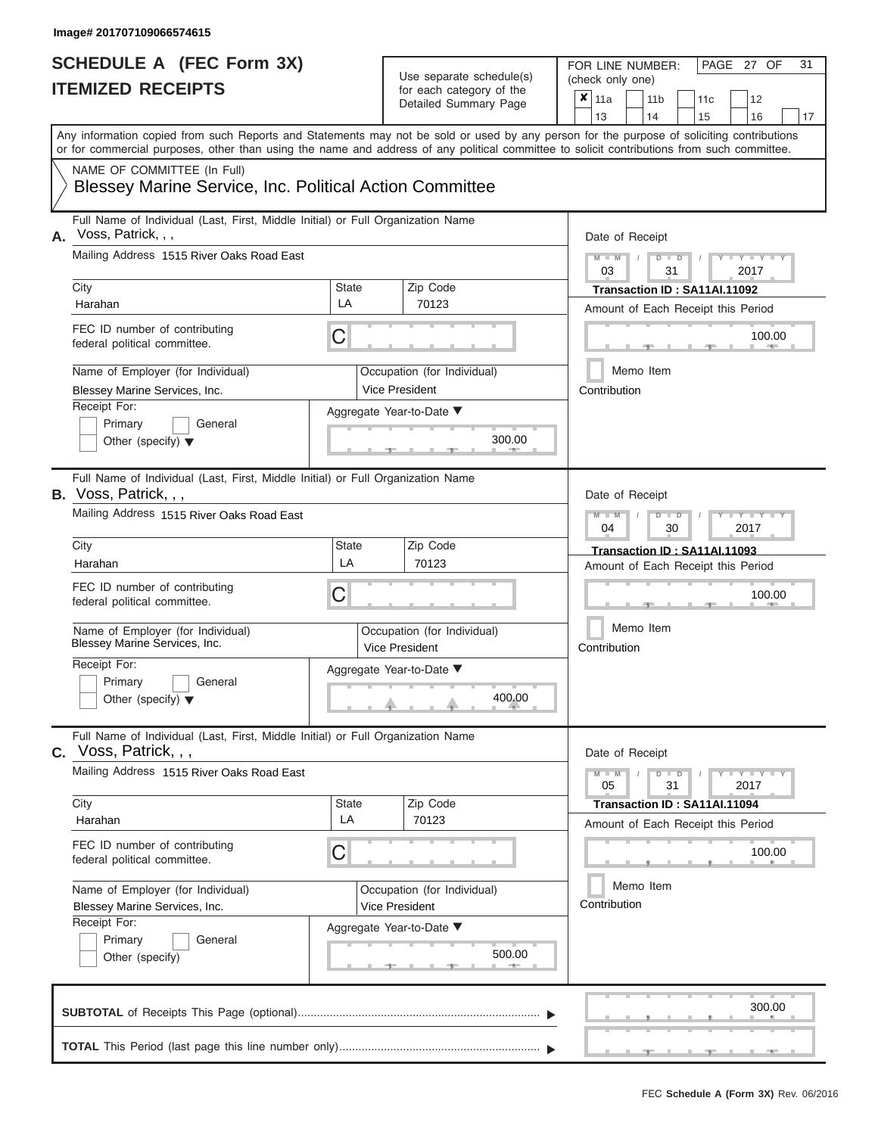| SCHEDULE A (FEC Form 3X)<br><b>ITEMIZED RECEIPTS</b>                                                                                                                                                                                                                                                                                                                                                 | Use separate schedule(s)<br>for each category of the<br>Detailed Summary Page                                                       | 31<br>FOR LINE NUMBER:<br>PAGE 27 OF<br>(check only one)<br>$\overline{\mathbf{x}}$   11a<br>11 <sub>b</sub><br>12<br>11c                                                                                                                                                          |
|------------------------------------------------------------------------------------------------------------------------------------------------------------------------------------------------------------------------------------------------------------------------------------------------------------------------------------------------------------------------------------------------------|-------------------------------------------------------------------------------------------------------------------------------------|------------------------------------------------------------------------------------------------------------------------------------------------------------------------------------------------------------------------------------------------------------------------------------|
| or for commercial purposes, other than using the name and address of any political committee to solicit contributions from such committee.<br>NAME OF COMMITTEE (In Full)<br><b>Blessey Marine Service, Inc. Political Action Committee</b>                                                                                                                                                          |                                                                                                                                     | 13<br>14<br>15<br>16<br>17<br>Any information copied from such Reports and Statements may not be sold or used by any person for the purpose of soliciting contributions                                                                                                            |
| Full Name of Individual (Last, First, Middle Initial) or Full Organization Name<br>Voss, Patrick, , ,<br>А.<br>Mailing Address 1515 River Oaks Road East<br>City<br>Harahan<br>FEC ID number of contributing<br>federal political committee.<br>Name of Employer (for Individual)<br>Blessey Marine Services, Inc.<br>Receipt For:<br>Primary<br>General<br>Other (specify) $\blacktriangledown$     | Zip Code<br>State<br>LA<br>70123<br>С<br>Occupation (for Individual)<br><b>Vice President</b><br>Aggregate Year-to-Date ▼<br>300.00 | Date of Receipt<br>$M - M$<br>$D$ $D$<br>Y TY T<br>$\sqrt{2}$<br>03<br>31<br>2017<br>Transaction ID: SA11AI.11092<br>Amount of Each Receipt this Period<br>100.00<br><b>CONTRACTOR</b><br>Memo Item<br>Contribution                                                                |
| Full Name of Individual (Last, First, Middle Initial) or Full Organization Name<br><b>B.</b> Voss, Patrick, , ,<br>Mailing Address 1515 River Oaks Road East<br>City<br>Harahan<br>FEC ID number of contributing<br>federal political committee.<br>Name of Employer (for Individual)<br>Blessey Marine Services, Inc.<br>Receipt For:<br>Primary<br>General<br>Other (specify) $\blacktriangledown$ | Zip Code<br>State<br>LA<br>70123<br>С<br>Occupation (for Individual)<br>Vice President<br>Aggregate Year-to-Date ▼<br>400.00        | Date of Receipt<br>$M - M$<br>$D$ $\Box$ $D$<br>$\blacksquare$ $\blacksquare$ $\blacksquare$ $\blacksquare$ $\blacksquare$ $\blacksquare$<br>04<br>2017<br>30<br>Transaction ID: SA11AI.11093<br>Amount of Each Receipt this Period<br>100.00<br>Memo Item<br>Contribution         |
| Full Name of Individual (Last, First, Middle Initial) or Full Organization Name<br>$c.$ Voss, Patrick, , ,<br>Mailing Address 1515 River Oaks Road East<br>City<br>Harahan<br>FEC ID number of contributing<br>federal political committee.<br>Name of Employer (for Individual)<br>Blessey Marine Services, Inc.<br>Receipt For:<br>Primary<br>General<br>Other (specify)                           | Zip Code<br>State<br>LA<br>70123<br>С<br>Occupation (for Individual)<br>Vice President<br>Aggregate Year-to-Date ▼<br>500.00        | Date of Receipt<br>$M - M$<br>$D$ $D$<br>$\blacksquare \blacksquare \mathsf{Y} \mathrel{\sqsubseteq} \mathsf{Y} \mathrel{\sqsubseteq} \mathsf{Y}$<br>31<br>05<br>2017<br>Transaction ID: SA11AI.11094<br>Amount of Each Receipt this Period<br>100.00<br>Memo Item<br>Contribution |
|                                                                                                                                                                                                                                                                                                                                                                                                      |                                                                                                                                     | 300.00                                                                                                                                                                                                                                                                             |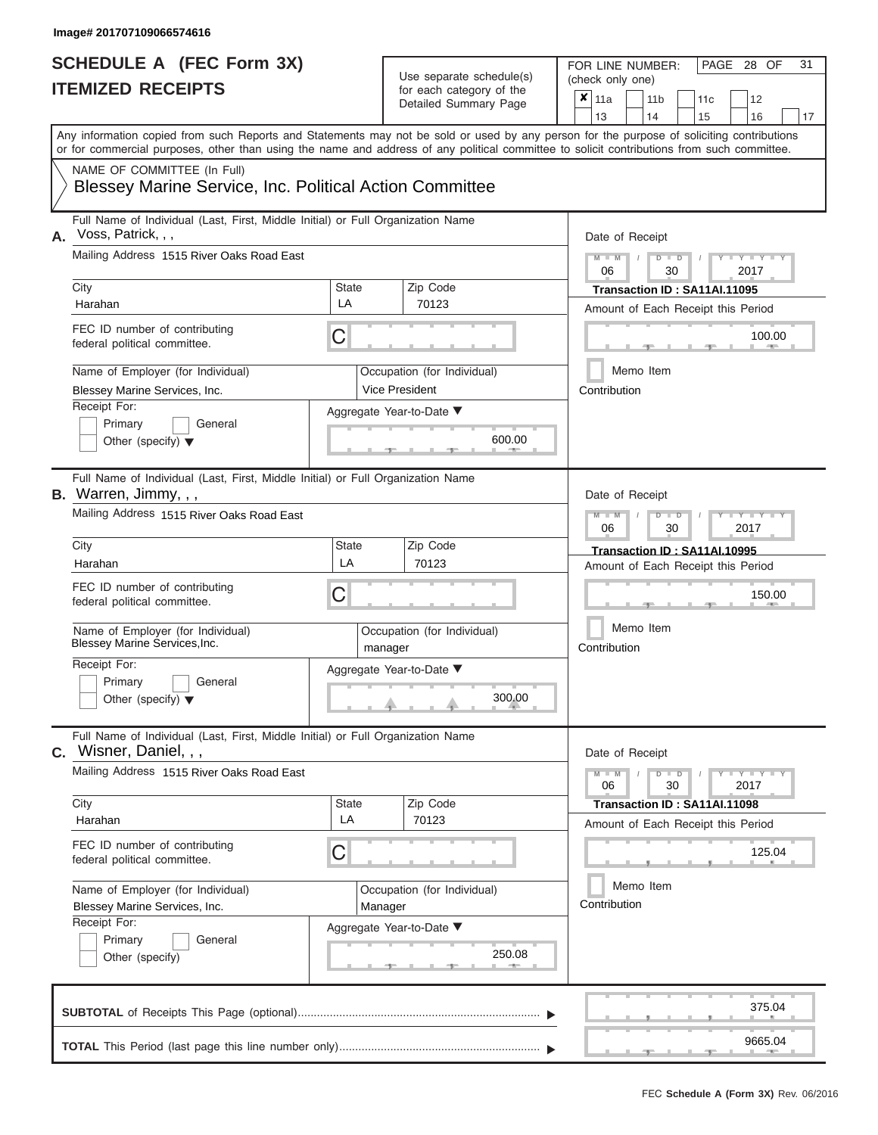| SCHEDULE A (FEC Form 3X)<br><b>ITEMIZED RECEIPTS</b>                                                                                                                                                                                                                                                                                                                                             |                         | Use separate schedule(s)<br>for each category of the<br>Detailed Summary Page                                   | 31<br>FOR LINE NUMBER:<br>PAGE 28 OF<br>(check only one)<br>$\overline{\mathbf{x}}$   11a<br>11 <sub>b</sub><br>12<br>11c<br>13<br>14<br>15<br>16<br>17                                                                                                                    |
|--------------------------------------------------------------------------------------------------------------------------------------------------------------------------------------------------------------------------------------------------------------------------------------------------------------------------------------------------------------------------------------------------|-------------------------|-----------------------------------------------------------------------------------------------------------------|----------------------------------------------------------------------------------------------------------------------------------------------------------------------------------------------------------------------------------------------------------------------------|
| Any information copied from such Reports and Statements may not be sold or used by any person for the purpose of soliciting contributions<br>or for commercial purposes, other than using the name and address of any political committee to solicit contributions from such committee.<br>NAME OF COMMITTEE (In Full)<br>Blessey Marine Service, Inc. Political Action Committee                |                         |                                                                                                                 |                                                                                                                                                                                                                                                                            |
| Full Name of Individual (Last, First, Middle Initial) or Full Organization Name<br>Voss, Patrick, , ,<br>А.<br>Mailing Address 1515 River Oaks Road East<br>City<br>Harahan<br>FEC ID number of contributing<br>federal political committee.<br>Name of Employer (for Individual)<br>Blessey Marine Services, Inc.<br>Receipt For:<br>Primary<br>General<br>Other (specify) $\blacktriangledown$ | State<br>LA<br>С        | Zip Code<br>70123<br>Occupation (for Individual)<br><b>Vice President</b><br>Aggregate Year-to-Date ▼<br>600.00 | Date of Receipt<br>$M = M$ /<br>$D$ $D$<br>Y TY T<br>06<br>30<br>2017<br>Transaction ID: SA11AI.11095<br>Amount of Each Receipt this Period<br>100.00<br><b>CONTRACTOR</b><br>Memo Item<br>Contribution                                                                    |
| Full Name of Individual (Last, First, Middle Initial) or Full Organization Name<br>B. Warren, Jimmy, , ,<br>Mailing Address 1515 River Oaks Road East<br>City<br>Harahan<br>FEC ID number of contributing<br>federal political committee.<br>Name of Employer (for Individual)<br>Blessey Marine Services, Inc.<br>Receipt For:<br>Primary<br>General<br>Other (specify) $\blacktriangledown$    | <b>State</b><br>LA<br>С | Zip Code<br>70123<br>Occupation (for Individual)<br>manager<br>Aggregate Year-to-Date ▼<br>300.00               | Date of Receipt<br>$M - M$<br>$D$ $\Box$ $D$<br>$\blacksquare$ $\blacksquare$ $\blacksquare$ $\blacksquare$ $\blacksquare$ $\blacksquare$<br>06<br>2017<br>30<br>Transaction ID: SA11AI.10995<br>Amount of Each Receipt this Period<br>150.00<br>Memo Item<br>Contribution |
| Full Name of Individual (Last, First, Middle Initial) or Full Organization Name<br>C. Wisner, Daniel, , ,<br>Mailing Address 1515 River Oaks Road East<br>City<br>Harahan<br>FEC ID number of contributing<br>federal political committee.<br>Name of Employer (for Individual)<br>Blessey Marine Services, Inc.<br>Receipt For:<br>Primary<br>General<br>Other (specify)                        | <b>State</b><br>LA<br>С | Zip Code<br>70123<br>Occupation (for Individual)<br>Manager<br>Aggregate Year-to-Date ▼<br>250.08               | Date of Receipt<br>$M - M$<br>$D$ $D$<br>$\mathbf{I} = \mathbf{Y} - \mathbf{I} - \mathbf{Y} - \mathbf{I}$<br>30<br>2017<br>06<br>Transaction ID: SA11AI.11098<br>Amount of Each Receipt this Period<br>125.04<br>Memo Item<br>Contribution                                 |
|                                                                                                                                                                                                                                                                                                                                                                                                  |                         |                                                                                                                 | 375.04<br>9665.04<br>$-1$                                                                                                                                                                                                                                                  |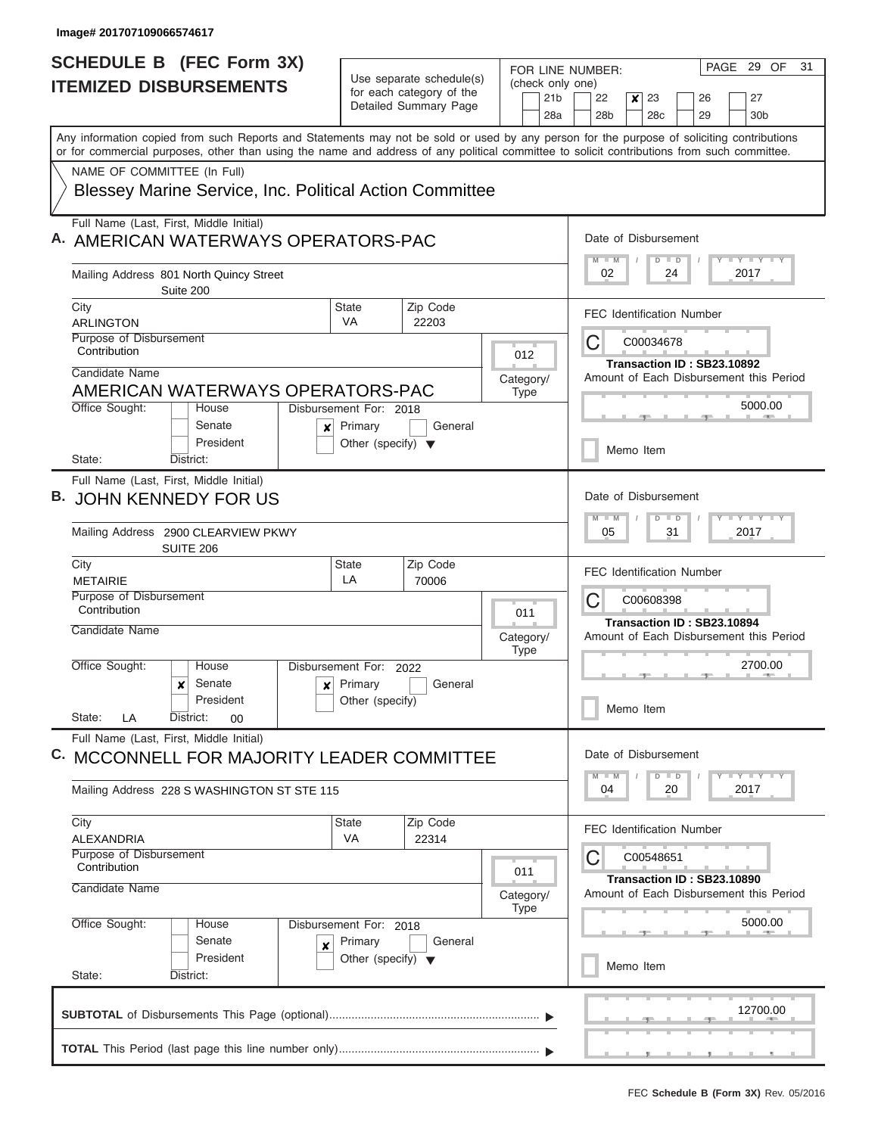$\overline{\phantom{a}}$ 

| Use separate schedule(s)<br>(check only one)<br><b>ITEMIZED DISBURSEMENTS</b><br>for each category of the<br>21 <sub>b</sub><br>22<br>23<br>26<br>×<br>Detailed Summary Page<br>28a<br>28 <sub>b</sub><br>29<br>28c<br>Any information copied from such Reports and Statements may not be sold or used by any person for the purpose of soliciting contributions<br>or for commercial purposes, other than using the name and address of any political committee to solicit contributions from such committee.<br>NAME OF COMMITTEE (In Full)<br><b>Blessey Marine Service, Inc. Political Action Committee</b><br>Full Name (Last, First, Middle Initial)<br>Date of Disbursement<br>$M$ $M$<br>$D$ $D$<br>Mailing Address 801 North Quincy Street<br>02<br>24<br>Suite 200<br>State<br>Zip Code<br>City<br><b>FEC Identification Number</b><br>VA<br><b>ARLINGTON</b><br>22203<br>Purpose of Disbursement<br>C<br>C00034678<br>Contribution<br>012<br>Transaction ID: SB23.10892<br>Candidate Name<br>Amount of Each Disbursement this Period<br>Category/<br>AMERICAN WATERWAYS OPERATORS-PAC<br><b>Type</b><br>Office Sought:<br>Disbursement For: 2018<br>House<br>Senate<br>General<br>Primary<br>×<br>President<br>Other (specify) $\blacktriangledown$<br>Memo Item<br>State:<br>District:<br>Full Name (Last, First, Middle Initial)<br>Date of Disbursement<br><b>JOHN KENNEDY FOR US</b><br>$M - M$<br>$\Box$<br>$\overline{D}$<br>Mailing Address 2900 CLEARVIEW PKWY<br>05<br>31<br>SUITE 206<br>Zip Code<br>City<br><b>State</b><br><b>FEC Identification Number</b><br>LA<br><b>METAIRIE</b><br>70006<br>Purpose of Disbursement<br>C<br>C00608398<br>Contribution<br>011<br>Transaction ID: SB23.10894<br>Candidate Name<br>Amount of Each Disbursement this Period<br>Category/<br><b>Type</b><br>Office Sought:<br>House<br>Disbursement For: 2022<br>Primary<br>Senate<br>General<br>$\boldsymbol{x}$<br>$\mathbf{x}$<br>President<br>Other (specify)<br>Memo Item<br>State:<br>District:<br>LA<br>00 | 27<br>30 <sub>b</sub><br>Y LY LY LY<br>2017 |
|--------------------------------------------------------------------------------------------------------------------------------------------------------------------------------------------------------------------------------------------------------------------------------------------------------------------------------------------------------------------------------------------------------------------------------------------------------------------------------------------------------------------------------------------------------------------------------------------------------------------------------------------------------------------------------------------------------------------------------------------------------------------------------------------------------------------------------------------------------------------------------------------------------------------------------------------------------------------------------------------------------------------------------------------------------------------------------------------------------------------------------------------------------------------------------------------------------------------------------------------------------------------------------------------------------------------------------------------------------------------------------------------------------------------------------------------------------------------------------------------------------------------------------------------------------------------------------------------------------------------------------------------------------------------------------------------------------------------------------------------------------------------------------------------------------------------------------------------------------------------------------------------------------------------------------------------------------------------------------------------------------------------------|---------------------------------------------|
| A. AMERICAN WATERWAYS OPERATORS-PAC                                                                                                                                                                                                                                                                                                                                                                                                                                                                                                                                                                                                                                                                                                                                                                                                                                                                                                                                                                                                                                                                                                                                                                                                                                                                                                                                                                                                                                                                                                                                                                                                                                                                                                                                                                                                                                                                                                                                                                                      |                                             |
|                                                                                                                                                                                                                                                                                                                                                                                                                                                                                                                                                                                                                                                                                                                                                                                                                                                                                                                                                                                                                                                                                                                                                                                                                                                                                                                                                                                                                                                                                                                                                                                                                                                                                                                                                                                                                                                                                                                                                                                                                          |                                             |
|                                                                                                                                                                                                                                                                                                                                                                                                                                                                                                                                                                                                                                                                                                                                                                                                                                                                                                                                                                                                                                                                                                                                                                                                                                                                                                                                                                                                                                                                                                                                                                                                                                                                                                                                                                                                                                                                                                                                                                                                                          |                                             |
|                                                                                                                                                                                                                                                                                                                                                                                                                                                                                                                                                                                                                                                                                                                                                                                                                                                                                                                                                                                                                                                                                                                                                                                                                                                                                                                                                                                                                                                                                                                                                                                                                                                                                                                                                                                                                                                                                                                                                                                                                          |                                             |
|                                                                                                                                                                                                                                                                                                                                                                                                                                                                                                                                                                                                                                                                                                                                                                                                                                                                                                                                                                                                                                                                                                                                                                                                                                                                                                                                                                                                                                                                                                                                                                                                                                                                                                                                                                                                                                                                                                                                                                                                                          |                                             |
|                                                                                                                                                                                                                                                                                                                                                                                                                                                                                                                                                                                                                                                                                                                                                                                                                                                                                                                                                                                                                                                                                                                                                                                                                                                                                                                                                                                                                                                                                                                                                                                                                                                                                                                                                                                                                                                                                                                                                                                                                          |                                             |
|                                                                                                                                                                                                                                                                                                                                                                                                                                                                                                                                                                                                                                                                                                                                                                                                                                                                                                                                                                                                                                                                                                                                                                                                                                                                                                                                                                                                                                                                                                                                                                                                                                                                                                                                                                                                                                                                                                                                                                                                                          |                                             |
|                                                                                                                                                                                                                                                                                                                                                                                                                                                                                                                                                                                                                                                                                                                                                                                                                                                                                                                                                                                                                                                                                                                                                                                                                                                                                                                                                                                                                                                                                                                                                                                                                                                                                                                                                                                                                                                                                                                                                                                                                          | 5000.00                                     |
|                                                                                                                                                                                                                                                                                                                                                                                                                                                                                                                                                                                                                                                                                                                                                                                                                                                                                                                                                                                                                                                                                                                                                                                                                                                                                                                                                                                                                                                                                                                                                                                                                                                                                                                                                                                                                                                                                                                                                                                                                          |                                             |
|                                                                                                                                                                                                                                                                                                                                                                                                                                                                                                                                                                                                                                                                                                                                                                                                                                                                                                                                                                                                                                                                                                                                                                                                                                                                                                                                                                                                                                                                                                                                                                                                                                                                                                                                                                                                                                                                                                                                                                                                                          |                                             |
|                                                                                                                                                                                                                                                                                                                                                                                                                                                                                                                                                                                                                                                                                                                                                                                                                                                                                                                                                                                                                                                                                                                                                                                                                                                                                                                                                                                                                                                                                                                                                                                                                                                                                                                                                                                                                                                                                                                                                                                                                          | $-1 - 1 - 1$<br>2017                        |
|                                                                                                                                                                                                                                                                                                                                                                                                                                                                                                                                                                                                                                                                                                                                                                                                                                                                                                                                                                                                                                                                                                                                                                                                                                                                                                                                                                                                                                                                                                                                                                                                                                                                                                                                                                                                                                                                                                                                                                                                                          |                                             |
|                                                                                                                                                                                                                                                                                                                                                                                                                                                                                                                                                                                                                                                                                                                                                                                                                                                                                                                                                                                                                                                                                                                                                                                                                                                                                                                                                                                                                                                                                                                                                                                                                                                                                                                                                                                                                                                                                                                                                                                                                          |                                             |
|                                                                                                                                                                                                                                                                                                                                                                                                                                                                                                                                                                                                                                                                                                                                                                                                                                                                                                                                                                                                                                                                                                                                                                                                                                                                                                                                                                                                                                                                                                                                                                                                                                                                                                                                                                                                                                                                                                                                                                                                                          | 2700.00                                     |
|                                                                                                                                                                                                                                                                                                                                                                                                                                                                                                                                                                                                                                                                                                                                                                                                                                                                                                                                                                                                                                                                                                                                                                                                                                                                                                                                                                                                                                                                                                                                                                                                                                                                                                                                                                                                                                                                                                                                                                                                                          |                                             |
| Full Name (Last, First, Middle Initial)<br>Date of Disbursement<br>C. MCCONNELL FOR MAJORITY LEADER COMMITTEE<br>$M - M$<br>$\Box$                                                                                                                                                                                                                                                                                                                                                                                                                                                                                                                                                                                                                                                                                                                                                                                                                                                                                                                                                                                                                                                                                                                                                                                                                                                                                                                                                                                                                                                                                                                                                                                                                                                                                                                                                                                                                                                                                       | $T - Y = T - Y$                             |
| $\overline{D}$<br>04<br>20<br>Mailing Address 228 S WASHINGTON ST STE 115                                                                                                                                                                                                                                                                                                                                                                                                                                                                                                                                                                                                                                                                                                                                                                                                                                                                                                                                                                                                                                                                                                                                                                                                                                                                                                                                                                                                                                                                                                                                                                                                                                                                                                                                                                                                                                                                                                                                                | 2017                                        |
| City<br><b>State</b><br>Zip Code<br><b>FEC Identification Number</b><br>VA<br>22314<br>ALEXANDRIA<br>Purpose of Disbursement<br>С<br>C00548651                                                                                                                                                                                                                                                                                                                                                                                                                                                                                                                                                                                                                                                                                                                                                                                                                                                                                                                                                                                                                                                                                                                                                                                                                                                                                                                                                                                                                                                                                                                                                                                                                                                                                                                                                                                                                                                                           |                                             |
| Contribution<br>011<br>Transaction ID: SB23.10890<br>Candidate Name<br>Amount of Each Disbursement this Period<br>Category/                                                                                                                                                                                                                                                                                                                                                                                                                                                                                                                                                                                                                                                                                                                                                                                                                                                                                                                                                                                                                                                                                                                                                                                                                                                                                                                                                                                                                                                                                                                                                                                                                                                                                                                                                                                                                                                                                              |                                             |
| <b>Type</b><br>Office Sought:<br>Disbursement For: 2018<br>House<br>Senate<br>Primary<br>General<br>×                                                                                                                                                                                                                                                                                                                                                                                                                                                                                                                                                                                                                                                                                                                                                                                                                                                                                                                                                                                                                                                                                                                                                                                                                                                                                                                                                                                                                                                                                                                                                                                                                                                                                                                                                                                                                                                                                                                    | 5000.00                                     |
| President<br>Other (specify) $\blacktriangledown$<br>Memo Item<br>State:<br>District:                                                                                                                                                                                                                                                                                                                                                                                                                                                                                                                                                                                                                                                                                                                                                                                                                                                                                                                                                                                                                                                                                                                                                                                                                                                                                                                                                                                                                                                                                                                                                                                                                                                                                                                                                                                                                                                                                                                                    |                                             |
| 12700.00                                                                                                                                                                                                                                                                                                                                                                                                                                                                                                                                                                                                                                                                                                                                                                                                                                                                                                                                                                                                                                                                                                                                                                                                                                                                                                                                                                                                                                                                                                                                                                                                                                                                                                                                                                                                                                                                                                                                                                                                                 |                                             |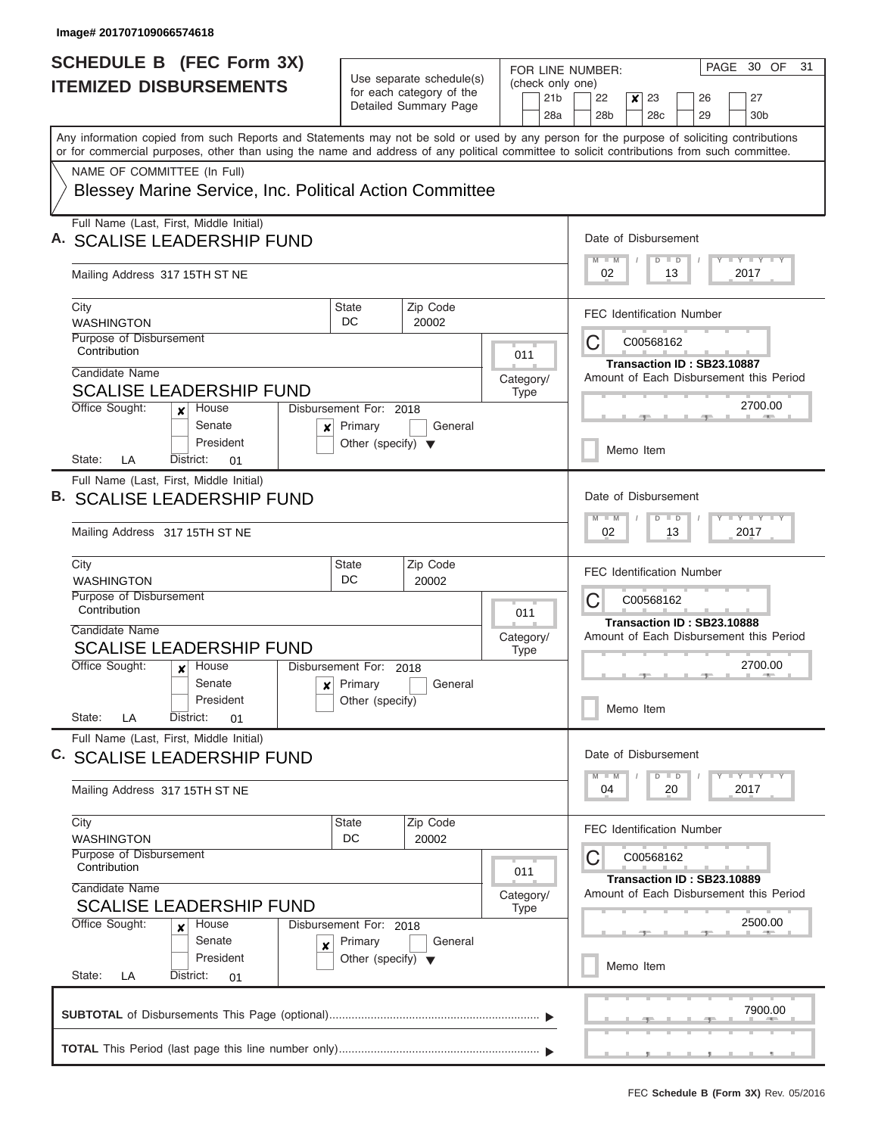| Use separate schedule(s)<br><b>ITEMIZED DISBURSEMENTS</b><br>for each category of the<br>Detailed Summary Page                                                                                                                                                                          | FOR LINE NUMBER:<br>(check only one)<br>21 <sub>b</sub><br>22<br>27<br>x<br>23<br>26<br>28a<br>28 <sub>b</sub><br>28c<br>29<br>30 <sub>b</sub> |
|-----------------------------------------------------------------------------------------------------------------------------------------------------------------------------------------------------------------------------------------------------------------------------------------|------------------------------------------------------------------------------------------------------------------------------------------------|
|                                                                                                                                                                                                                                                                                         |                                                                                                                                                |
| Any information copied from such Reports and Statements may not be sold or used by any person for the purpose of soliciting contributions<br>or for commercial purposes, other than using the name and address of any political committee to solicit contributions from such committee. |                                                                                                                                                |
| NAME OF COMMITTEE (In Full)<br>Blessey Marine Service, Inc. Political Action Committee                                                                                                                                                                                                  |                                                                                                                                                |
| Full Name (Last, First, Middle Initial)<br>A. SCALISE LEADERSHIP FUND                                                                                                                                                                                                                   | Date of Disbursement<br><b>LY LY LY</b><br>$M$ $M$<br>$D$ $D$                                                                                  |
| Mailing Address 317 15TH ST NE                                                                                                                                                                                                                                                          | 02<br>13<br>2017                                                                                                                               |
| Zip Code<br>City<br><b>State</b><br>DC<br><b>WASHINGTON</b><br>20002                                                                                                                                                                                                                    | <b>FEC Identification Number</b>                                                                                                               |
| Purpose of Disbursement<br>Contribution<br>Candidate Name                                                                                                                                                                                                                               | C<br>C00568162<br>011<br>Transaction ID: SB23.10887<br>Amount of Each Disbursement this Period<br>Category/                                    |
| <b>SCALISE LEADERSHIP FUND</b><br>Office Sought:<br>House<br>Disbursement For: 2018<br>x<br>Senate<br>General                                                                                                                                                                           | <b>Type</b><br>2700.00                                                                                                                         |
| Primary<br>×<br>President<br>Other (specify) $\blacktriangledown$<br>State:<br>LA<br>District:<br>01                                                                                                                                                                                    | Memo Item                                                                                                                                      |
| Full Name (Last, First, Middle Initial)<br><b>B. SCALISE LEADERSHIP FUND</b>                                                                                                                                                                                                            | Date of Disbursement<br>$\mathbf{I} = \mathbf{Y} - \mathbf{I} - \mathbf{Y} - \mathbf{I}$<br>$M - M$<br>$\blacksquare$<br>D                     |
| Mailing Address 317 15TH ST NE                                                                                                                                                                                                                                                          | 02<br>13<br>2017                                                                                                                               |
| City<br><b>State</b><br>Zip Code<br>DC<br><b>WASHINGTON</b><br>20002<br>Purpose of Disbursement<br>Contribution                                                                                                                                                                         | FEC Identification Number<br>C<br>C00568162<br>011                                                                                             |
| Candidate Name<br><b>SCALISE LEADERSHIP FUND</b>                                                                                                                                                                                                                                        | Transaction ID: SB23.10888<br>Amount of Each Disbursement this Period<br>Category/<br><b>Type</b>                                              |
| Office Sought:<br>Disbursement For: 2018<br>House<br>x<br>Primary<br>Senate<br>General<br>$\boldsymbol{x}$<br>President<br>Other (specify)                                                                                                                                              | 2700.00                                                                                                                                        |
| State:<br>District:<br>LA<br>01<br>Full Name (Last, First, Middle Initial)                                                                                                                                                                                                              | Memo Item                                                                                                                                      |
| C. SCALISE LEADERSHIP FUND                                                                                                                                                                                                                                                              | Date of Disbursement<br>Y FY FY FY<br>$M$ $M$<br>$D$ $D$                                                                                       |
| Mailing Address 317 15TH ST NE                                                                                                                                                                                                                                                          | 2017<br>04<br>20                                                                                                                               |
| City<br><b>State</b><br>Zip Code<br>DC<br>20002<br><b>WASHINGTON</b><br>Purpose of Disbursement<br>Contribution                                                                                                                                                                         | FEC Identification Number<br>С<br>C00568162<br>011                                                                                             |
| Candidate Name<br><b>SCALISE LEADERSHIP FUND</b><br>Office Sought:<br>House<br>Disbursement For: 2018                                                                                                                                                                                   | Transaction ID: SB23.10889<br>Amount of Each Disbursement this Period<br>Category/<br><b>Type</b><br>2500.00                                   |
| ×<br>Senate<br>Primary<br>General<br>×<br>President<br>Other (specify) $\blacktriangledown$<br>State:<br>District:<br>LA<br>01                                                                                                                                                          | Memo Item                                                                                                                                      |
|                                                                                                                                                                                                                                                                                         | 7900.00                                                                                                                                        |